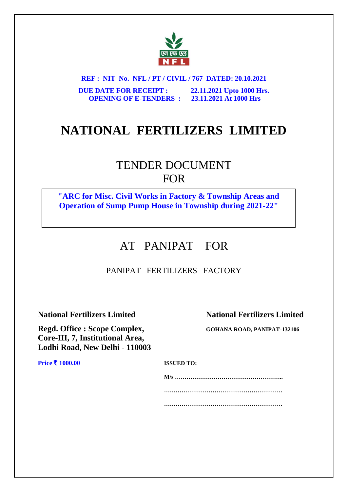

**REF : NIT No. NFL / PT / CIVIL / 767 DATED: 20.10.2021 DUE DATE FOR RECEIPT : 22.11.2021 Upto 1000 Hrs. OPENING OF E-TENDERS : 23.11.2021 At 1000 Hrs**

# **NATIONAL FERTILIZERS LIMITED**

# TENDER DOCUMENT FOR

**"ARC for Misc. Civil Works in Factory & Township Areas and Operation of Sump Pump House in Township during 2021-22"**

# AT PANIPAT FOR

# PANIPAT FERTILIZERS FACTORY

**Regd. Office : Scope Complex, GOHANA ROAD, PANIPAT-132106 Core-III, 7, Institutional Area, Lodhi Road, New Delhi - 110003**

**National Fertilizers Limited National Fertilizers Limited**

**Price ₹ 1000.00 ISSUED TO:** 

**M/s ……………………………………………….. ……………………………………………………. …………………………………………………….**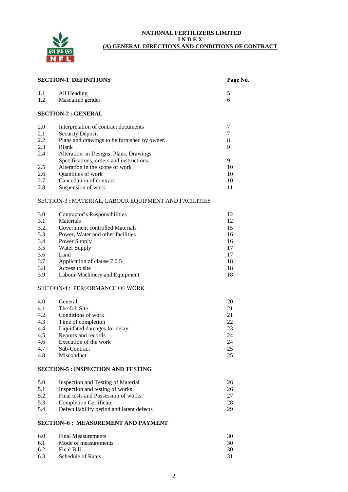

#### **NATIONAL FERTILIZERS LIMITED I N D E X (A) GENERAL DIRECTIONS AND CONDITIONS OF CONTRACT**

| <b>SECTION-1 DEFINITIONS</b><br>Page No. |                                                       |        |
|------------------------------------------|-------------------------------------------------------|--------|
| 1.1<br>1.2                               | All Heading<br>Masculine gender                       | 5<br>6 |
|                                          | <b>SECTION-2 : GENERAL</b>                            |        |
| 2.0                                      | Interpretation of contract documents                  | 7      |
| 2.1                                      | <b>Security Deposit</b>                               | 7      |
| 2.2                                      | Plans and drawings to be furnished by owner.          | 8      |
| 2.3                                      | <b>Blank</b>                                          | 9      |
| 2.4                                      | Alteration in Designs, Plans, Drawings                |        |
|                                          | Specifications, orders and instructions               | 9      |
| 2.5                                      | Alteration in the scope of work                       | 10     |
| 2.6                                      | Quantities of work                                    | 10     |
| 2.7                                      | Cancellation of contract                              | 10     |
| 2.8                                      | Suspension of work                                    | 11     |
|                                          | SECTION-3 : MATERIAL, LABOUR EQUIPMENT AND FACILITIES |        |
| 3.0                                      | Contractor's Responsibilities                         | 12     |
| 3.1                                      | Materials                                             | 12     |
| 3.2                                      | Government controlled Materials                       | 15     |
| 3.3                                      | Power, Water and other facilities                     | 16     |
| 3.4                                      | Power Supply                                          | 16     |
| 3.5                                      | <b>Water Supply</b>                                   | 17     |
| 3.6                                      | Land                                                  | 17     |
| 3.7                                      | Application of clause 7.0.5                           | 18     |
| 3.8                                      | Access to site                                        | 18     |
| 3.9                                      | Labour Machinery and Equipment                        | 18     |
|                                          | <b>SECTION-4: PERFORMANCE OF WORK</b>                 |        |
| 4.0                                      | General                                               | 20     |
| 4.1                                      | The Job Site                                          | 21     |
| 4.2                                      | Conditions of work                                    | 21     |
| 4.3                                      | Time of completion                                    | 22     |
| 4.4                                      | Liquidated damages for delay                          | 23     |
| 4.5                                      | Reports and records                                   | 24     |
| 4.6                                      | Execution of the work                                 | 24     |
| 4.7                                      | Sub-Contract                                          | 25     |
| 4.8                                      | Misconduct                                            | 25     |
|                                          | <b>SECTION-5 : INSPECTION AND TESTING</b>             |        |
| 5.0                                      | <b>Inspection and Testing of Material</b>             | 26     |
| 5.1                                      | Inspection and testing of works                       | 26     |
| 5.2                                      | Final tests and Possession of works                   | 27     |
| 5.3                                      | <b>Completion Certificate</b>                         | 28     |
| 5.4                                      | Defect liability period and latent defects            | 29     |
|                                          | <b>SECTION-6: MEASUREMENT AND PAYMENT</b>             |        |
| 6.0                                      | <b>Final Measurements</b>                             | 30     |
| 6.1                                      | Mode of measurements                                  | 30     |
|                                          |                                                       |        |

2

6.2 Final Bill 30<br>6.3 Schedule of Rates 31

6.3 Schedule of Rates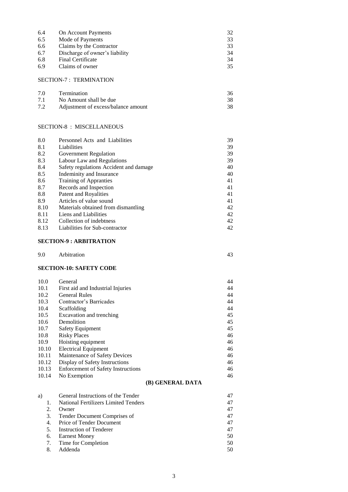| 6.4 | On Account Payments            | 32 |
|-----|--------------------------------|----|
| 6.5 | Mode of Payments               | 33 |
| 6.6 | Claims by the Contractor       | 33 |
| 6.7 | Discharge of owner's liability | 34 |
| 6.8 | <b>Final Certificate</b>       | 34 |
| 6.9 | Claims of owner                | 35 |

## SECTION-7 : TERMINATION

| 7.0 | <b>Termination</b>                  |  |
|-----|-------------------------------------|--|
| 7.1 | No Amount shall be due              |  |
| 7.2 | Adjustment of excess/balance amount |  |

## SECTION-8 : MISCELLANEOUS

| 8.0  | Personnel Acts and Liabilities         | 39 |
|------|----------------------------------------|----|
| 8.1  | Liabilities                            | 39 |
| 8.2  | Government Regulation                  | 39 |
| 8.3  | Labour Law and Regulations             | 39 |
| 8.4  | Safety regulations Accident and damage | 40 |
| 8.5  | Indeminity and Insurance               | 40 |
| 8.6  | Training of Appranties                 | 41 |
| 8.7  | Records and Inspection                 | 41 |
| 8.8  | Patent and Royalities                  | 41 |
| 8.9  | Articles of value sound                | 41 |
| 8.10 | Materials obtained from dismantling    | 42 |
| 8.11 | Liens and Liabilities                  | 42 |
| 8.12 | Collection of indebtness               | 42 |
| 8.13 | Liabilities for Sub-contractor         | 42 |

# **SECTION-9 : ARBITRATION**

| 9.0 | Arbitration<br>. |  | . r. |
|-----|------------------|--|------|
|-----|------------------|--|------|

# **SECTION-10: SAFETY CODE**

| 10.0  | General                                   | 44 |
|-------|-------------------------------------------|----|
| 10.1  | First aid and Industrial Injuries         | 44 |
| 10.2  | <b>General Rules</b>                      | 44 |
| 10.3  | Contractor's Barricades                   | 44 |
| 10.4  | Scaffolding                               | 44 |
| 10.5  | Excavation and trenching                  | 45 |
| 10.6  | Demolition                                | 45 |
| 10.7  | <b>Safety Equipment</b>                   | 45 |
| 10.8  | <b>Risky Places</b>                       | 46 |
| 10.9  | Hoisting equipment                        | 46 |
| 10.10 | <b>Electrical Equipment</b>               | 46 |
| 10.11 | Maintenance of Safety Devices             | 46 |
| 10.12 | Display of Safety Instructions            | 46 |
| 10.13 | <b>Enforcement of Safety Instructions</b> | 46 |
| 10.14 | No Exemption                              | 46 |
|       |                                           |    |

# **(B) GENERAL DATA**

| General Instructions of the Tender          |    |
|---------------------------------------------|----|
| <b>National Fertilizers Limited Tenders</b> | 47 |
| Owner                                       | 47 |
| Tender Document Comprises of                | 47 |
| Price of Tender Document                    | 47 |
| Instruction of Tenderer                     | 47 |
| Earnest Money                               | 50 |
| Time for Completion                         | 50 |
| Addenda                                     | 50 |
|                                             |    |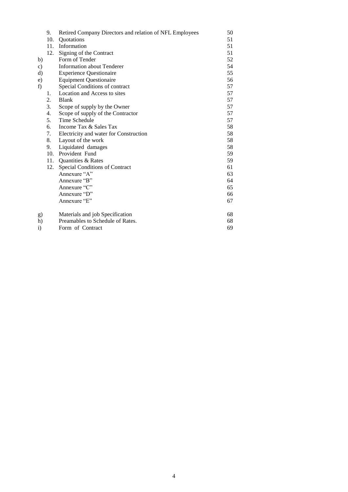|              | 9.  | Retired Company Directors and relation of NFL Employees | 50 |
|--------------|-----|---------------------------------------------------------|----|
|              | 10. | <b>Quotations</b>                                       | 51 |
|              |     | 11. Information                                         | 51 |
|              | 12. | Signing of the Contract                                 | 51 |
| b)           |     | Form of Tender                                          | 52 |
| c)           |     | <b>Information about Tenderer</b>                       | 54 |
| d)           |     | <b>Experience Questionaire</b>                          | 55 |
| e)           |     | <b>Equipment Questionaire</b>                           | 56 |
| f)           |     | Special Conditions of contract                          | 57 |
|              | 1.  | Location and Access to sites                            | 57 |
|              | 2.  | <b>Blank</b>                                            | 57 |
|              | 3.  | Scope of supply by the Owner                            | 57 |
|              | 4.  | Scope of supply of the Contractor                       | 57 |
|              | 5.  | Time Schedule                                           | 57 |
|              | 6.  | Income Tax & Sales Tax                                  | 58 |
|              | 7.  | Electricity and water for Construction                  | 58 |
|              | 8.  | Layout of the work                                      | 58 |
|              | 9.  | Liquidated damages                                      | 58 |
|              | 10. | Provident Fund                                          | 59 |
|              | 11. | Quantities & Rates                                      | 59 |
|              | 12. | Special Conditions of Contract                          | 61 |
|              |     | Annexure "A"                                            | 63 |
|              |     | Annexure "B"                                            | 64 |
|              |     | Annexure "C"                                            | 65 |
|              |     | Annexure "D"                                            | 66 |
|              |     | Annexure "E"                                            | 67 |
| g)           |     | Materials and job Specification                         | 68 |
| h)           |     | Preamables to Schedule of Rates.                        | 68 |
| $\mathbf{i}$ |     | Form of Contract                                        | 69 |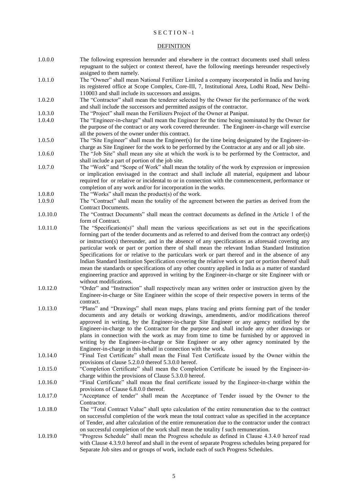#### S E C T I O N –1

#### DEFINITION

- 1.0.0.0 The following expression hereunder and elsewhere in the contract documents used shall unless repugnant to the subject or context thereof, have the following meetings hereunder respectively assigned to them namely.
- 1.0.1.0 The "Owner" shall mean National Fertilizer Limited a company incorporated in India and having its registered office at Scope Complex, Core-III, 7, Institutional Area, Lodhi Road, New Delhi-110003 and shall include its successors and assigns.
- 1.0.2.0 The "Contractor" shall mean the tenderer selected by the Owner for the performance of the work and shall include the successors and permitted assigns of the contractor.
- 1.0.3.0 The "Project" shall mean the Fertilizers Project of the Owner at Panipat.
- 1.0.4.0 The "Engineer-in-charge" shall mean the Engineer for the time being nominated by the Owner for the purpose of the contract or any work covered thereunder. The Engineer-in-charge will exercise all the powers of the owner under this contract.
- 1.0.5.0 The "Site Engineer" shall mean the Engineer(s) for the time being designated by the Engineer-incharge as Site Engineer for the work to be performed by the Contractor at any and or all job site.
- 1.0.6.0 The "Job Site" shall mean any site at which the work is to be performed by the Contractor, and shall include a part of portion of the job site.
- 1.0.7.0 The "Work" and "Scope of Work" shall mean the totality of the work by expression or impression or implication envisaged in the contract and shall include all material, equipment and labour required for or relative or incidental to or in connection with the commencement, performance or completion of any work and/or for incorporation in the works.
- 1.0.8.0 The "Works" shall mean the product(s) of the work.
- 1.0.9.0 The "Contract" shall mean the totality of the agreement between the parties as derived from the Contract Documents.
- 1.0.10.0 The "Contract Documents" shall mean the contract documents as defined in the Article 1 of the form of Contract.
- 1.0.11.0 The "Specification(s)" shall mean the various specifications as set out in the specifications forming part of the tender documents and as referred to and derived from the contract any order(s) or instruction(s) thereunder, and in the absence of any specifications as aforesaid covering any particular work or part or portion there of shall mean the relevant Indian Standard Institution Specifications for or relative to the particulars work or part thereof and in the absence of any Indian Standard Institution Specification covering the relative work or part or portion thereof shall mean the standards or specifications of any other country applied in India as a matter of standard engineering practice and approved in writing by the Engineer-in-charge or site Engineer with or without modifications.
- 1.0.12.0 "Order" and "Instruction" shall respectively mean any written order or instruction given by the Engineer-in-charge or Site Engineer within the scope of their respective powers in terms of the contract.
- 1.0.13.0 "Plans" and "Drawings" shall mean maps, plans tracing and prints forming part of the tender documents and any details or working drawings, amendments, and/or modifications thereof approved in writing, by the Engineer-in-charge Site Engineer or any agency notified by the Engineer-in-charge to the Contractor for the purpose and shall include any other drawings or plans in connection with the work as may from time to time be furnished by or approved in writing by the Engineer-in-charge or Site Engineer or any other agency nominated by the Engineer-in-charge in this behalf in connection with the work.
- 1.0.14.0 "Final Test Certificate" shall mean the Final Test Certificate issued by the Owner within the provisions of clause 5.2.0.0 thereof 5.3.0.0 hereof.
- 1.0.15.0 "Completion Certificate" shall mean the Completion Certificate be issued by the Engineer-incharge within the provisions of Clause 5.3.0.0 hereof.
- 1.0.16.0 "Final Certificate" shall mean the final certificate issued by the Engineer-in-charge within the provisions of Clause 6.8.0.0 thereof.
- 1.0.17.0 "Acceptance of tender" shall mean the Acceptance of Tender issued by the Owner to the Contractor.
- 1.0.18.0 The "Total Contract Value" shall upto calculation of the entire remuneration due to the contract on successful completion of the work mean the total contract value as specified in the acceptance of Tender, and after calculation of the entire remuneration due to the contractor under the contract on successful completion of the work shall mean the totality f such remuneration.
- 1.0.19.0 "Progress Schedule" shall mean the Progress schedule as defined in Clause 4.3.4.0 hereof read with Clause 4.3.9.0 hereof and shall in the event of separate Progress schedules being prepared for Separate Job sites and or groups of work, include each of such Progress Schedules.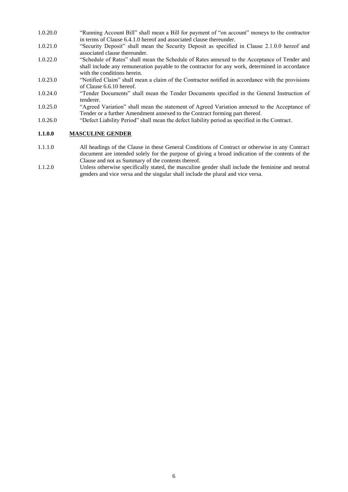- 1.0.20.0 "Running Account Bill" shall mean a Bill for payment of "on account" moneys to the contractor in terms of Clause 6.4.1.0 hereof and associated clause thereunder.
- 1.0.21.0 "Security Deposit" shall mean the Security Deposit as specified in Clause 2.1.0.0 hereof and associated clause thereunder.
- 1.0.22.0 "Schedule of Rates" shall mean the Schedule of Rates annexed to the Acceptance of Tender and shall include any remuneration payable to the contractor for any work, determined in accordance with the conditions herein.
- 1.0.23.0 "Notified Claim" shall mean a claim of the Contractor notified in accordance with the provisions of Clause 6.6.10 hereof.
- 1.0.24.0 "Tender Documents" shall mean the Tender Documents specified in the General Instruction of tenderer.
- 1.0.25.0 "Agreed Variation" shall mean the statement of Agreed Variation annexed to the Acceptance of Tender or a further Amendment annexed to the Contract forming part thereof.
- 1.0.26.0 "Defect Liability Period" shall mean the defect liability period as specified in the Contract.

#### **1.1.0.0 MASCULINE GENDER**

- 1.1.1.0 All headings of the Clause in these General Conditions of Contract or otherwise in any Contract document are intended solely for the purpose of giving a broad indication of the contents of the Clause and not as Summary of the contents thereof.
- 1.1.2.0 Unless otherwise specifically stated, the masculine gender shall include the feminine and neutral genders and vice versa and the singular shall include the plural and vice versa.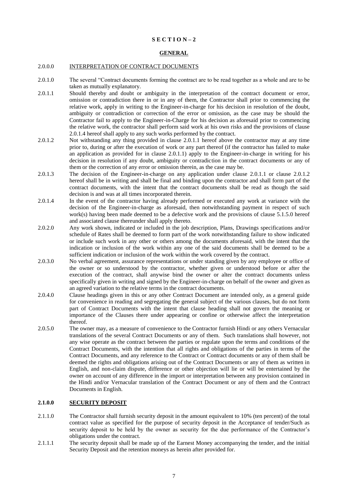#### **S E C T I O N – 2**

#### **GENERAL**

#### 2.0.0.0 INTERPRETATION OF CONTRACT DOCUMENTS

- 2.0.1.0 The several "Contract documents forming the contract are to be read together as a whole and are to be taken as mutually explanatory.
- 2.0.1.1 Should thereby and doubt or ambiguity in the interpretation of the contract document or error, omission or contradiction there in or in any of them, the Contractor shall prior to commencing the relative work, apply in writing to the Engineer-in-charge for his decision in resolution of the doubt, ambiguity or contradiction or correction of the error or omission, as the case may be should the Contractor fail to apply to the Engineer-in-Charge for his decision as aforesaid prior to commencing the relative work, the contractor shall perform said work at his own risks and the provisions of clause 2.0.1.4 hereof shall apply to any such works performed by the contract.
- 2.0.1.2 Not withstanding any thing provided in clause 2.0.1.1 hereof above the contractor may at any time prior to, during or after the execution of work or any part thereof (if the contractor has failed to make an application as provided for in clause 2.0.1.1) apply to the Engineer-in-charge in writing for his decision in resolution if any doubt, ambiguity or contradiction in the contract documents or any of them or the correction of any error or omission therein, as the case may be.
- 2.0.1.3 The decision of the Engineer-in-charge on any application under clause 2.0.1.1 or clause 2.0.1.2 hereof shall be in writing and shall be final and binding upon the contractor and shall form part of the contract documents, with the intent that the contract documents shall be read as though the said decision is and was at all times incorporated therein.
- 2.0.1.4 In the event of the contractor having already performed or executed any work at variance with the decision of the Engineer-in-charge as aforesaid, then notwithstanding payment in respect of such work(s) having been made deemed to be a defective work and the provisions of clause 5.1.5.0 hereof and associated clause thereunder shall apply thereto.
- 2.0.2.0 Any work shown, indicated or included in the job description, Plans, Drawings specifications and/or schedule of Rates shall be deemed to form part of the work notwithstanding failure to show indicated or include such work in any other or others among the documents aforesaid, with the intent that the indication or inclusion of the work within any one of the said documents shall be deemed to be a sufficient indication or inclusion of the work within the work covered by the contract.
- 2.0.3.0 No verbal agreement, assurance representations or under standing given by any employee or office of the owner or so understood by the contractor, whether given or understood before or after the execution of the contract, shall anywise bind the owner or alter the contract documents unless specifically given in writing and signed by the Engineer-in-charge on behalf of the owner and given as an agreed variation to the relative terms in the contract documents.
- 2.0.4.0 Clause headings given in this or any other Contract Document are intended only, as a general guide for convenience in reading and segregating the general subject of the various clauses, but do not form part of Contract Documents with the intent that clause heading shall not govern the meaning or importance of the Clauses there under appearing or confine or otherwise affect the interpretation thereof.
- 2.0.5.0 The owner may, as a measure of convenience to the Contractor furnish Hindi or any others Vernacular translations of the several Contract Documents or any of them. Such translations shall however, not any wise operate as the contract between the parties or regulate upon the terms and conditions of the Contract Documents, with the intention that all rights and obligations of the parties in terms of the Contract Documents, and any reference to the Contract or Contract documents or any of them shall be deemed the rights and obligations arising out of the Contract Documents or any of them as written in English, and non-claim dispute, difference or other objection will lie or will be entertained by the owner on account of any difference in the import or interpretation between any provision contained in the Hindi and/or Vernacular translation of the Contract Document or any of them and the Contract Documents in English.

# **2.1.0.0 SECURITY DEPOSIT**

- 2.1.1.0 The Contractor shall furnish security deposit in the amount equivalent to 10% (ten percent) of the total contract value as specified for the purpose of security deposit in the Acceptance of tender/Such as security deposit to be held by the owner as security for the due performance of the Contractor's obligations under the contract.
- 2.1.1.1 The security deposit shall be made up of the Earnest Money accompanying the tender, and the initial Security Deposit and the retention moneys as herein after provided for.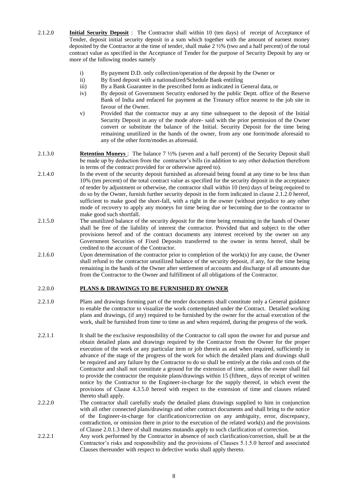- 2.1.2.0 **Initial Security Deposit** : The Contractor shall within 10 (ten days) of receipt of Acceptance of Tender, deposit initial security deposit in a sum which together with the amount of earnest money deposited by the Contractor at the time of tender, shall make 2 ½% (two and a half percent) of the total contract value as specified in the Acceptance of Tender for the purpose of Security Deposit by any or more of the following modes namely
	- i) By payment D.D. only collection/operation of the deposit by the Owner or
	- ii) By fixed deposit with a nationalized/Schedule Bank entitling
	- iii) By a Bank Guarantee in the prescribed form as indicated in General data, or
	- iv) By deposit of Government Security endorsed by the public Deptt. office of the Reserve Bank of India and enfaced for payment at the Treasury office nearest to the job site in favour of the Owner.
	- v) Provided that the contractor may at any time subsequent to the deposit of the Initial Security Deposit in any of the mode afore- said with the prior permission of the Owner convert or substitute the balance of the Initial. Security Deposit for the time being remaining unutilized in the hands of the owner, from any one form/mode aforesaid to any of the other form/modes as aforesaid.
- 2.1.3.0 **Retention Moneys** : The balance 7 ½% (seven and a half percent) of the Security Deposit shall be made up by deduction from the contractor's bills (in addition to any other deduction therefrom in terms of the contract provided for or otherwise agreed to).
- 2.1.4.0 In the event of the security deposit furnished as aforesaid being found at any time to be less than 10% (ten percent) of the total contract value as specified for the security deposit in the acceptance of tender by adjustment or otherwise, the contractor shall within 10 (ten) days of being required to do so by the Owner, furnish further security deposit in the form indicated in clause 2.1.2.0 hereof, sufficient to make good the short-fall, with a right in the owner (without prejudice to any other mode of recovery to apply any moneys for time being due or becoming due to the contractor to make good such shortfall.
- 2.1.5.0 The unutilized balance of the security deposit for the time being remaining in the hands of Owner shall be free of the liability of interest the contractor. Provided that and subject to the other provisions hereof and of the contract documents any interest received by the owner on any Government Securities of Fixed Deposits transferred to the owner in terms hereof, shall be credited to the account of the Contractor.
- 2.1.6.0 Upon determination of the contractor prior to completion of the work(s) for any cause, the Owner shall refund to the contractor unutilized balance of the security deposit, if any, for the time being remaining in the hands of the Owner after settlement of accounts and discharge of all amounts due from the Contractor to the Owner and fulfillment of all obligations of the Contractor.

#### 2.2.0.0 **PLANS & DRAWINGS TO BE FURNISHED BY OWNER**

- 2.2.1.0 Plans and drawings forming part of the tender documents shall constitute only a General guidance to enable the contractor to visualize the work contemplated under the Contract. Detailed working plans and drawings, (if any) required to be furnished by the owner for the actual execution of the work, shall be furnished from time to time as and when required, during the progress of the work.
- 2.2.1.1 It shall be the exclusive responsibility of the Contractor to call upon the owner for and pursue and obtain detailed plans and drawings required by the Contractor from the Owner for the proper execution of the work or any particular item or job therein as and when required, sufficiently in advance of the stage of the progress of the work for which the detailed plans and drawings shall be required and any failure by the Contractor to do so shall be entirely at the risks and costs of the Contractor and shall not constitute a ground for the extension of time, unless the owner shall fail to provide the contractor the requisite plans/drawings within 15 (fifteen\_ days of receipt of written notice by the Contractor to the Engineer-in-charge for the supply thereof, in which event the provisions of Clause 4.3.5.0 hereof with respect to the extension of time and clauses related thereto shall apply.
- 2.2.2.0 The contractor shall carefully study the detailed plans drawings supplied to him in conjunction with all other connected plans/drawings and other contract documents and shall bring to the notice of the Engineer-in-charge for clarification/correction on any ambiguity, error, discrepancy, contradiction, or omission there in prior to the execution of the related work(s) and the provisions of Clause 2.0.1.3 there of shall mutates mutandis apply to such clarification of correction.
- 2.2.2.1 Any work performed by the Contractor in absence of such clarification/correction, shall be at the Contractor's risks and responsibility and the provisions of Clauses 5.1.5.0 hereof and associated Clauses thereunder with respect to defective works shall apply thereto.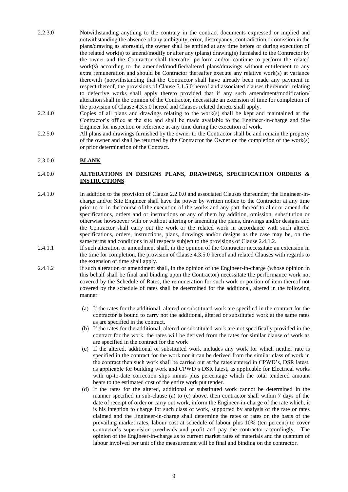- 2.2.3.0 Notwithstanding anything to the contrary in the contract documents expressed or implied and notwithstanding the absence of any ambiguity, error, discrepancy, contradiction or omission in the plans/drawing as aforesaid, the owner shall be entitled at any time before or during execution of the related work(s) to amend/modify or alter any (plans) drawing(s) furnished to the Contractor by the owner and the Contractor shall thereafter perform and/or continue to perform the related work(s) according to the amended/modified/altered plans/drawings without entitlement to any extra remuneration and should be Contractor thereafter execute any relative work(s) at variance therewith (notwithstanding that the Contractor shall have already been made any payment in respect thereof, the provisions of Clause 5.1.5.0 hereof and associated clauses thereunder relating to defective works shall apply thereto provided that if any such amendment/modification/ alteration shall in the opinion of the Contractor, necessitate an extension of time for completion of the provision of Clause 4.3.5.0 hereof and Clauses related thereto shall apply.
- 2.2.4.0 Copies of all plans and drawings relating to the work(s) shall be kept and maintained at the Contractor's office at the site and shall be made available to the Engineer-in-charge and Site Engineer for inspection or reference at any time during the execution of work.
- 2.2.5.0 All plans and drawings furnished by the owner to the Contractor shall be and remain the property of the owner and shall be returned by the Contractor the Owner on the completion of the work(s) or prior determination of the Contract.

#### 2.3.0.0 **BLANK**

#### 2.4.0.0 **ALTERATIONS IN DESIGNS PLANS, DRAWINGS, SPECIFICATION ORDERS & INSTRUCTIONS**

- 2.4.1.0 In addition to the provision of Clause 2.2.0.0 and associated Clauses thereunder, the Engineer-incharge and/or Site Engineer shall have the power by written notice to the Contractor at any time prior to or in the course of the execution of the works and any part thereof to alter or amend the specifications, orders and or instructions or any of them by addition, omission, substitution or otherwise howsoever with or without altering or amending the plans, drawings and/or designs and the Contractor shall carry out the work or the related work in accordance with such altered specifications, orders, instructions, plans, drawings and/or designs as the case may be, on the same terms and conditions in all respects subject to the provisions of Clause 2.4.1.2.
- 2.4.1.1 If such alteration or amendment shall, in the opinion of the Contractor necessitate an extension in the time for completion, the provision of Clause 4.3.5.0 hereof and related Clauses with regards to the extension of time shall apply.
- 2.4.1.2 If such alteration or amendment shall, in the opinion of the Engineer-in-charge (whose opinion in this behalf shall be final and binding upon the Contractor) necessitate the performance work not covered by the Schedule of Rates, the remuneration for such work or portion of item thereof not covered by the schedule of rates shall be determined for the additional, altered in the following manner
	- (a) If the rates for the additional, altered or substituted work are specified in the contract for the contractor is bound to carry not the additional, altered or substituted work at the same rates as are specified in the contract.
	- (b) If the rates for the additional, altered or substituted work are not specifically provided in the contract for the work, the rates will be derived from the rates for similar clause of work as are specified in the contract for the work
	- (c) If the altered, additional or substituted work includes any work for which neither rate is specified in the contract for the work nor it can be derived from the similar class of work in the contract then such work shall be carried out at the rates entered in CPWD's, DSR latest, as applicable for building work and CPWD's DSR latest, as applicable for Electrical works with up-to-date correction slips minus plus percentage which the total tendered amount bears to the estimated cost of the entire work put tender.
	- (d) If the rates for the altered, additional or substituted work cannot be determined in the manner specified in sub-clause (a) to (c) above, then contractor shall within 7 days of the date of receipt of order or carry out work, inform the Engineer-in-charge of the rate which, it is his intention to charge for such class of work, supported by analysis of the rate or rates claimed and the Engineer-in-charge shall determine the rates or rates on the basis of the prevailing market rates, labour cost at schedule of labour plus 10% (ten percent) to cover contractor's supervision overheads and profit and pay the contractor accordingly. The opinion of the Engineer-in-charge as to current market rates of materials and the quantum of labour involved per unit of the measurement will be final and binding on the contractor.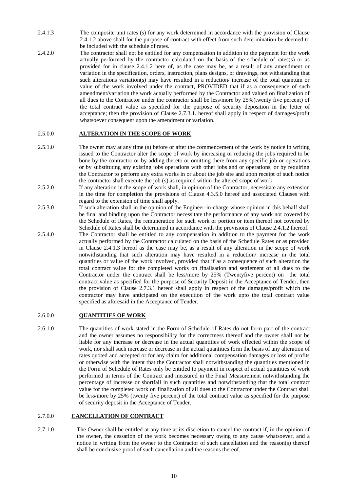- 2.4.1.3 The composite unit rates (s) for any work determined in accordance with the provision of Clause 2.4.1.2 above shall for the purpose of contract with effect from such determination be deemed to be included with the schedule of rates.
- 2.4.2.0 The contractor shall not be entitled for any compensation in addition to the payment for the work actually performed by the contractor calculated on the basis of the schedule of rates(s) or as provided for in clause 2.4.1.2 here of, as the case may be, as a result of any amendment or variation in the specification, orders, instruction, plans designs, or drawings, not withstanding that such alterations variation(s) may have resulted in a reduction/ increase of the total quantum or value of the work involved under the contract, PROVIDED that if as a consequence of such amendment/variation the work actually performed by the Contractor and valued on finalization of all dues to the Contractor under the contractor shall be less/more by 25%(twenty five percent) of the total contract value as specified for the purpose of security deposition in the letter of acceptance; then the provision of Clause 2.7.3.1. hereof shall apply in respect of damages/profit whatsoever consequent upon the amendment or variation.

#### 2.5.0.0 **ALTERATION IN THE SCOPE OF WORK**

- 2.5.1.0 The owner may at any time (s) before or after the commencement of the work by notice in writing issued to the Contractor alter the scope of work by increasing or reducing the jobs required to be bone by the contractor or by adding thereto or omitting there from any specific job or operations or by substituting any existing jobs operations with other jobs and or operations, or by requiring the Contractor to perform any extra works in or about the job site and upon receipt of such notice the contractor shall execute the job (s) as required within the altered scope of work.
- 2.5.2.0 If any alteration in the scope of work shall, in opinion of the Contractor, necessitate any extension in the time for completion the provisions of Clause 4.3.5.0 hereof and associated Clauses with regard to the extension of time shall apply.
- 2.5.3.0 If such alteration shall in the opinion of the Engineer-in-charge whose opinion in this behalf shall be final and binding upon the Contractor necessitate the performance of any work not covered by the Schedule of Rates, the remuneration for such work or portion or item thereof not covered by Schedule of Rates shall be determined in accordance with the provisions of Clause 2.4.1.2 thereof.
- 2.5.4.0 The Contractor shall be entitled to any compensation in addition to the payment for the work actually performed by the Contractor calculated on the basis of the Schedule Rates or as provided in Clause 2.4.1.3 hereof as the case may be, as a result of any alteration in the scope of work notwithstanding that such alteration may have resulted in a reduction/ increase in the total quantities or value of the work involved, provided that if as a consequence of such alteration the total contract value for the completed works on finalisation and settlement of all dues to the Contractor under the contract shall be less/more by 25% (Twentyfive percent) on the total contract value as specified for the purpose of Security Deposit in the Acceptance of Tender, then the provision of Clause 2.7.3.1 hereof shall apply in respect of the damages/profit which the contractor may have anticipated on the execution of the work upto the total contract value specified as aforesaid in the Acceptance of Tender.

#### 2.6.0.0 **QUANTITIES OF WORK**

2.6.1.0 The quantities of work stated in the Form of Schedule of Rates do not form part of the contract and the owner assumes no responsibility for the correctness thereof and the owner shall not be liable for any increase or decrease in the actual quantities of work effected within the scope of work, nor shall such increase or decrease in the actual quantities form the basis of any alteration of rates quoted and accepted or for any claim for additional compensation damages or loss of profits or otherwise with the intent that the Contractor shall notwithstanding the quantities mentioned in the Form of Schedule of Rates only be entitled to payment in respect of actual quantities of work performed in terms of the Contract and measured in the Final Measurement notwithstanding the percentage of increase or shortfall in such quantities and notwithstanding that the total contract value for the completed work on finalization of all dues to the Contractor under the Contract shall be less/more by 25% (twenty five percent) of the total contract value as specified for the purpose of security deposit in the Acceptance of Tender.

#### 2.7.0.0 **CANCELLATION OF CONTRACT**

2.7.1.0 The Owner shall be entitled at any time at its discretion to cancel the contract if, in the opinion of the owner, the cessation of the work becomes necessary owing to any cause whatsoever, and a notice in writing from the owner to the Contractor of such cancellation and the reason(s) thereof shall be conclusive proof of such cancellation and the reasons thereof.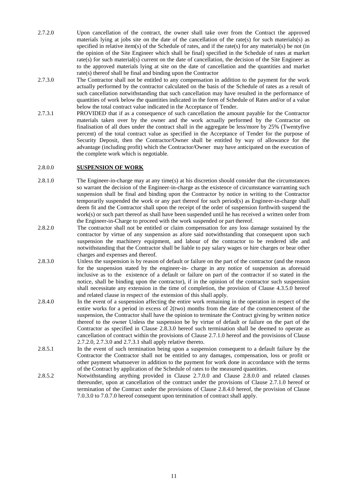- 2.7.2.0 Upon cancellation of the contract, the owner shall take over from the Contract the approved materials lying at jobs site on the date of the cancellation of the rate(s) for such materials(s) as specified in relative item(s) of the Schedule of rates, and if the rate(s) for any material(s) be not (in the opinion of the Site Engineer which shall be final) specified in the Schedule of rates at market rate(s) for such material(s) current on the date of cancellation, the decision of the Site Engineer as to the approved materials lying at site on the date of cancellation and the quantities and market rate(s) thereof shall be final and binding upon the Contractor
- 2.7.3.0 The Contractor shall not be entitled to any compensation in addition to the payment for the work actually performed by the contractor calculated on the basis of the Schedule of rates as a result of such cancellation notwithstanding that such cancellation may have resulted in the performance of quantities of work below the quantities indicated in the form of Schedule of Rates and/or of a value below the total contract value indicated in the Acceptance of Tender.
- 2.7.3.1 PROVIDED that if as a consequence of such cancellation the amount payable for the Contractor materials taken over by the owner and the work actually performed by the Contractor on finalisation of all dues under the contract shall in the aggregate be less/more by 25% (Twentyfive percent) of the total contract value as specified in the Acceptance of Tender for the purpose of Security Deposit, then the Contractor/Owner shall be entitled by way of allowance for the advantage (including profit) which the Contractor/Owner may have anticipated on the execution of the complete work which is negotiable.

#### 2.8.0.0 **SUSPENSION OF WORK**

- 2.8.1.0 The Engineer-in-charge may at any time(s) at his discretion should consider that the circumstances so warrant the decision of the Engineer-in-charge as the existence of circumstance warranting such suspension shall be final and binding upon the Contractor by notice in writing to the Contractor temporarily suspended the work or any part thereof for such period(s) as Engineer-in-charge shall deem fit and the Contractor shall upon the receipt of the order of suspension forthwith suspend the work(s) or such part thereof as shall have been suspended until he has received a written order from the Engineer-in-Charge to proceed with the work suspended or part thereof.
- 2.8.2.0 The contractor shall not be entitled or claim compensation for any loss damage sustained by the contractor by virtue of any suspension as afore said notwithstanding that consequent upon such suspension the machinery equipment, and labour of the contractor to be rendered idle and notwithstanding that the Contractor shall be liable to pay salary wages or hire charges or bear other charges and expenses and thereof.
- 2.8.3.0 Unless the suspension is by reason of default or failure on the part of the contractor (and the reason for the suspension stated by the engineer-in- charge in any notice of suspension as aforesaid inclusive as to the existence of a default or failure on part of the contractor if so stated in the notice, shall be binding upon the contractor), if in the opinion of the contractor such suspension shall necessitate any extension in the time of completion, the provision of Clause 4.3.5.0 hereof and related clause in respect of the extension of this shall apply.
- 2.8.4.0 In the event of a suspension affecting the entire work remaining in the operation in respect of the entire works for a period in excess of 2(two) months from the date of the commencement of the suspension, the Contractor shall have the opinion to terminate the Contract giving by written notice thereof to the owner Unless the suspension be by virtue of default or failure on the part of the Contractor as specified in Clause 2.8.3.0 hereof such termination shall be deemed to operate as cancellation of contract within the provisions of Clause 2.7.1.0 hereof and the provisions of Clause 2.7.2.0, 2.7.3.0 and 2.7.3.1 shall apply relative thereto.
- 2.8.5.1 In the event of such termination being upon a suspension consequent to a default failure by the Contractor the Contractor shall not be entitled to any damages, compensation, loss or profit or other payment whatsoever in addition to the payment for work done in accordance with the terms of the Contract by application of the Schedule of rates to the measured quantities.
- 2.8.5.2 Notwithstanding anything provided in Clause 2.7.0.0 and Clause 2.8.0.0 and related clauses thereunder, upon at cancellation of the contract under the provisions of Clause 2.7.1.0 hereof or termination of the Contract under the provisions of Clause 2.8.4.0 hereof, the provision of Clause 7.0.3.0 to 7.0.7.0 hereof consequent upon termination of contract shall apply.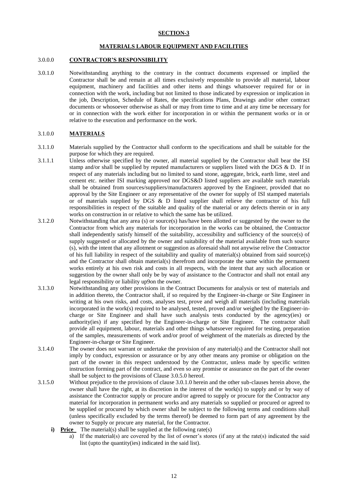#### **SECTION-3**

#### **MATERIALS LABOUR EQUIPMENT AND FACILITIES**

#### 3.0.0.0 **CONTRACTOR'S RESPONSIBILITY**

3.0.1.0 Notwithstanding anything to the contrary in the contract documents expressed or implied the Contractor shall be and remain at all times exclusively responsible to provide all material, labour equipment, machinery and facilities and other items and things whatsoever required for or in connection with the work, including but not limited to those indicated by expression or implication in the job, Description, Schedule of Rates, the specifications Plans, Drawings and/or other contract documents or whosoever otherwise as shall or may from time to time and at any time be necessary for or in connection with the work either for incorporation in or within the permanent works or in or relative to the execution and performance on the work.

#### 3.1.0.0 **MATERIALS**

- 3.1.1.0 Materials supplied by the Contractor shall conform to the specifications and shall be suitable for the purpose for which they are required.
- 3.1.1.1 Unless otherwise specified by the owner, all material supplied by the Contractor shall bear the ISI stamp and/or shall be supplied by reputed manufacturers or suppliers listed with the DGS  $\&$  D. If in respect of any materials including but no limited to sand stone, aggregate, brick, earth lime, steel and cement etc. neither ISI marking approved nor DGS&D listed suppliers are available such materials shall be obtained from sources/suppliers/manufacturers approved by the Engineer, provided that no approval by the Site Engineer or any representative of the owner for supply of ISI stamped materials or of materials supplied by DGS & D listed supplier shall relieve the contractor of his full responsibilities in respect of the suitable and quality of the material or any defects therein or in any works on construction in or relative to which the same has be utilized.
- 3.1.2.0 Notwithstanding that any area (s) or source(s) has/have been allotted or suggested by the owner to the Contractor from which any materials for incorporation in the works can be obtained, the Contractor shall independently satisfy himself of the suitability, accessibility and sufficiency of the source(s) of supply suggested or allocated by the owner and suitability of the material available from such source (s), with the intent that any allotment or suggestion as aforesaid shall not anywise relive the Contractor of his full liability in respect of the suitability and quality of material(s) obtained from said source(s) and the Contractor shall obtain material(s) therefrom and incorporate the same within the permanent works entirely at his own risk and costs in all respects, with the intent that any such allocation or suggestion by the owner shall only be by way of assistance to the Contractor and shall not entail any legal responsibility or liability up9on the owner.
- 3.1.3.0 Notwithstanding any other provisions in the Contract Documents for analysis or test of materials and in addition thereto, the Contractor shall, if so required by the Engineer-in-charge or Site Engineer in writing at his own risks, and costs, analyses test, prove and weigh all materials (including materials incorporated in the work(s) required to be analysed, tested, proved and/or weighed by the Engineer-incharge or Site Engineer and shall have such analysis tests conducted by the agency(ies) or authority(ies) if any specified by the Engineer-in-charge or Site Engineer. The contractor shall provide all equipment, labour, materials and other things whatsoever required for testing, preparation of the samples, measurements of work and/or proof of weighment of the materials as directed by the Engineer-in-charge or Site Engineer.
- 3.1.4.0 The owner does not warrant or undertake the provision of any material(s) and the Contractor shall not imply by conduct, expression or assurance or by any other means any promise or obligation on the part of the owner in this respect understood by the Contractor, unless made by specific written instruction forming part of the contract, and even so any promise or assurance on the part of the owner shall be subject to the provisions of Clause 3.0.5.0 hereof.
- 3.1.5.0 Without prejudice to the provisions of clause 3.0.1.0 herein and the other sub-clauses herein above, the owner shall have the right, at its discretion in the interest of the work(s) to supply and or by way of assistance the Contractor supply or procure and/or agreed to supply or procure for the Contractor any material for incorporation in permanent works and any materials so supplied or procured or agreed to be supplied or procured by which owner shall be subject to the following terms and conditions shall (unless specifically excluded by the terms thereof) be deemed to form part of any agreement by the owner to Supply or procure any material, for the Contractor.
	- **i) Price** The material(s) shall be supplied at the following rate(s)
		- a) If the material(s) are covered by the list of owner's stores (if any at the rate(s) indicated the said list (upto the quantity(ies) indicated in the said list).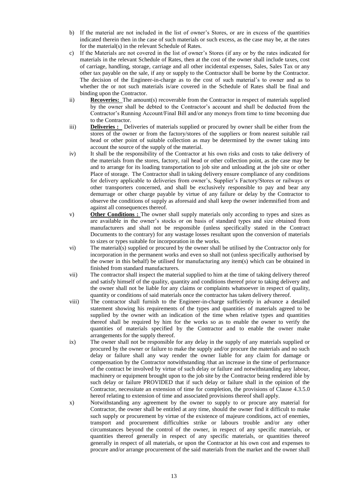- b) If the material are not included in the list of owner's Stores, or are in excess of the quantities indicated therein then in the case of such materials or such excess, as the case may be, at the rates for the material(s) in the relevant Schedule of Rates.
- c) If the Materials are not covered in the list of owner's Stores (if any or by the rates indicated for materials in the relevant Schedule of Rates, then at the cost of the owner shall include taxes, cost of carriage, handling, storage, carriage and all other incidental expenses, Sales, Sales Tax or any other tax payable on the sale, if any or supply to the Contractor shall be borne by the Contractor. The decision of the Engineer-in-charge as to the cost of such material's to owner and as to whether the or not such materials is/are covered in the Schedule of Rates shall be final and binding upon the Contractor.
- ii) **Recoveries:** The amount(s) recoverable from the Contractor in respect of materials supplied by the owner shall be debted to the Contractor's account and shall be deducted from the Contractor's Running Account/Final Bill and/or any moneys from time to time becoming due to the Contractor.
- iii) **Deliveries :** Deliveries of materials supplied or procured by owner shall be either from the stores of the owner or from the factory/stores of the suppliers or from nearest suitable rail head or other point of suitable collection as may be determined by the owner taking into account the source of the supply of the material.
- iv) It shall be the responsibility of the Contractor at his own risks and costs to take delivery of the materials from the stores, factory, rail head or other collection point, as the case may be and to arrange for its loading transportation to job site and unloading at the job site or other Place of storage. The Contractor shall in taking delivery ensure compliance of any conditions for delivery applicable to deliveries from owner's, Supplier's Factory/Stores or railways or other transporters concerned, and shall be exclusively responsible to pay and bear any demurrage or other charge payable by virtue of any failure or delay by the Contractor to observe the conditions of supply as aforesaid and shall keep the owner indemnified from and against all consequences thereof.
- v) **Other Conditions :** The owner shall supply materials only according to types and sizes as are available in the owner's stocks or on basis of standard types and size obtained from manufacturers and shall not be responsible (unless specifically stated in the Contract Documents to the contrary) for any wastage losses resultant upon the conversion of materials to sizes or types suitable for incorporation in the works.
- vi) The material(s) supplied or procured by the owner shall be utilised by the Contractor only for incorporation in the permanent works and even so shall not (unless specifically authorised by the owner in this behalf) be utilised for manufacturing any item(s) which can be obtained in finished from standard manufacturers.
- vii) The contractor shall inspect the material supplied to him at the time of taking delivery thereof and satisfy himself of the quality, quantity and conditions thereof prior to taking delivery and the owner shall not be liable for any claims or complaints whatsoever in respect of quality, quantity or conditions of said materials once the contractor has taken delivery thereof.
- viii) The contractor shall furnish to the Engineer-in-charge sufficiently in advance a detailed statement showing his requirements of the types and quantities of materials agreed to be supplied by the owner with an indication of the time when relative types and quantities thereof shall be required by him for the works so as to enable the owner to verify the quantities of materials specified by the Contractor and to enable the owner make arrangements for the supply thereof.
- ix) The owner shall not be responsible for any delay in the supply of any materials supplied or procured by the owner or failure to make the supply and/or procure the materials and no such delay or failure shall any way render the owner liable for any claim for damage or compensation by the Contractor notwithstanding /that an increase in the time of performance of the contract be involved by virtue of such delay or failure and notwithstanding any labour, machinery or equipment brought upon to the job site by the Contractor being rendered ible by such delay or failure PROVIDED that if such delay or failure shall in the opinion of the Contractor, necessitate an extension of time for completion, the provisions of Clause 4.3.5.0 hereof relating to extension of time and associated provisions thereof shall apply.
- x) Notwithstanding any agreement by the owner to supply to or procure any material for Contractor, the owner shall be entitled at any time, should the owner find it difficult to make such supply or procurement by virtue of the existence of majeure conditions, act of enemies, transport and procurement difficulties strike or labours trouble and/or any other circumstances beyond the control of the owner, in respect of any specific materials, or quantities thereof generally in respect of any specific materials, or quantities thereof generally in respect of all materials, or upon the Contractor at his own cost and expenses to procure and/or arrange procurement of the said materials from the market and the owner shall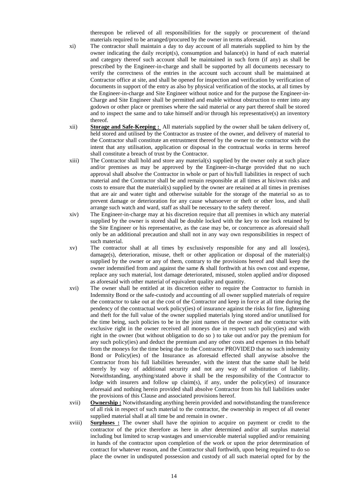thereupon be relieved of all responsibilities for the supply or procurement of the/and materials required to be arranged/procured by the owner in terms aforesaid.

- xi) The contractor shall maintain a day to day account of all materials supplied to him by the owner indicating the daily receipt(s), consumption and balance(s) in hand of each material and category thereof such account shall be maintained in such form (if any) as shall be prescribed by the Engineer-in-charge and shall be supported by all documents necessary to verify the correctness of the entries in the account such account shall be maintained at Contractor office at site, and shall be opened for inspection and verification by verification of documents in support of the entry as also by physical verification of the stocks, at all times by the Engineer-in-charge and Site Engineer without notice and for the purpose the Engineer-in-Charge and Site Engineer shall be permitted and enable without obstruction to enter into any godown or other place or premises where the said material or any part thereof shall be stored and to inspect the same and to take himself and/or through his representative(s) an inventory thereof.
- xii) **Storage and Safe-Keeping :** All materials supplied by the owner shall be taken delivery of, held stored and utilised by the Contractor as trustee of the owner, and delivery of material to the Contractor shall constitute an entrustment thereof by the owner to the contractor with the intent that any utilisation, application or disposal in the contractual works in terms hereof shall constitute a breach of trust by the Contractor.
- xiii) The Contractor shall hold and store any material(s) supplied by the owner only at such place and/or premises as may be approved by the Engineer-in-charge provided that no such approval shall absolve the Contractor in whole or part of his/full liabilities in respect of such material and the Contractor shall be and remain responsible at all times at his/own risks and costs to ensure that the material(s) supplied by the owner are retained at all times in premises that are air and water tight and otherwise suitable for the storage of the material so as to prevent damage or deterioration for any cause whatsoever or theft or other loss, and shall arrange such watch and ward, staff as shall be necessary to the safety thereof.
- xiv) The Engineer-in-charge may at his discretion require that all premises in which any material supplied by the owner is stored shall be double locked with the key to one lock retained by the Site Engineer or his representative, as the case may be, or concurrence as aforesaid shall only be an additional precaution and shall not in any way own responsibilities in respect of such material.
- xv) The contractor shall at all times by exclusively responsible for any and all loss(es),  $\text{damage}(s)$ , deterioration, misuse, theft or other application or disposal of the material(s) supplied by the owner or any of them, contrary to the provisions hereof and shall keep the owner indemnified from and against the same & shall forthwith at his own cost and expense, replace any such material, lost damage deteriorated, misused, stolen applied and/or disposed as aforesaid with other material of equivalent quality and quantity.
- xvi) The owner shall be entitled at its discretion either to require the Contractor to furnish in Indemnity Bond or the safe-custody and accounting of all owner supplied materials of require the contractor to take out at the cost of the Contractor and keep in force at all time during the pendency of the contractual work policy(ies) of insurance against the risks for fire, lightening and theft for the full value of the owner supplied materials lying stored and/or unutilised for the time being, such policies to be in the joint names of the owner and the contractor with exclusive right in the owner received all moneys due in respect such policy(ies) and with right in the owner (but without obligation to do so ) to take out and/or pay the premium for any such policy(ies) and deduct the premium and any other costs and expenses in this behalf from the moneys for the time being due to the Contractor PROVIDED that no such indemnity Bond or Policy(ies) of the Insurance as aforesaid effected shall anywise absolve the Contractor from his full liabilities hereunder, with the intent that the same shall be held merely by way of additional security and not any way of substitution of liability. Notwithstanding, anything/stated above it shall be the responsibility of the Contractor to lodge with insurers and follow up claim(s), if any, under the policy(ies) of insurance aforesaid and nothing herein provided shall absolve Contractor from his full liabilities under the provisions of this Clause and associated provisions hereof.
- xvii) **Ownership :** Notwithstanding anything herein provided and notwithstanding the transference of all risk in respect of such material to the contractor, the ownership in respect of all owner supplied material shall at all time be and remain in owner .
- xviii) **Surpluses :** The owner shall have the opinion to acquire on payment or credit to the contractor of the price therefore as here in after determined and/or all surplus material including but limited to scrap wastages and unserviceable material supplied and/or remaining in hands of the contractor upon completion of the work or upon the prior determination of contract for whatever reason, and the Contractor shall forthwith, upon being required to do so place the owner in undisputed possession and custody of all such material opted for by the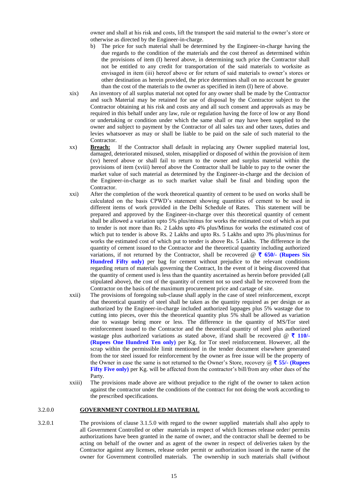owner and shall at his risk and costs, lift the transport the said material to the owner's store or otherwise as directed by the Engineer-in-charge.

- b) The price for such material shall be determined by the Engineer-in-charge having the due regards to the condition of the materials and the cost thereof as determined within the provisions of item (I) hereof above, in determining such price the Contractor shall not be entitled to any credit for transportation of the said materials to worksite as envisaged in item (iii) hereof above or for return of said materials to owner's stores or other destination as herein provided, the price determines shall on no account be greater than the cost of the materials to the owner as specified in item (I) here of above.
- xix) An inventory of all surplus material not opted for any owner shall be made by the Contractor and such Material may be retained for use of disposal by the Contractor subject to the Contractor obtaining at his risk and costs any and all such consent and approvals as may be required in this behalf under any law, rule or regulation having the force of low or any Bond or undertaking or condition under which the same shall or may have been supplied to the owner and subject to payment by the Contractor of all sales tax and other taxes, duties and levies whatsoever as may or shall be liable to be paid on the sale of such material to the Contractor.
- xx) **Breach:** If the Contractor shall default in replacing any Owner supplied material lost, damaged, deteriorated misused, stolen, misapplied or disposed of within the provision of item (xv) hereof above or shall fail to return to the owner and surplus material within the provisions of item (xviii) hereof above the Contractor shall be liable to pay to the owner the market value of such material as determined by the Engineer-in-charge and the decision of the Engineer-in-charge as to such market value shall be final and binding upon the Contractor.
- xxi) After the completion of the work theoretical quantity of cement to be used on works shall be calculated on the basis CPWD's statement showing quantities of cement to be used in different items of work provided in the Delhi Schedule of Rates. This statement will be prepared and approved by the Engineer-in-charge over this theoretical quantity of cement shall be allowed a variation upto 5% plus/minus for works the estimated cost of which as put to tender is not more than Rs. 2 Lakhs upto 4% plus/Minus for works the estimated cost of which put to tender is above Rs. 2 Lakhs and upto Rs. 5 Lakhs and upto 3% plus/minus for works the estimated cost of which put to tender is above Rs. 5 Lakhs. The difference in the quantity of cement issued to the Contractor and the theoretical quantity including authorized variations, if not returned by the Contractor, shall be recovered  $\mathcal{Q} \bar{\tau}$  650/- (Rupees Six **Hundred Fifty only)** per bag for cement without prejudice to the relevant conditions regarding return of materials governing the Contract, In the event of it being discovered that the quantity of cement used is less than the quantity ascertained as herein before provided (all stipulated above), the cost of the quantity of cement not so used shall be recovered from the Contractor on the basis of the maximum procurement price and cartage of site.
- xxii) The provisions of foregoing sub-clause shall apply in the case of steel reinforcement, except that theoretical quantity of steel shall be taken as the quantity required as per design or as authorized by the Engineer-in-charge included authorized lappages plus 5% wastage due to cutting into pieces, over this the theoretical quantity plus 5% shall be allowed as variation due to wastage being more or less. The difference in the quantity of MS/Tor steel reinforcement issued to the Contractor and the theoretical quantity of steel plus authorized wastage plus authorized variations as stated above, if/and shall be recovered  $\mathcal{Q} \bar{\tau}$  110/-**(Rupees One Hundred Ten only)** per Kg. for Tor steel reinforcement. However, all the scrap within the permissible limit mentioned in the tender document elsewhere generated from the tor steel issued for reinforcement by the owner as free issue will be the property of the Owner in case the same is not returned to the Owner's Store, recovery  $\omega \bar{\tau}$  55/- (**Rupees Fifty Five only)** per Kg. will be affected from the contractor's bill/from any other dues of the Party.
- xxiii) The provisions made above are without prejudice to the right of the owner to taken action against the contractor under the conditions of the contract for not doing the work according to the prescribed specifications.

#### 3.2.0.0 **GOVERNMENT CONTROLLED MATERIAL**

3.2.0.1 The provisions of clause 3.1.5.0 with regard to the owner supplied materials shall also apply to all Government Controlled or other materials in respect of which licenses release order/ permits authorizations have been granted in the name of owner, and the contractor shall be deemed to be acting on behalf of the owner and as agent of the owner in respect of deliveries taken by the Contractor against any licenses, release order permit or authorization issued in the name of the owner for Government controlled materials. The ownership in such materials shall (without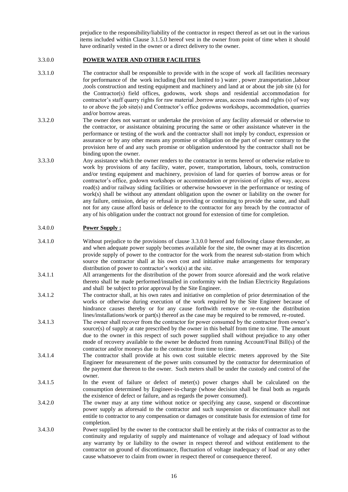prejudice to the responsibility/liability of the contractor in respect thereof as set out in the various items included within Clause 3.1.5.0 hereof vest in the owner from point of time when it should have ordinarily vested in the owner or a direct delivery to the owner.

#### 3.3.0.0 **POWER WATER AND OTHER FACILITIES**

- 3.3.1.0 The contractor shall be responsible to provide with in the scope of work all facilities necessary for performance of the work including (but not limited to ) water, power, transportation, labour ,tools construction and testing equipment and machinery and land at or about the job site (s) for the Contractor(s) field offices, godowns, work shops and residential accommodation for contractor's staff quarry rights for raw material ,borrow areas, access roads and rights (s) of way to or above the job site(s) and Contractor's office godowns workshops, accommodation, quarries and/or borrow areas.
- 3.3.2.0 The owner does not warrant or undertake the provision of any facility aforesaid or otherwise to the contractor, or assistance obtaining procuring the same or other assistance whatever in the performance or testing of the work and the contractor shall not imply by conduct, expression or assurance or by any other means any promise or obligation on the part of owner contrary to the provision here of and any such promise or obligation understood by the contractor shall not be binding upon the owner.
- 3.3.3.0 Any assistance which the owner renders to the contractor in terms hereof or otherwise relative to work by provisions of any facility, water, power, transportation, labours, tools, construction and/or testing equipment and machinery, provision of land for queries of borrow areas or for contractor's office, godown workshops or accommodation or provision of rights of way, access road(s) and/or railway siding facilities or otherwise howsoever in the performance or testing of work(s) shall be without any attendant obligation upon the owner or liability on the owner for any failure, omission, delay or refusal in providing or continuing to provide the same, and shall not for any cause afford basis or defence to the contractor for any breach by the contractor of any of his obligation under the contract not ground for extension of time for completion.

#### 3.4.0.0 **Power Supply :**

- 3.4.1.0 Without prejudice to the provisions of clause 3.3.0.0 hereof and following clause thereunder, as and when adequate power supply becomes available for the site, the owner may at its discretion provide supply of power to the contractor for the work from the nearest sub-station from which source the contractor shall at his own cost and initiative make arrangements for temporary distribution of power to contractor's work(s) at the site.
- 3.4.1.1 All arrangements for the distribution of the power from source aforesaid and the work relative thereto shall be made performed/installed in conformity with the Indian Electricity Regulations and shall be subject to prior approval by the Site Engineer.
- 3.4.1.2 The contractor shall, at his own rates and initiative on completion of prior determination of the works or otherwise during execution of the work required by the Site Engineer because of hindrance causes thereby or for any cause forthwith remove or re-route the distribution lines/installations/work or part(s) thereof as the case may be required to be removed, re-routed.
- 3.4.1.3 The owner shall recover from the contractor for power consumed by the contractor from owner's source(s) of supply at rate prescribed by the owner in this behalf from time to time. The amount due to the owner in this respect of such power supplied shall without prejudice to any other mode of recovery available to the owner be deducted from running Account/Final Bill(s) of the contractor and/or moneys due to the contractor from time to time.
- 3.4.1.4 The contractor shall provide at his own cost suitable electric meters approved by the Site Engineer for measurement of the power units consumed by the contractor for determination of the payment due thereon to the owner. Such meters shall be under the custody and control of the owner.
- 3.4.1.5 In the event of failure or defect of meter(s) power charges shall be calculated on the consumption determined by Engineer-in-charge (whose decision shall be final both as regards the existence of defect or failure, and as regards the power consumed).
- 3.4.2.0 The owner may at any time without notice or specifying any cause, suspend or discontinue power supply as aforesaid to the contractor and such suspension or discontinuance shall not entitle to contractor to any compensation or damages or constitute basis for extension of time for completion.
- 3.4.3.0 Power supplied by the owner to the contractor shall be entirely at the risks of contractor as to the continuity and regularity of supply and maintenance of voltage and adequacy of load without any warranty by or liability to the owner in respect thereof and without entitlement to the contractor on ground of discontinuance, fluctuation of voltage inadequacy of load or any other cause whatsoever to claim from owner in respect thereof or consequence thereof.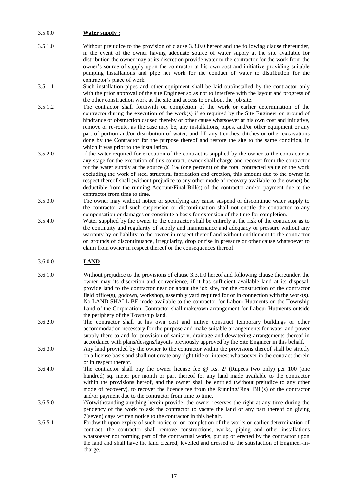## 3.5.0.0 **Water supply :**

- 3.5.1.0 Without prejudice to the provision of clause 3.3.0.0 hereof and the following clause thereunder, in the event of the owner having adequate source of water supply at the site available for distribution the owner may at its discretion provide water to the contractor for the work from the owner's source of supply upon the contractor at his own cost and initiative providing suitable pumping installations and pipe net work for the conduct of water to distribution for the contractor's place of work.
- 3.5.1.1 Such installation pipes and other equipment shall be laid out/installed by the contractor only with the prior approval of the site Engineer so as not to interfere with the layout and progress of the other construction work at the site and access to or about the job site.
- 3.5.1.2 The contractor shall forthwith on completion of the work or earlier determination of the contractor during the execution of the work(s) if so required by the Site Engineer on ground of hindrance or obstruction caused thereby or other cause whatsoever at his own cost and initiative, remove or re-route, as the case may be, any installations, pipes, and/or other equipment or any part of portion and/or distribution of water, and fill any trenches, ditches or other excavations done by the Contractor for the purpose thereof and restore the site to the same condition, in which it was prior to the installation.
- 3.5.2.0 If the water required for execution of the contract is supplied by the owner to the contractor at any stage for the execution of this contract, owner shall charge and recover from the contractor for the water supply at the source @ 1% (one percent) of the total contracted value of the work excluding the work of steel structural fabrication and erection, this amount due to the owner in respect thereof shall (without prejudice to any other mode of recovery available to the owner) be deductible from the running Account/Final Bill(s) of the contractor and/or payment due to the contractor from time to time.
- 3.5.3.0 The owner may without notice or specifying any cause suspend or discontinue water supply to the contractor and such suspension or discontinuation shall not entitle the contractor to any compensation or damages or constitute a basis for extension of the time for completion.
- 3.5.4.0 Water supplied by the owner to the contractor shall be entirely at the risk of the contractor as to the continuity and regularity of supply and maintenance and adequacy or pressure without any warranty by or liability to the owner in respect thereof and without entitlement to the contractor on grounds of discontinuance, irregularity, drop or rise in pressure or other cause whatsoever to claim from owner in respect thereof or the consequences thereof.

#### 3.6.0.0 **LAND**

- 3.6.1.0 Without prejudice to the provisions of clause 3.3.1.0 hereof and following clause thereunder, the owner may its discretion and convenience, if it has sufficient available land at its disposal, provide land to the contractor near or about the job site, for the construction of the contractor field office(s), godown, workshop, assembly yard required for or in connection with the work(s). No LAND SHALL BE made available to the contractor for Labour Hutments on the Township Land of the Corporation, Contractor shall make/own arrangement for Labour Hutments outside the periphery of the Township land.
- 3.6.2.0 The contractor shall at his own cost and initive construct temporary buildings or other accommodation necessary for the purpose and make suitable arrangements for water and power supply there to and for provision of sanitary, drainage and dewatering arrangements thereof in accordance with plans/designs/layouts previously approved by the Site Engineer in this behalf.
- 3.6.3.0 Any land provided by the owner to the contractor within the provisions thereof shall be strictly on a license basis and shall not create any right title or interest whatsoever in the contract therein or in respect thereof.
- 3.6.4.0 The contractor shall pay the owner license fee @ Rs. 2/ (Rupees two only) per 100 (one hundred) sq. meter per month or part thereof for any land made available to the contractor within the provisions hereof, and the owner shall be entitled (without prejudice to any other mode of recovery), to recover the licence fee from the Running/Final Bill(s) of the contractor and/or payment due to the contractor from time to time.
- 3.6.5.0 \Notwithstanding anything herein provide, the owner reserves the right at any time during the pendency of the work to ask the contractor to vacate the land or any part thereof on giving 7(seven) days written notice to the contractor in this behalf.
- 3.6.5.1 Forthwith upon expiry of such notice or on completion of the works or earlier determination of contract, the contractor shall remove constructions, works, piping and other installations whatsoever not forming part of the contractual works, put up or erected by the contractor upon the land and shall have the land cleared, levelled and dressed to the satisfaction of Engineer-incharge.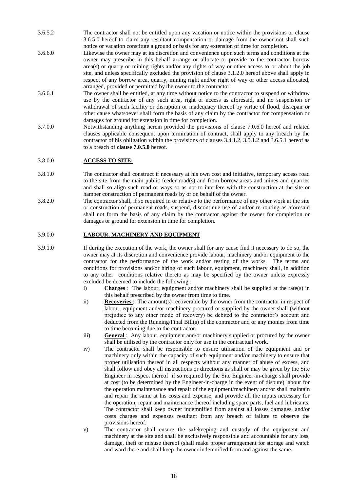- 3.6.5.2 The contractor shall not be entitled upon any vacation or notice within the provisions or clause 3.6.5.0 hereof to claim any resultant compensation or damage from the owner not shall such notice or vacation constitute a ground or basis for any extension of time for completion.
- 3.6.6.0 Likewise the owner may at its discretion and convenience upon such terms and conditions at the owner may prescribe in this behalf arrange or allocate or provide to the contractor borrow area(s) or quarry or mining rights and/or any rights of way or other access to or about the job site, and unless specifically excluded the provision of clause 3.1.2.0 hereof above shall apply in respect of any borrow area, quarry, mining right and/or right of way or other access allocated, arranged, provided or permitted by the owner to the contractor.
- 3.6.6.1 The owner shall be entitled, at any time without notice to the contractor to suspend or withdraw use by the contractor of any such area, right or access as aforesaid, and no suspension or withdrawal of such facility or disruption or inadequacy thereof by virtue of flood, disrepair or other cause whatsoever shall form the basis of any claim by the contractor for compensation or damages for ground for extension in time for completion.
- 3.7.0.0 Notwithstanding anything herein provided the provisions of clause 7.0.6.0 hereof and related clauses applicable consequent upon termination of contract, shall apply to any breach by the contractor of his obligation within the provisions of clauses 3.4.1.2, 3.5.1.2 and 3.6.5.1 hereof as to a breach of **clause 7.0.5.0** hereof.

## 3.8.0.0 **ACCESS TO SITE:**

- 3.8.1.0 The contractor shall construct if necessary at his own cost and initiative, temporary access road to the site from the main public feeder road(s) and from borrow areas and mines and quarries and shall so align such road or ways so as not to interfere with the construction at the site or hamper construction of permanent roads by or on behalf of the owner.
- 3.8.2.0 The contractor shall, if so required in or relative to the performance of any other work at the site or construction of permanent roads, suspend, discontinue use of and/or re-routing as aforesaid shall not form the basis of any claim by the contractor against the owner for completion or damages or ground for extension in time for completion.

## 3.9.0.0 **LABOUR, MACHINERY AND EQUIPMENT**

- 3.9.1.0 If during the execution of the work, the owner shall for any cause find it necessary to do so, the owner may at its discretion and convenience provide labour, machinery and/or equipment to the contractor for the performance of the work and/or testing of the works. The terms and conditions for provisions and/or hiring of such labour, equipment, machinery shall, in addition to any other conditions relative thereto as may be specified by the owner unless expressly excluded be deemed to include the following :
	- i) **Charges** : The labour, equipment and/or machinery shall be supplied at the rate(s) in this behalf prescribed by the owner from time to time.
	- ii) **Recoveries**: The amount(s) recoverable by the owner from the contractor in respect of labour, equipment and/or machinery procured or supplied by the owner shall (without prejudice to any other mode of recovery) be debited to the contractor's account and deducted from the Running/Final Bill(s) of the contractor and or any monies from time to time becoming due to the contractor.
	- iii) **General**: Any labour, equipment and/or machinery supplied or procured by the owner shall be utilised by the contractor only for use in the contractual work.
	- iv) The contractor shall be responsible to ensure utilisation of the equipment and or machinery only within the capacity of such equipment and/or machinery to ensure that proper utilisation thereof in all respects without any manner of abuse of excess, and shall follow and obey all instructions or directions as shall or may be given by the Site Engineer in respect thereof if so required by the Site Engineer-in-charge shall provide at cost (to be determined by the Engineer-in-charge in the event of dispute) labour for the operation maintenance and repair of the equipment/machinery and/or shall maintain and repair the same at his costs and expense, and provide all the inputs necessary for the operation, repair and maintenance thereof including spare parts, fuel and lubricants. The contractor shall keep owner indemnified from against all losses damages, and/or costs charges and expenses resultant from any breach of failure to observe the provisions hereof.
	- v) The contractor shall ensure the safekeeping and custody of the equipment and machinery at the site and shall be exclusively responsible and accountable for any loss, damage, theft or misuse thereof (shall make proper arrangement for storage and watch and ward there and shall keep the owner indemnified from and against the same.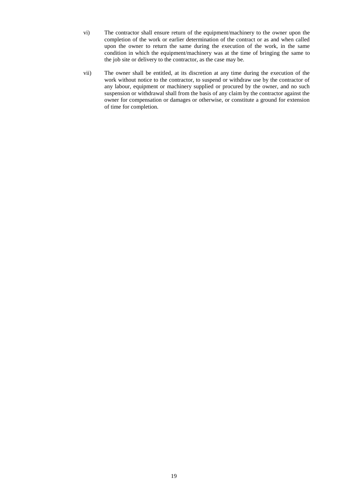- vi) The contractor shall ensure return of the equipment/machinery to the owner upon the completion of the work or earlier determination of the contract or as and when called upon the owner to return the same during the execution of the work, in the same condition in which the equipment/machinery was at the time of bringing the same to the job site or delivery to the contractor, as the case may be.
- vii) The owner shall be entitled, at its discretion at any time during the execution of the work without notice to the contractor, to suspend or withdraw use by the contractor of any labour, equipment or machinery supplied or procured by the owner, and no such suspension or withdrawal shall from the basis of any claim by the contractor against the owner for compensation or damages or otherwise, or constitute a ground for extension of time for completion.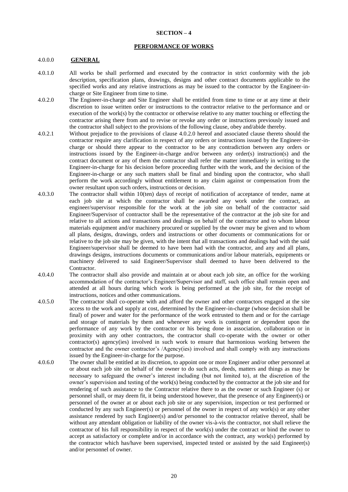#### **SECTION – 4**

#### **PERFORMANCE OF WORKS**

#### 4.0.0.0 **GENERAL**

- 4.0.1.0 All works be shall performed and executed by the contractor in strict conformity with the job description, specification plans, drawings, designs and other contract documents applicable to the specified works and any relative instructions as may be issued to the contractor by the Engineer-incharge or Site Engineer from time to time.
- 4.0.2.0 The Engineer-in-charge and Site Engineer shall be entitled from time to time or at any time at their discretion to issue written order or instructions to the contractor relative to the performance and or execution of the work(s) by the contractor or otherwise relative to any matter touching or effecting the contractor arising there from and to revise or revoke any order or instructions previously issued and the contractor shall subject to the provisions of the following clause, obey and/abide thereby.
- 4.0.2.1 Without prejudice to the provisions of clause 4.0.2.0 hereof and associated clause thereto should the contractor require any clarification in respect of any orders or instructions issued by the Engineer-incharge or should there appear to the contractor to be any contradiction between any orders or instructions issued by the Engineer-in-charge and/or between any order(s) instruction(s) and the contract document or any of them the contractor shall refer the matter immediately in writing to the Engineer-in-charge for his decision before proceeding further with the work, and the decision of the Engineer-in-charge or any such matters shall be final and binding upon the contractor, who shall perform the work accordingly without entitlement to any claim against or compensation from the owner resultant upon such orders, instructions or decision.
- 4.0.3.0 The contractor shall within 10(ten) days of receipt of notification of acceptance of tender, name at each job site at which the contractor shall be awarded any work under the contract, an engineer/supervisor responsible for the work at the job site on behalf of the contractor said Engineer/Supervisor of contractor shall be the representative of the contractor at the job site for and relative to all actions and transactions and dealings on behalf of the contractor and to whom labour materials equipment and/or machinery procured or supplied by the owner may be given and to whom all plans, designs, drawings, orders and instructions or other documents or communications for or relative to the job site may be given, with the intent that all transactions and dealings had with the said Engineer/supervisor shall be deemed to have been had with the contractor, and any and all plans, drawings designs, instructions documents or communications and/or labour materials, equipments or machinery delivered to said Engineer/Supervisor shall deemed to have been delivered to the Contractor.
- 4.0.4.0 The contractor shall also provide and maintain at or about each job site, an office for the working accommodation of the contractor's Engineer/Supervisor and staff, such office shall remain open and attended at all hours during which work is being performed at the job site, for the receipt of instructions, notices and other communications.
- 4.0.5.0 The contractor shall co-operate with and afford the owner and other contractors engaged at the site access to the work and supply at cost, determined by the Engineer-in-charge (whose decision shall be final) of power and water for the performance of the work entrusted to them and or for the carriage and storage of materials by them and whenever any work is contingent or dependent upon the performance of any work by the contractor or his being done in association, collaboration or in proximity with any other contractors, the contractor shall co-operate with the owner or other contractor(s) agency(ies) involved in such work to ensure that harmonious working between the contractor and the owner contractor's /Agency(ies) involved and shall comply with any instructions issued by the Engineer-in-charge for the purpose.
- 4.0.6.0 The owner shall be entitled at its discretion, to appoint one or more Engineer and/or other personnel at or about each job site on behalf of the owner to do such acts, deeds, matters and things as may be necessary to safeguard the owner's interest including (but not limited to), at the discretion of the owner's supervision and testing of the work(s) being conducted by the contractor at the job site and for rendering of such assistance to the Contractor relative there to as the owner or such Engineer (s) or personnel shall, or may deem fit, it being understood however, that the presence of any Engineer(s) or personnel of the owner at or about each job site or any supervision, inspection or test performed or conducted by any such Engineer(s) or personnel of the owner in respect of any work(s) or any other assistance rendered by such Engineer(s) and/or personnel to the contractor relative thereof, shall be without any attendant obligation or liability of the owner vis-à-vis the contractor, not shall relieve the contractor of his full responsibility in respect of the work(s) under the contract or bind the owner to accept as satisfactory or complete and/or in accordance with the contract, any work(s) performed by the contractor which has/have been supervised, inspected tested or assisted by the said Engineer(s) and/or personnel of owner.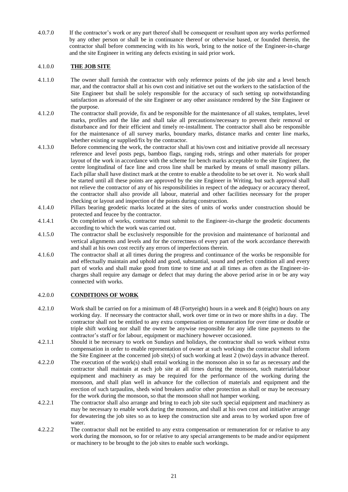4.0.7.0 If the contractor's work or any part thereof shall be consequent or resultant upon any works performed by any other person or shall be in continuance thereof or otherwise based, or founded therein, the contractor shall before commencing with its his work, bring to the notice of the Engineer-in-charge and the site Engineer in writing any defects existing in said prior work.

# 4.1.0.0 **THE JOB SITE**

- 4.1.1.0 The owner shall furnish the contractor with only reference points of the job site and a level bench mar, and the contractor shall at his own cost and initiative set out the workers to the satisfaction of the Site Engineer but shall be solely responsible for the accuracy of such setting up notwithstanding satisfaction as aforesaid of the site Engineer or any other assistance rendered by the Site Engineer or the purpose.
- 4.1.2.0 The contractor shall provide, fix and be responsible for the maintenance of all stakes, templates, level marks, profiles and the like and shall take all precautions/necessary to prevent their removal or disturbance and for their efficient and timely re-installment. The contractor shall also be responsible for the maintenance of all survey marks, boundary marks, distance marks and center line marks, whether existing or supplied/fix by the contractor.
- 4.1.3.0 Before commencing the work, the contractor shall at his/own cost and initiative provide all necessary reference and level posts pegs, bamboo flags, ranging rods, strings and other materials for proper layout of the work in accordance with the scheme for bench marks acceptable to the site Engineer, the centre longitudinal of face line and cross line shall be marked by means of small masonry pillars. Each pillar shall have distinct mark at the centre to enable a theodolite to be set over it. No work shall be started until all these points are approved by the site Engineer in Writing, but such approval shall not relieve the contractor of any of his responsibilities in respect of the adequacy or accuracy thereof, the contractor shall also provide all labour, material and other facilities necessary for the proper checking or layout and inspection of the points during construction.
- 4.1.4.0 Pillars bearing geodetic marks located at the sites of units of works under construction should be protected and feucee by the contractor.
- 4.1.4.1 On completion of works, contractor must submit to the Engineer-in-charge the geodetic documents according to which the work was carried out.
- 4.1.5.0 The contractor shall be exclusively responsible for the provision and maintenance of horizontal and vertical alignments and levels and for the correctness of every part of the work accordance therewith and shall at his own cost rectify any errors of imperfections therein.
- 4.1.6.0 The contractor shall at all times during the progress and continuance of the works be responsible for and effectually maintain and uphold and good, substantial, sound and perfect condition all and every part of works and shall make good from time to time and at all times as often as the Engineer-incharges shall require any damage or defect that may during the above period arise in or be any way connected with works.

#### 4.2.0.0 **CONDITIONS OF WORK**

- 4.2.1.0 Work shall be carried on for a minimum of 48 (Fortyeight) hours in a week and 8 (eight) hours on any working day. If necessary the contractor shall, work over time or in two or more shifts in a day. The contractor shall not be entitled to any extra compensation or remuneration for over time or double or triple shift working nor shall the owner be anywise responsible for any idle time payments to the contractor's staff or for labour, equipment or machinery however occasioned.
- 4.2.1.1 Should it be necessary to work on Sundays and holidays, the contractor shall so work without extra compensation in order to enable representation of owner at such workings the contractor shall inform the Site Engineer at the concerned job site(s) of such working at least 2 (two) days in advance thereof.
- 4.2.2.0 The execution of the work(s) shall entail working in the monsoon also in so far as necessary and the contractor shall maintain at each job site at all times during the monsoon, such material/labour equipment and machinery as may be required for the performance of the working during the monsoon, and shall plan well in advance for the collection of materials and equipment and the erection of such tarpaulins, sheds wind breakers and/or other protection as shall or may be necessary for the work during the monsoon, so that the monsoon shall not hamper working.
- 4.2.2.1 The contractor shall also arrange and bring to each job site such special equipment and machinery as may be necessary to enable work during the monsoon, and shall at his own cost and initiative arrange for dewatering the job sites so as to keep the construction site and areas to by worked upon free of water.
- 4.2.2.2 The contractor shall not be entitled to any extra compensation or remuneration for or relative to any work during the monsoon, so for or relative to any special arrangements to be made and/or equipment or machinery to be brought to the job sites to enable such workings.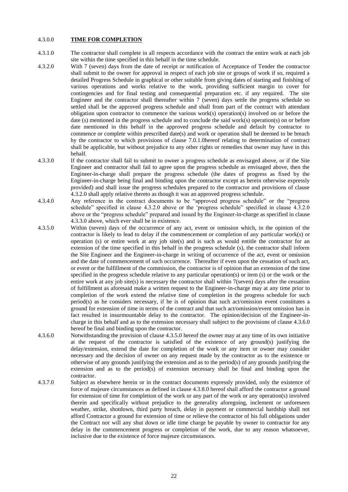#### 4.3.0.0 **TIME FOR COMPLETION**

- 4.3.1.0 The contractor shall complete in all respects accordance with the contract the entire work at each job site within the time specified in this behalf in the time schedule.
- 4.3.2.0 With 7 (seven) days from the date of receipt or notification of Acceptance of Tender the contractor shall submit to the owner for approval in respect of each job site or groups of work if so, required a detailed Progress Schedule in graphical or other suitable from giving dates of starting and finishing of various operations and works relative to the work, providing sufficient margin to cover for contingencies and for final testing and consequential preparation etc. if any required. The site Engineer and the contractor shall thereafter within 7 (seven) days settle the progress schedule so settled shall be the approved progress schedule and shall from part of the contract with attendant obligation upon contractor to commence the various work(s) operation(s) involved on or before the date (s) mentioned in the progress schedule and to conclude the said work(s) operation(s) on or before date mentioned in this behalf in the approved progress schedule and default by contractor to commence or complete within prescribed date(s) and work or operation shall be deemed to be breach by the contractor to which provisions of clause 7.0.1.0hereof relating to determination of contract shall be applicable, but without prejudice to any other rights or remedies that owner may have in this behalf.
- 4.3.3.0 If the contractor shall fail to submit to owner a progress schedule as envisaged above, or if the Site Engineer and contractor shall fail to agree upon the progress schedule as envisaged above, then the Engineer-in-charge shall prepare the progress schedule (the dates of progress as fixed by the Engineer-in-charge being final and binding upon the contractor except as herein otherwise expressly provided) and shall issue the progress schedules prepared to the contractor and provisions of clause 4.3.2.0 shall apply relative thereto as though it was an approved progress schedule.
- 4.3.4.0 Any reference in the contract documents to be "approved progress schedule" or the "progress schedule" specified in clause 4.3.2.0 above or the 'progress schedule" specified in clause 4.3.2.0 above or the "progress schedule" prepared and issued by the Engineer-in-charge as specified in clause 4.3.3.0 above, which ever shall be in existence.
- 4.3.5.0 Within (seven) days of the occurrence of any act, event or omission which, in the opinion of the contractor is likely to lead to delay if the commencement or completion of any particular work(s) or operation (s) or entire work at any job site(s) and is such as would entitle the contractor for an extension of the time specified in this behalf in the progress schedule (s), the contractor shall inform the Site Engineer and the Engineer-in-charge in writing of occurrence of the act, event or omission and the date of commencement of such occurrence. Thereafter if even upon the cessation of such act, or event or the fulfillment of the commission, the contractor is of opinion that an extension of the time specified in the progress schedule relative to any particular operation(s) or item (s) or the work or the entire work at any job site(s) is necessary the contractor shall within 7(seven) days after the cessation of fulfillment as aforesaid make a written request to the Engineer-in-charge may at any time prior to completion of the work extend the relative time of completion in the progress schedule for such period(s) as he considers necessary, if he is of opinion that such act/omission event constitutes a ground for extension of time in terms of the contract and that such act/omission/event omission has in fact resulted in insurmountable delay to the contractor. The opinion/decision of the Engineer-incharge in this behalf and as to the extension necessary shall subject to the provisions of clause 4.3.6.0 hereof be final and binding upon the contractor.
- 4.3.6.0 Notwithstanding the provision of clause 4.3.5.0 hereof the owner may at any time of its own initiative at the request of the contractor is satisfied of the existence of any ground(s) justifying the delay/extension, extend the date for completion of the work or any item or owner may consider necessary and the decision of owner on any request made by the contractor as to the existence or otherwise of any grounds justifying the extension and as to the period(s) of any grounds justifying the extension and as to the period(s) of extension necessary shall be final and binding upon the contractor.
- 4.3.7.0 Subject as elsewhere herein or in the contract documents expressly provided, only the existence of force of majeure circumstances as defined in clause 4.3.8.0 hereof shall afford the contractor a ground for extension of time for completion of the work or any part of the work or any operation(s) involved therein and specifically without prejudice to the generality aforegoing, inclement or unforeseen weather, strike, shotdown, third party breach, delay in payment or commercial hardship shall not afford Contractor a ground for extension of time or relieve the contractor of his full obligations under the Contract nor will any shut down or idle time charge be payable by owner to contractor for any delay in the commencement progress or completion of the work, due to any reason whatsoever, inclusive due to the existence of force majeure circumstances.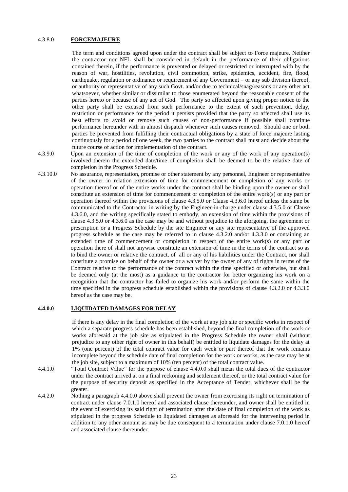#### 4.3.8.0 **FORCEMAJEURE**

The term and conditions agreed upon under the contract shall be subject to Force majeure. Neither the contractor nor NFL shall be considered in default in the performance of their obligations contained therein, if the performance is prevented or delayed or restricted or interrupted with by the reason of war, hostilities, revolution, civil commotion, strike, epidemics, accident, fire, flood, earthquake, regulation or ordinance or requirement of any Government – or any sub division thereof, or authority or representative of any such Govt. and/or due to technical/snag/reasons or any other act whatsoever, whether similar or dissimilar to those enumerated beyond the reasonable consent of the parties hereto or because of any act of God. The party so affected upon giving proper notice to the other party shall be excused from such performance to the extent of such prevention, delay, restriction or performance for the period it persists provided that the party so affected shall use its best efforts to avoid or remove such causes of non-performance if possible shall continue performance hereunder with in almost dispatch whenever such causes removed. Should one or both parties be prevented from fulfilling their contractual obligations by a state of force majeure lasting continuously for a period of one week, the two parties to the contract shall must and decide about the future course of action for implementation of the contract.

- 4.3.9.0 Upon an extension of the time of completion of the work or any of the work of any operation(s) involved therein the extended date/time of completion shall be deemed to be the relative date of completion in the Progress Schedule.
- 4.3.10.0 No assurance, representation, promise or other statement by any personnel, Engineer or representative of the owner in relation extension of time for commencement or completion of any works or operation thereof or of the entire works under the contract shall be binding upon the owner or shall constitute an extension of time for commencement or completion of the entire work(s) or any part or operation thereof within the provisions of clause 4.3.5.0 or Clause 4.3.6.0 hereof unless the same be communicated to the Contractor in writing by the Engineer-in-charge under clause 4.3.5.0 or Clause 4.3.6.0, and the writing specifically stated to embody, an extension of time within the provisions of clause 4.3.5.0 or 4.3.6.0 as the case may be and without prejudice to the aforgoing, the agreement or prescription or a Progress Schedule by the site Engineer or any site representative of the approved progress schedule as the case may be referred to in clause 4.3.2.0 and/or 4.3.3.0 or containing an extended time of commencement or completion in respect of the entire work(s) or any part or operation there of shall not anywise constitute an extension of time in the terms of the contract so as to bind the owner or relative the contract, of all or any of his liabilities under the Contract, nor shall constitute a promise on behalf of the owner or a waiver by the owner of any of rights in terms of the Contract relative to the performance of the contract within the time specified or otherwise, but shall be deemed only (at the most) as a guidance to the contractor for better organizing his work on a recognition that the contractor has failed to organize his work and/or perform the same within the time specified in the progress schedule established within the provisions of clause 4.3.2.0 or 4.3.3.0 hereof as the case may be.

#### **4.4.0.0 LIQUIDATED DAMAGES FOR DELAY**

If there is any delay in the final completion of the work at any job site or specific works in respect of which a separate progress schedule has been established, beyond the final completion of the work or works aforesaid at the job site as stipulated in the Progress Schedule the owner shall (without prejudice to any other right of owner in this behalf) be entitled to liquidate damages for the delay at 1% (one percent) of the total contract value for each week or part thereof that the work remains incomplete beyond the schedule date of final completion for the work or works, as the case may be at the job site, subject to a maximum of 10% (ten percent) of the total contract value.

- 4.4.1.0 "Total Contract Value" for the purpose of clause 4.4.0.0 shall mean the total dues of the contractor under the contract arrived at on a final reckoning and settlement thereof, or the total contract value for the purpose of security deposit as specified in the Acceptance of Tender, whichever shall be the greater.
- 4.4.2.0 Nothing a paragraph 4.4.0.0 above shall prevent the owner from exercising its right on termination of contract under clause 7.0.1.0 hereof and associated clause thereunder, and owner shall be entitled in the event of exercising its said right of termination after the date of final completion of the work as stipulated in the progress Schedule to liquidated damages as aforesaid for the intervening period in addition to any other amount as may be due consequent to a termination under clause 7.0.1.0 hereof and associated clause thereunder.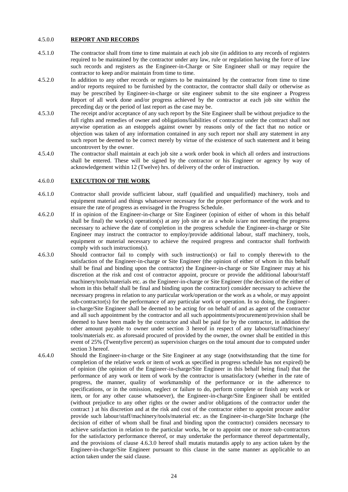#### 4.5.0.0 **REPORT AND RECORDS**

- 4.5.1.0 The contractor shall from time to time maintain at each job site (in addition to any records of registers required to be maintained by the contractor under any law, rule or regulation having the force of law such records and registers as the Engineer-in-Charge or Site Engineer shall or may require the contractor to keep and/or maintain from time to time.
- 4.5.2.0 In addition to any other records or registers to be maintained by the contractor from time to time and/or reports required to be furnished by the contractor, the contractor shall daily or otherwise as may be prescribed by Engineer-in-charge or site engineer submit to the site engineer a Progress Report of all work done and/or progress achieved by the contractor at each job site within the preceding day or the period of last report as the case may be.
- 4.5.3.0 The receipt and/or acceptance of any such report by the Site Engineer shall be without prejudice to the full rights and remedies of owner and obligations/liabilities of contractor under the contract shall not anywise operation as an estoppels against owner by reasons only of the fact that no notice or objection was taken of any information contained in any such report nor shall any statement in any such report be deemed to be correct merely by virtue of the existence of such statement and it being uncontrovert by the owner.
- 4.5.4.0 The contractor shall maintain at each job site a work order book in which all orders and instructions shall be entered. These will be signed by the contractor or his Engineer or agency by way of acknowledgement within 12 (Twelve) hrs. of delivery of the order of instruction.

#### 4.6.0.0 **EXECUTION OF THE WORK**

- 4.6.1.0 Contractor shall provide sufficient labour, staff (qualified and unqualified) machinery, tools and equipment material and things whatsoever necessary for the proper performance of the work and to ensure the rate of progress as envisaged in the Progress Schedule.
- 4.6.2.0 If in opinion of the Engineer-in-charge or Site Engineer (opinion of either of whom in this behalf shall be final) the work(s) operation(s) at any job site or as a whole is/are not meeting the progress necessary to achieve the date of completion in the progress schedule the Engineer-in-charge or Site Engineer may instruct the contractor to employ/provide additional labour, staff machinery, tools, equipment or material necessary to achieve the required progress and contractor shall forthwith comply with such instructions(s).
- 4.6.3.0 Should contractor fail to comply with such instruction(s) or fail to comply therewith to the satisfaction of the Engineer-in-charge or Site Engineer (the opinion of either of whom in this behalf shall be final and binding upon the contractor) the Engineer-in-charge or Site Engineer may at his discretion at the risk and cost of contractor appoint, procure or provide the additional labour/staff machinery/tools/materials etc. as the Engineer-in-charge or Site Engineer (the decision of the either of whom in this behalf shall be final and binding upon the contractor) consider necessary to achieve the necessary progress in relation to any particular work/operation or the work as a whole, or may appoint sub-contractor(s) for the performance of any particular work or operation. In so doing, the Engineerin-charge/Site Engineer shall be deemed to be acting for on behalf of and as agent of the contractor and all such appointment by the contractor and all such appointments/procurement/provision shall be deemed to have been made by the contractor and shall be paid for by the contractor, in addition the other amount payable to owner under section 3 hereof in respect of any labour/staff/machinery/ tools/materials etc. as aforesaid procured of provided by the owner, the owner shall be entitled in this event of 25% (Twentyfive percent) as supervision charges on the total amount due to computed under section 3 hereof.
- 4.6.4.0 Should the Engineer-in-charge or the Site Engineer at any stage (notwithstanding that the time for completion of the relative work or item of work as specified in progress schedule has not expired) be of opinion (the opinion of the Engineer-in-charge/Site Engineer in this behalf being final) that the performance of any work or item of work by the contractor is unsatisfactory (whether in the rate of progress, the manner, quality of workmanship of the performance or in the adherence to specifications, or in the omission, neglect or failure to do, perform complete or finish any work or item, or for any other cause whatsoever), the Engineer-in-charge/Site Engineer shall be entitled (without prejudice to any other rights or the owner and/or obligations of the contractor under the contract ) at his discretion and at the risk and cost of the contractor either to appoint procure and/or provide such labour/staff/machinery/tools/material etc. as the Engineer-in-charge/Site Incharge (the decision of either of whom shall be final and binding upon the contractor) considers necessary to achieve satisfaction in relation to the particular works, be or to appoint one or more sub-contractors for the satisfactory performance thereof, or may undertake the performance thereof departmentally, and the provisions of clause 4.6.3.0 hereof shall mutatis mutandis apply to any action taken by the Engineer-in-charge/Site Engineer pursuant to this clause in the same manner as applicable to an action taken under the said clause.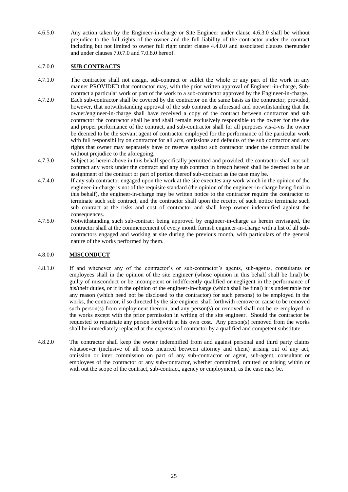4.6.5.0 Any action taken by the Engineer-in-charge or Site Engineer under clause 4.6.3.0 shall be without prejudice to the full rights of the owner and the full liability of the contractor under the contract including but not limited to owner full right under clause 4.4.0.0 and associated clauses thereunder and under clauses 7.0.7.0 and 7.0.8.0 hereof.

# 4.7.0.0 **SUB CONTRACTS**

- 4.7.1.0 The contractor shall not assign, sub-contract or sublet the whole or any part of the work in any manner PROVIDED that contractor may, with the prior written approval of Engineer-in-charge, Subcontract a particular work or part of the work to a sub-contractor approved by the Engineer-in-charge.
- 4.7.2.0 Each sub-contractor shall be covered by the contractor on the same basis as the contractor, provided, however, that notwithstanding approval of the sub contract as aforesaid and notwithstanding that the owner/engineer-in-charge shall have received a copy of the contract between contractor and sub contractor the contractor shall be and shall remain exclusively responsible to the owner for the due and proper performance of the contract, and sub-contractor shall for all purposes vis-à-vis the owner be deemed to be the servant agent of contractor employed for the performance of the particular work with full responsibility on contractor for all acts, omissions and defaults of the sub contractor and any rights that owner may separately have or reserve against sub contractor under the contract shall be without prejudice to the aforegoing.
- 4.7.3.0 Subject as herein above in this behalf specifically permitted and provided, the contractor shall not sub contract any work under the contract and any sub contract in breach hereof shall be deemed to be an assignment of the contract or part of portion thereof sub-contract as the case may be.
- 4.7.4.0 If any sub contractor engaged upon the work at the site executes any work which in the opinion of the engineer-in-charge is not of the requisite standard (the opinion of the engineer-in-charge being final in this behalf), the engineer-in-charge may be written notice to the contractor require the contractor to terminate such sub contract, and the contractor shall upon the receipt of such notice terminate such sub contract at the risks and cost of contractor and shall keep owner indemnified against the consequences.
- 4.7.5.0 Notwithstanding such sub-contract being approved by engineer-in-charge as herein envisaged, the contractor shall at the commencement of every month furnish engineer-in-charge with a list of all subcontractors engaged and working at site during the previous month, with particulars of the general nature of the works performed by them.

### 4.8.0.0 **MISCONDUCT**

- 4.8.1.0 If and whenever any of the contractor's or sub-contractor's agents, sub-agents, consultants or employees shall in the opinion of the site engineer (whose opinion in this behalf shall be final) be guilty of misconduct or be incompetent or indifferently qualified or negligent in the performance of his/their duties, or if in the opinion of the engineer-in-charge (which shall be final) it is undesirable for any reason (which need not be disclosed to the contractor) for such persons) to be employed in the works, the contractor, if so directed by the site engineer shall forthwith remove or cause to be removed such person(s) from employment thereon, and any person(s) or removed shall not be re-employed in the works except with the prior permission in writing of the site engineer. Should the contractor be requested to repatriate any person forthwith at his own cost. Any person(s) removed from the works shall be immediately replaced at the expenses of contractor by a qualified and competent substitute.
- 4.8.2.0 The contractor shall keep the owner indemnified from and against personal and third party claims whatsoever (inclusive of all costs incurred between attorney and client) arising out of any act, omission or inter commission on part of any sub-contractor or agent, sub-agent, consultant or employees of the contractor or any sub-contractor, whether committed, omitted or arising within or with out the scope of the contract, sub-contract, agency or employment, as the case may be.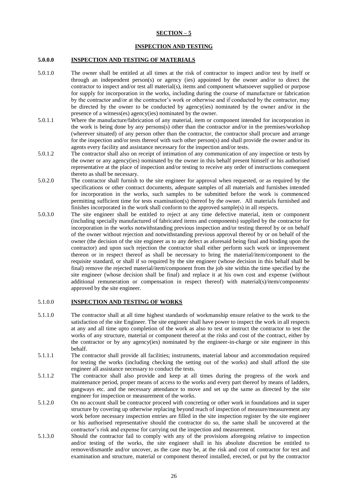# **SECTION – 5**

#### **INSPECTION AND TESTING**

#### **5.0.0.0 INSPECTION AND TESTING OF MATERIALS**

- 5.0.1.0 The owner shall be entitled at all times at the risk of contractor to inspect and/or test by itself or through an independent person(s) or agency (ies) appointed by the owner and/or to direct the contractor to inspect and/or test all material(s), items and component whatsoever supplied or purpose for supply for incorporation in the works, including during the course of manufacture or fabrication by the contractor and/or at the contractor's work or otherwise and if conducted by the contractor, may be directed by the owner to be conducted by agency(ies) nominated by the owner and/or in the presence of a witness(es) agency(ies) nominated by the owner.
- 5.0.1.1 Where the manufacture/fabrication of any material, item or component intended for incorporation in the work is being done by any persons(s) other than the contractor and/or in the premises/workshop (wherever situated) of any person other than the contractor, the contractor shall procure and arrange for the inspection and/or tests thereof with such other person(s) and shall provide the owner and/or its agents every facility and assistance necessary for the inspection and/or tests.
- 5.0.1.2 The contractor shall also on receipt of intimation of any communication of any inspection or tests by the owner or any agency(ies) nominated by the owner in this behalf present himself or his authorised representative at the place of inspection and/or testing to receive any order of instructions consequent thereto as shall be necessary.
- 5.0.2.0 The contractor shall furnish to the site engineer for approval when requested, or as required by the specifications or other contract documents, adequate samples of all materials and furnishes intended for incorporation in the works, such samples to be submitted before the work is commenced permitting sufficient time for tests examination(s) thereof by the owner. All materials furnished and finishes incorporated in the work shall conform to the approved sample(s) in all respects.
- 5.0.3.0 The site engineer shall be entitled to reject at any time defective material, item or component (including specially manufactured of fabricated items and components) supplied by the contractor for incorporation in the works notwithstanding previous inspection and/or testing thereof by or on behalf of the owner without rejection and notwithstanding previous approval thereof by or on behalf of the owner (the decision of the site engineer as to any defect as aforesaid being final and binding upon the contractor) and upon such rejection the contractor shall either perform such work or improvement thereon or in respect thereof as shall be necessary to bring the material/item/component to the requisite standard, or shall if so required by the site engineer (whose decision in this behalf shall be final) remove the rejected material/item/component from the job site within the time specified by the site engineer (whose decision shall be final) and replace it at his own cost and expense (without additional remuneration or compensation in respect thereof) with material(s)/item/components/ approved by the site engineer.

#### 5.1.0.0 **INSPECTION AND TESTING OF WORKS**

- 5.1.1.0 The contractor shall at all time highest standards of workmanship ensure relative to the work to the satisfaction of the site Engineer. The site engineer shall have power to inspect the work in all respects at any and all time upto completion of the work as also to test or instruct the contractor to test the works of any structure, material or component thereof at the risks and cost of the contract, either by the contractor or by any agency(ies) nominated by the engineer-in-charge or site engineer in this behalf.
- 5.1.1.1 The contractor shall provide all facilities; instruments, material labour and accommodation required for testing the works (including checking the setting out of the works) and shall afford the site engineer all assistance necessary to conduct the tests.
- 5.1.1.2 The contractor shall also provide and keep at all times during the progress of the work and maintenance period, proper means of access to the works and every part thereof by means of ladders, gangways etc. and the necessary attendance to move and set up the same as directed by the site engineer for inspection or measurement of the works.
- 5.1.2.0 On no account shall be contractor proceed with concreting or other work in foundations and in super structure by covering up otherwise replacing beyond reach of inspection of measure/measurement any work before necessary inspection entries are filled in the site inspection register by the site engineer or his authorised representative should the contractor do so, the same shall be uncovered at the contractor's risk and expense for carrying out the inspection and measurement.
- 5.1.3.0 Should the contractor fail to comply with any of the provisions aforegoing relative to inspection and/or testing of the works, the site engineer shall in his absolute discretion be entitled to remove/dismantle and/or uncover, as the case may be, at the risk and cost of contractor for test and examination and structure, material or component thereof installed, erected, or put by the contractor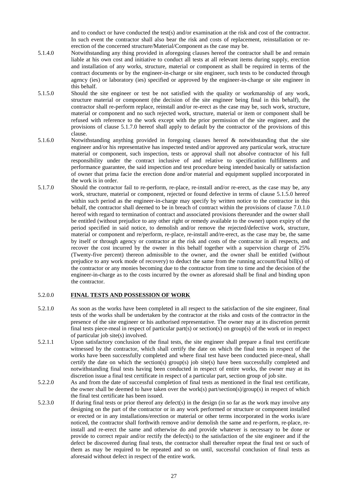and to conduct or have conducted the test(s) and/or examination at the risk and cost of the contractor. In such event the contractor shall also bear the risk and costs of replacement, reinstallation or reerection of the concerned structure/Material/Component as the case may be.

- 5.1.4.0 Notwithstanding any thing provided in aforegoing clauses hereof the contractor shall be and remain liable at his own cost and initiative to conduct all tests at all relevant items during supply, erection and installation of any works, structure, material or component as shall be required in terms of the contract documents or by the engineer-in-charge or site engineer, such tests to be conducted through agency (ies) or laboratory (ies) specified or approved by the engineer-in-charge or site engineer in this behalf.
- 5.1.5.0 Should the site engineer or test be not satisfied with the quality or workmanship of any work, structure material or component (the decision of the site engineer being final in this behalf), the contractor shall re-perform replace, reinstall and/or re-erect as the case may be, such work, structure, material or component and no such rejected work, structure, material or item or component shall be refused with reference to the work except with the prior permission of the site engineer, and the provisions of clause 5.1.7.0 hereof shall apply to default by the contractor of the provisions of this clause.
- 5.1.6.0 Notwithstanding anything provided in foregoing clauses hereof & notwithstanding that the site engineer and/or his representative has inspected tested and/or approved any particular work, structure material or component, such inspection, tests or approval shall not absolve contractor of his full responsibility under the contract inclusive of and relative to specification fulfillments and performance guarantee, the said inspection and test procedure being intended basically or satisfaction of owner that prima facie the erection done and/or material and equipment supplied incorporated in the work is in order.
- 5.1.7.0 Should the contractor fail to re-perform, re-place, re-install and/or re-erect, as the case may be, any work, structure, material or component, rejected or found defective in terms of clause 5.1.5.0 hereof within such period as the engineer-in-charge may specify by written notice to the contractor in this behalf, the contractor shall deemed to be in breach of contract within the provisions of clause 7.0.1.0 hereof with regard to termination of contract and associated provisions thereunder and the owner shall be entitled (without prejudice to any other right or remedy available to the owner) upon expiry of the period specified in said notice, to demolish and/or remove the rejected/defective work, structure, material or component and re/perform, re-place, re-install and/re-erect, as the case may be, the same by itself or through agency or contractor at the risk and costs of the contractor in all respects, and recover the cost incurred by the owner in this behalf together with a supervision charge of 25% (Twenty-five percent) thereon admissible to the owner, and the owner shall be entitled (without prejudice to any work mode of recovery) to deduct the same from the running account/final bill(s) of the contractor or any monies becoming due to the contractor from time to time and the decision of the engineer-in-charge as to the costs incurred by the owner as aforesaid shall be final and binding upon the contractor.

#### 5.2.0.0 **FINAL TESTS AND POSSESSION OF WORK**

- 5.2.1.0 As soon as the works have been completed in all respect to the satisfaction of the site engineer, final tests of the works shall be undertaken by the contractor at the risks and costs of the contractor in the presence of the site engineer or his authorised representative. The owner may at its discretion permit final tests piece-meal in respect of particular part(s) or section(s) on group(s) of the work or in respect of particular job site(s) involved.
- 5.2.1.1 Upon satisfactory conclusion of the final tests, the site engineer shall prepare a final test certificate witnessed by the contractor, which shall certify the date on which the final tests in respect of the works have been successfully completed and where final test have been conducted piece-meal, shall certify the date on which the section(s) group(s) job site(s) have been successfully completed and notwithstanding final tests having been conducted in respect of entire works, the owner may at its discretion issue a final test certificate in respect of a particular part, section group of job site.
- 5.2.2.0 As and from the date of successful completion of final tests as mentioned in the final test certificate, the owner shall be deemed to have taken over the work(s) part/section(s)/group(s) in respect of which the final test certificate has been issued.
- 5.2.3.0 If during final tests or prior thereof any defect(s) in the design (in so far as the work may involve any designing on the part of the contractor or in any work performed or structure or component installed or erected or in any installations/erection or material or other terms incorporated in the works is/are noticed, the contractor shall forthwith remove and/or demolish the same and re-perform, re-place, reinstall and re-erect the same and otherwise do and provide whatever is necessary to be done or provide to correct repair and/or rectify the defect(s) to the satisfaction of the site engineer and if the defect be discovered during final tests, the contractor shall thereafter repeat the final test or such of them as may be required to be repeated and so on until, successful conclusion of final tests as aforesaid without defect in respect of the entire work.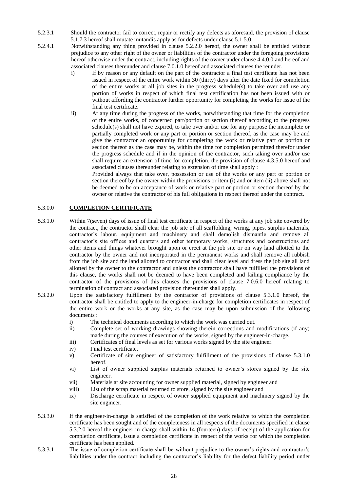- 5.2.3.1 Should the contractor fail to correct, repair or rectify any defects as aforesaid, the provision of clause 5.1.7.3 hereof shall mutate mutandis apply as for defects under clause 5.1.5.0.
- 5.2.4.1 Notwithstanding any thing provided in clause 5.2.2.0 hereof, the owner shall be entitled without prejudice to any other right of the owner or liabilities of the contractor under the foregoing provisions hereof otherwise under the contract, including rights of the owner under clause 4.4.0.0 and hereof and associated clauses thereunder and clause 7.0.1.0 hereof and associated clauses the reunder.
	- i) If by reason or any default on the part of the contractor a final test certificate has not been issued in respect of the entire work within 30 (thirty) days after the date fixed for completion of the entire works at all job sites in the progress schedule(s) to take over and use any portion of works in respect of which final test certification has not been issued with or without affording the contractor further opportunity for completing the works for issue of the final test certificate.
	- ii) At any time during the progress of the works, notwithstanding that time for the completion of the entire works, of concerned part/portion or section thereof according to the progress schedule(s) shall not have expired, to take over and/or use for any purpose the incomplete or partially completed work or any part or portion or section thereof, as the case may be and give the contractor an opportunity for completing the work or relative part or portion or section thereof as the case may be, within the time for completion permitted therefor under the progress schedule and if in the opinion of the contractor, such taking over and/or use shall require an extension of time for completion, the provision of clause 4.3.5.0 hereof and associated clauses thereunder relating to extension of time shall apply :

Provided always that take over, possession or use of the works or any part or portion or section thereof by the owner within the provisions or item (i) and or item (ii) above shall not be deemed to be on acceptance of work or relative part or portion or section thereof by the owner or relative the contractor of his full obligations in respect thereof under the contract.

## 5.3.0.0 **COMPLETION CERTIFICATE**

- 5.3.1.0 Within 7(seven) days of issue of final test certificate in respect of the works at any job site covered by the contract, the contractor shall clear the job site of all scaffolding, wiring, pipes, surplus materials, contractor's labour, equipment and machinery and shall demolish dismantle and remove all contractor's site offices and quarters and other temporary works, structures and constructions and other items and things whatever brought upon or erect at the job site or on way land allotted to the contractor by the owner and not incorporated in the permanent works and shall remove all rubbish from the job site and the land allotted to contractor and shall clear level and dress the job site all land allotted by the owner to the contractor and unless the contractor shall have fulfilled the provisions of this clause, the works shall not be deemed to have been completed and failing compliance by the contractor of the provisions of this clauses the provisions of clause 7.0.6.0 hereof relating to termination of contract and associated provision thereunder shall apply.
- 5.3.2.0 Upon the satisfactory fulfillment by the contractor of provisions of clause 5.3.1.0 hereof, the contractor shall be entitled to apply to the engineer-in-charge for completion certificates in respect of the entire work or the works at any site, as the case may be upon submission of the following documents :
	- i) The technical documents according to which the work was carried out.
	- ii) Complete set of working drawings showing therein corrections and modifications (if any) made during the courses of execution of the works, signed by the engineer-in-charge.
	- iii) Certificates of final levels as set for various works signed by the site engineer.
	- iv) Final test certificate.
	- v) Certificate of site engineer of satisfactory fulfillment of the provisions of clause 5.3.1.0 hereof.
	- vi) List of owner supplied surplus materials returned to owner's stores signed by the site engineer.
	- vii) Materials at site accounting for owner supplied material, signed by engineer and
	- viii) List of the scrap material returned to store, signed by the site engineer and
	- ix) Discharge certificate in respect of owner supplied equipment and machinery signed by the site engineer.
- 5.3.3.0 If the engineer-in-charge is satisfied of the completion of the work relative to which the completion certificate has been sought and of the completeness in all respects of the documents specified in clause 5.3.2.0 hereof the engineer-in-charge shall within 14 (fourteen) days of receipt of the application for completion certificate, issue a completion certificate in respect of the works for which the completion certificate has been applied.
- 5.3.3.1 The issue of completion certificate shall be without prejudice to the owner's rights and contractor's liabilities under the contract including the contractor's liability for the defect liability period under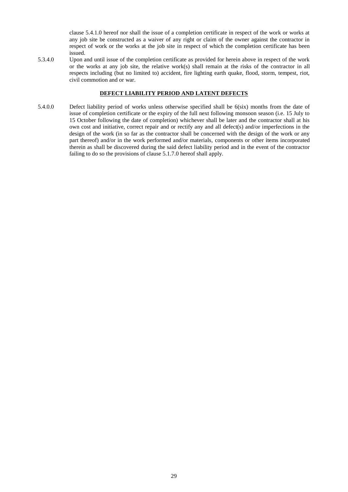clause 5.4.1.0 hereof nor shall the issue of a completion certificate in respect of the work or works at any job site be constructed as a waiver of any right or claim of the owner against the contractor in respect of work or the works at the job site in respect of which the completion certificate has been issued.

5.3.4.0 Upon and until issue of the completion certificate as provided for herein above in respect of the work or the works at any job site, the relative work(s) shall remain at the risks of the contractor in all respects including (but no limited to) accident, fire lighting earth quake, flood, storm, tempest, riot, civil commotion and or war.

#### **DEFECT LIABILITY PERIOD AND LATENT DEFECTS**

5.4.0.0 Defect liability period of works unless otherwise specified shall be 6(six) months from the date of issue of completion certificate or the expiry of the full next following monsoon season (i.e. 15 July to 15 October following the date of completion) whichever shall be later and the contractor shall at his own cost and initiative, correct repair and or rectify any and all defect(s) and/or imperfections in the design of the work (in so far as the contractor shall be concerned with the design of the work or any part thereof) and/or in the work performed and/or materials, components or other items incorporated therein as shall be discovered during the said defect liability period and in the event of the contractor failing to do so the provisions of clause 5.1.7.0 hereof shall apply.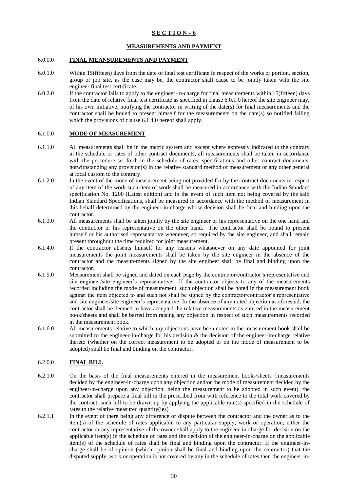# **S E C T I O N – 6**

## **MEASUREMENTS AND PAYMENT**

#### 6.0.0.0 **FINAL MEANSUREMENTS AND PAYMENT**

- 6.0.1.0 Within 15(fifteen) days from the date of final test certificate in respect of the works or portion, section, group or job site, as the case may be, the contractor shall cause to be jointly taken with the site engineer final test certificate.
- 6.0.2.0 If the contractor fails to apply to the engineer-in-charge for final measurements within 15(fifteen) days from the date of relative final test certificate as specified in clause 6.0.1.0 hereof the site engineer may, of his own initiative, notifying the contractor in writing of the date(s) for final measurements and the contractor shall be bound to present himself for the measurements on the date(s) so notified failing which the provisions of clause 6.1.4.0 hereof shall apply.

#### 6.1.0.0 **MODE OF MEASUREMENT**

- 6.1.1.0 All measurements shall be in the metric system and except where expressly indicated to the contrary in the schedule or rates of other contract documents, all measurements shall be taken in accordance with the procedure set forth in the schedule of rates, specifications and other contract documents, notwithstanding any provision(s) in the relative standard method of measurement or any other general at local custom to the contrary.
- 6.1.2.0 In the event of the mode of measurement being not provided for by the contract documents in respect of any item of the work such item of work shall be measured in accordance with the Indian Standard specification No. 1200 (Latest edition) and in the event of such item not being covered by the said Indian Standard Specifications, shall be measured in accordance with the method of measurement in this behalf determined by the engineer-in-charge whose decision shall be final and binding upon the contractor.
- 6.1.3.0 All measurements shall be taken jointly by the site engineer or his representative on the one hand and the contractor or his representative on the other hand. The contractor shall be bound to present himself or his authorised representative whenever, so required by the site engineer, and shall remain present throughout the time required for joint measurement.
- 6.1.4.0 If the contractor absents himself for any reasons whatsoever on any date appointed for joint measurements the joint measurements shall be taken by the site engineer in the absence of the contractor and the measurements signed by the site engineer shall be final and binding upon the contractor.
- 6.1.5.0 Measurement shall be signed and dated on each page by the contractor/contractor's representative and site engineer/site engineer's representative. If the contractor objects to any of the measurements recorded including the mode of measurement, such objection shall be noted in the measurement book against the item objected to and such not shall be signed by the contractor/contractor's representative and site engineer/site engineer's representative. In the absence of any noted objection as aforesaid, the contractor shall be deemed to have accepted the relative measurements as entered in the measurement book/sheets and shall be barred from raising any objection in respect of such measurements recorded in the measurement book.
- 6.1.6.0 All measurements relative to which any objections have been noted in the measurement book shall be submitted to the engineer-in-charge for his decision  $\&$  the decision of the engineer-in-charge relative thereto (whether on the correct measurement to be adopted or on the mode of measurement to be adopted) shall be final and binding on the contractor.

#### 6.2.0.0 **FINAL BILL**

- 6.2.1.0 On the basis of the final measurements entered in the measurement books/sheets (measurements decided by the engineer-in-charge upon any objection and/or the mode of measurement decided by the engineer-in-charge upon any objection, being the measurement to be adopted in such event), the contractor shall prepare a final bill in the prescribed from with reference to the total work covered by the contract, such bill to be drawn up by applying the applicable rate(s) specified in the schedule of rates to the relative measured quantity(ies)
- 6.2.1.1 In the event of there being any difference or dispute between the contractor and the owner as to the item(s) of the schedule of rates applicable to any particular supply, work or operation, either the contractor or any representative of the owner shall apply to the engineer-in-charge for decision on the applicable item(s) in the schedule of rates and the decision of the engineer-in-charge on the applicable item(s) of the schedule of rates shall be final and binding upon the contractor. If the engineer-incharge shall be of opinion (which opinion shall be final and binding upon the contractor) that the disputed supply, work or operation is not covered by any in the schedule of rates then the engineer-in-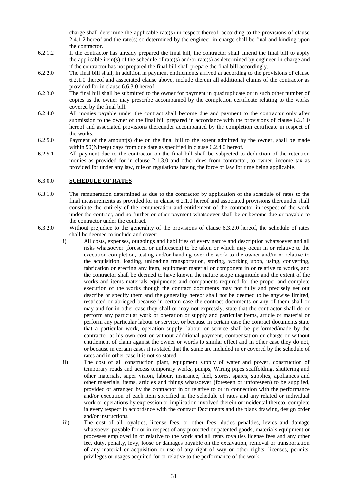charge shall determine the applicable rate(s) in respect thereof, according to the provisions of clause 2.4.1.2 hereof and the rate(s) so determined by the engineer-in-charge shall be final and binding upon the contractor.

- 6.2.1.2 If the contractor has already prepared the final bill, the contractor shall amend the final bill to apply the applicable item(s) of the schedule of rate(s) and/or rate(s) as determined by engineer-in-charge and if the contractor has not prepared the final bill shall prepare the final bill accordingly.
- 6.2.2.0 The final bill shall, in addition in payment entitlements arrived at according to the provisions of clause 6.2.1.0 thereof and associated clause above, include therein all additional claims of the contractor as provided for in clause 6.6.3.0 hereof.
- 6.2.3.0 The final bill shall be submitted to the owner for payment in quadruplicate or in such other number of copies as the owner may prescribe accompanied by the completion certificate relating to the works covered by the final bill.
- 6.2.4.0 All monies payable under the contract shall become due and payment to the contractor only after submission to the owner of the final bill prepared in accordance with the provisions of clause 6.2.1.0 hereof and associated provisions thereunder accompanied by the completion certificate in respect of the works.
- 6.2.5.0 Payment of the amount(s) due on the final bill to the extent admitted by the owner, shall be made within 90(Ninety) days from due date as specified in clause 6.2.4.0 hereof.
- 6.2.5.1 All payment due to the contractor on the final bill shall be subjected to deduction of the retention monies as provided for in clause 2.1.3.0 and other dues from contractor, to owner, income tax as provided for under any law, rule or regulations having the force of law for time being applicable.

#### 6.3.0.0 **SCHEDULE OF RATES**

- 6.3.1.0 The remuneration determined as due to the contractor by application of the schedule of rates to the final measurements as provided for in clause 6.2.1.0 hereof and associated provisions thereunder shall constitute the entirely of the remuneration and entitlement of the contractor in respect of the work under the contract, and no further or other payment whatsoever shall be or become due or payable to the contractor under the contract.
- 6.3.2.0 Without prejudice to the generality of the provisions of clause 6.3.2.0 hereof, the schedule of rates shall be deemed to include and cover:
	- i) All costs, expenses, outgoings and liabilities of every nature and description whatsoever and all risks whatsoever (foreseen or unforeseen) to be taken or which may occur in or relative to the execution completion, testing and/or handing over the work to the owner and/in or relative to the acquisition, loading, unloading transportation, storing, working upon, using, converting, fabrication or erecting any item, equipment material or component in or relative to works, and the contractor shall be deemed to have known the nature scope magnitude and the extent of the works and items materials equipments and components required for the proper and complete execution of the works though the contract documents may not fully and precisely set out describe or specify them and the generality hereof shall not be deemed to be anywise limited, restricted or abridged because in certain case the contract documents or any of them shall or may and for in other case they shall or may not expressly, state that the contractor shall do or perform any particular work or operation or supply and particular items, article or material or perform any particular labour or service, or because in certain case the contract documents state that a particular work, operation supply, labour or service shall be performed/made by the contractor at his own cost or without additional payment, compensation or charge or without entitlement of claim against the owner or words to similar effect and in other case they do not, or because in certain cases it is stated that the same are included in or covered by the schedule of rates and in other case it is not so stated.
	- ii) The cost of all construction plant, equipment supply of water and power, construction of temporary roads and access temporary works, pumps, Wiring pipes scaffolding, shuttering and other materials, super vision, labour, insurance, fuel, stores, spares, supplies, appliances and other materials, items, articles and things whatsoever (foreseen or unforeseen) to be supplied, provided or arranged by the contractor in or relative to or in connection with the performance and/or execution of each item specified in the schedule of rates and any related or individual work or operations by expression or implication involved therein or incidental thereto, complete in every respect in accordance with the contract Documents and the plans drawing, design order and/or instructions.
	- iii) The cost of all royalties, license fees, or other fees, duties penalties, levies and damage whatsoever payable for or in respect of any protected or patented goods, materials equipment or processes employed in or relative to the work and all rents royalties license fees and any other fee, duty, penalty, levy, loose or damages payable on the excavation, removal or transportation of any material or acquisition or use of any right of way or other rights, licenses, permits, privileges or usages acquired for or relative to the performance of the work.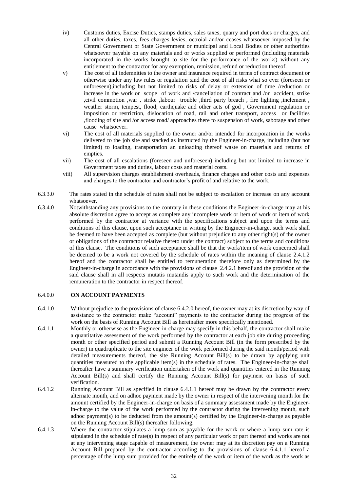- iv) Customs duties, Excise Duties, stamps duties, sales taxes, quarry and port dues or charges, and all other duties, taxes, fees charges levies, octroial and/or ceases whatsoever imposed by the Central Government or State Government or municipal and Local Bodies or other authorities whatsoever payable on any materials and or works supplied or performed (including materials incorporated in the works brought to site for the performance of the works) without any entitlement to the contractor for any exemption, remission, refund or reduction thereof.
- v) The cost of all indemnities to the owner and insurance required in terms of contract document or otherwise under any law rules or regulation ;and the cost of all risks what so ever (foreseen or unforeseen),including but not limited to risks of delay or extension of time /reduction or increase in the work or scope of work and /cancellation of contract and /or accident, strike ,civil commotion ,war , strike ,labour trouble ,third party breach , fire lighting ,inclement , weather storm, tempest, flood; earthquake and other acts of god , Government regulation or imposition or restriction, dislocation of road, rail and other transport, access or facilities ,flooding of site and /or access road/ approaches there to suspension of work, sabotage and other cause whatsoever.
- vi) The cost of all materials supplied to the owner and/or intended for incorporation in the works delivered to the job site and stacked as instructed by the Engineer-in-charge, including (but not limited) to loading, transportation an unloading thereof waste on materials and returns of empties.
- vii) The cost of all escalations (foreseen and unforeseen) including but not limited to increase in Government taxes and duties, labour costs and material costs.
- viii) All supervision charges establishment overheads, finance charges and other costs and expenses and charges to the contractor and contractor's profit of and relative to the work.
- 6.3.3.0 The rates stated in the schedule of rates shall not be subject to escalation or increase on any account whatsoever.
- 6.3.4.0 Notwithstanding any provisions to the contrary in these conditions the Engineer-in-charge may at his absolute discretion agree to accept as complete any incomplete work or item of work or item of work performed by the contractor at variance with the specifications subject and upon the terms and conditions of this clause, upon such acceptance in writing by the Engineer-in-charge, such work shall be deemed to have been accepted as complete (but without prejudice to any other right(s) of the owner or obligations of the contractor relative thereto under the contract) subject to the terms and conditions of this clause. The conditions of such acceptance shall be that the work/item of work concerned shall be deemed to be a work not covered by the schedule of rates within the meaning of clause 2.4.1.2 hereof and the contractor shall be entitled to remuneration therefore only as determined by the Engineer-in-charge in accordance with the provisions of clause 2.4.2.1 hereof and the provision of the said clause shall in all respects mutatis mutandis apply to such work and the determination of the remuneration to the contractor in respect thereof.

#### 6.4.0.0 **ON ACCOUNT PAYMENTS**

- 6.4.1.0 Without prejudice to the provisions of clause 6.4.2.0 hereof, the owner may at its discretion by way of assistance to the contractor make "account" payments to the contractor during the progress of the work on the basis of Running Account Bill as hereinafter more specifically mentioned.
- 6.4.1.1 Monthly or otherwise as the Engineer-in-charge may specify in this behalf, the contractor shall make a quantitative assessment of the work performed by the contractor at each job site during proceeding month or other specified period and submit a Running Account Bill (in the form prescribed by the owner) in quadruplicate to the site engineer of the work performed during the said month/period with detailed measurements thereof, the site Running Account Bill(s) to be drawn by applying unit quantities measured to the applicable item(s) in the schedule of rates. The Engineer-in-charge shall thereafter have a summary verification undertaken of the work and quantities entered in the Running Account Bill(s) and shall certify the Running Account Bill(s) for payment on basis of such verification.
- 6.4.1.2 Running Account Bill as specified in clause 6.4.1.1 hereof may be drawn by the contractor every alternate month, and on adhoc payment made by the owner in respect of the intervening month for the amount certified by the Engineer-in-charge on basis of a summary assessment made by the Engineerin-charge to the value of the work performed by the contractor during the intervening month, such adhoc payment(s) to be deducted from the amount(s) certified by the Engineer-in-charge as payable on the Running Account Bill(s) thereafter following.
- 6.4.1.3 Where the contractor stipulates a lump sum as payable for the work or where a lump sum rate is stipulated in the schedule of rate(s) in respect of any particular work or part thereof and works are not at any intervening stage capable of measurement, the owner may at its discretion pay on a Running Account Bill prepared by the contractor according to the provisions of clause 6.4.1.1 hereof a percentage of the lump sum provided for the entirely of the work or item of the work as the work as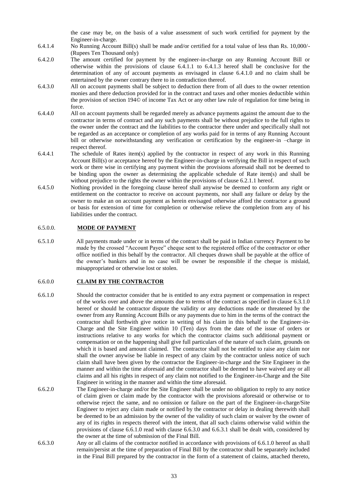the case may be, on the basis of a value assessment of such work certified for payment by the Engineer-in-charge.

- 6.4.1.4 No Running Account Bill(s) shall be made and/or certified for a total value of less than Rs. 10,000/- (Rupees Ten Thousand only)
- 6.4.2.0 The amount certified for payment by the engineer-in-charge on any Running Account Bill or otherwise within the provisions of clause 6.4.1.1 to 6.4.1.3 hereof shall be conclusive for the determination of any of account payments as envisaged in clause 6.4.1.0 and no claim shall be entertained by the owner contrary there to in contradiction thereof.
- 6.4.3.0 All on account payments shall be subject to deduction there from of all dues to the owner retention monies and there deduction provided for in the contract and taxes and other monies deductible within the provision of section 194© of income Tax Act or any other law rule of regulation for time being in force.
- 6.4.4.0 All on account payments shall be regarded merely as advance payments against the amount due to the contractor in terms of contract and any such payments shall be without prejudice to the full rights to the owner under the contract and the liabilities to the contractor there under and specifically shall not be regarded as an acceptance or completion of any works paid for in terms of any Running Account bill or otherwise notwithstanding any verification or certification by the engineer-in –charge in respect thereof.
- 6.4.4.1 The schedule of Rates item(s) applied by the contractor in respect of any work in this Running Account Bill(s) or acceptance hereof by the Engineer-in-charge in verifying the Bill in respect of such work or there wise in certifying any payment within the provisions aforesaid shall not be deemed to be binding upon the owner as determining the applicable schedule of Rate item(s) and shall be without prejudice to the rights the owner within the provisions of clause 6.2.1.1 hereof.
- 6.4.5.0 Nothing provided in the foregoing clause hereof shall anywise be deemed to conform any right or entitlement on the contractor to receive on account payments, nor shall any failure or delay by the owner to make an on account payment as herein envisaged otherwise afford the contractor a ground or basis for extension of time for completion or otherwise relieve the completion from any of his liabilities under the contract.

## 6.5.0.0. **MODE OF PAYMENT**

6.5.1.0 All payments made under or in terms of the contract shall be paid in Indian currency Payment to be made by the crossed "Account Payee" cheque sent to the registered office of the contractor or other office notified in this behalf by the contractor. All cheques drawn shall be payable at the office of the owner's bankers and in no case will be owner be responsible if the cheque is mislaid, misappropriated or otherwise lost or stolen.

#### 6.6.0.0 **CLAIM BY THE CONTRACTOR**

- 6.6.1.0 Should the contractor consider that he is entitled to any extra payment or compensation in respect of the works over and above the amounts due to terms of the contract as specified in clause 6.3.1.0 hereof or should he contractor dispute the validity or any deductions made or threatened by the owner from any Running Account Bills or any payments due to him in the terms of the contract the contractor shall forthwith give notice in writing of his claim in this behalf to the Engineer-in-Charge and the Site Engineer within 10 (Ten) days from the date of the issue of orders or instructions relative to any works for which the contractor claims such additional payment or compensation or on the happening shall give full particulars of the nature of such claim, grounds on which it is based and amount claimed. The contractor shall not be entitled to raise any claim nor shall the owner anywise be liable in respect of any claim by the contractor unless notice of such claim shall have been given by the contractor the Engineer-in-charge and the Site Engineer in the manner and within the time aforesaid and the contractor shall be deemed to have waived any or all claims and all his rights in respect of any claim not notified to the Engineer-in-Charge and the Site Engineer in writing in the manner and within the time aforesaid.
- 6.6.2.0 The Engineer-in-charge and/or the Site Engineer shall be under no obligation to reply to any notice of claim given or claim made by the contractor with the provisions aforesaid or otherwise or to otherwise reject the same, and no omission or failure on the part of the Engineer-in-charge/Site Engineer to reject any claim made or notified by the contractor or delay in dealing therewith shall be deemed to be an admission by the owner of the validity of such claim or waiver by the owner of any of its rights in respects thereof with the intent, that all such claims otherwise valid within the provisions of clause 6.6.1.0 read with clause 6.6.3.0 and 6.6.3.1 shall be dealt with, considered by the owner at the time of submission of the Final Bill.
- 6.6.3.0 Any or all claims of the contractor notified in accordance with provisions of 6.6.1.0 hereof as shall remain/persist at the time of preparation of Final Bill by the contractor shall be separately included in the Final Bill prepared by the contractor in the form of a statement of claims, attached thereto,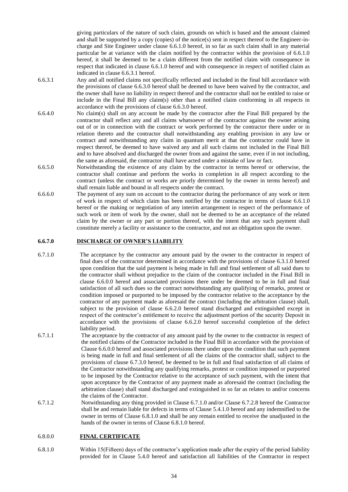giving particulars of the nature of such claim, grounds on which is based and the amount claimed and shall be supported by a copy (copies) of the notice(s) sent in respect thereof to the Engineer-incharge and Site Engineer under clause 6.6.1.0 hereof, in so far as such claim shall in any material particular be at variance with the claim notified by the contractor within the provision of 6.6.1.0 hereof, it shall be deemed to be a claim different from the notified claim with consequence in respect that indicated in clause 6.6.1.0 hereof and with consequence in respect of notified claim as indicated in clause 6.6.3.1 hereof.

- 6.6.3.1 Any and all notified claims not specifically reflected and included in the final bill accordance with the provisions of clause 6.6.3.0 hereof shall be deemed to have been waived by the contractor, and the owner shall have no liability in respect thereof and the contractor shall not be entitled to raise or include in the Final Bill any claim(s) other than a notified claim conforming in all respects in accordance with the provisions of clause 6.6.3.0 hereof.
- 6.6.4.0 No claim(s) shall on any account be made by the contractor after the Final Bill prepared by the contractor shall reflect any and all claims whatsoever of the contractor against the owner arising out of or in connection with the contract or work performed by the contractor there under or in relation thereto and the contractor shall notwithstanding any enabling provision in any law or contract and notwithstanding any claim in quantum merit at that the contractor could have in respect thereof, be deemed to have waived any and all such claims not included in the Final Bill and to have absolved and discharged the owner from and against the same, even if in not including, the same as aforesaid, the contractor shall have acted under a mistake of law or fact.
- 6.6.5.0 Notwithstanding the existence of any claim by the contractor in terms hereof or otherwise, the contractor shall continue and perform the works in completion in all respect according to the contract (unless the contract or works are priorly determined by the owner in terms hereof) and shall remain liable and bound in all respects under the contract.
- 6.6.6.0 The payment of any sum on account to the contractor during the performance of any work or item of work in respect of which claim has been notified by the contractor in terms of clause 6.6.1.0 hereof or the making or negotiation of any interim arrangement in respect of the performance of such work or item of work by the owner, shall not be deemed to be an acceptance of the related claim by the owner or any part or portion thereof, with the intent that any such payment shall constitute merely a facility or assistance to the contractor, and not an obligation upon the owner.

## **6.6.7.0 DISCHARGE OF OWNER'S LIABILITY**

- 6.7.1.0 The acceptance by the contractor any amount paid by the owner to the contractor in respect of final dues of the contractor determined in accordance with the provisions of clause 6.3.1.0 hereof upon condition that the said payment is being made in full and final settlement of all said dues to the contractor shall without prejudice to the claim of the contractor included in the Final Bill in clause 6.6.0.0 hereof and associated provisions there under be deemed to be in full and final satisfaction of all such dues so the contract notwithstanding any qualifying of remarks, protest or condition imposed or purported to be imposed by the contractor relative to the acceptance by the contractor of any payment made as aforesaid the contract (including the arbitration clause) shall, subject to the provision of clause 6.6.2.0 hereof stand discharged and extinguished except in respect of the contractor's entitlement to receive the adjustment portion of the security Deposit in accordance with the provisions of clause 6.6.2.0 hereof successful completion of the defect liability period.
- 6.7.1.1 The acceptance by the contractor of any amount paid by the owner to the contractor in respect of the notified claims of the Contractor included in the Final Bill in accordance with the provision of Clause 6.6.0.0 hereof and associated provisions there under upon the condition that such payment is being made in full and final settlement of all the claims of the contractor shall, subject to the provisions of clause 6.7.3.0 hereof, be deemed to be in full and final satisfaction of all claims of the Contractor notwithstanding any qualifying remarks, protest or condition imposed or purported to be imposed by the Contractor relative to the acceptance of such payment, with the intent that upon acceptance by the Contractor of any payment made as aforesaid the contract (including the arbitration clause) shall stand discharged and extinguished in so far as relates to and/or concerns the claims of the Contractor.
- 6.7.1.2 Notwithstanding any thing provided in Clause 6.7.1.0 and/or Clause 6.7.2.8 hereof the Contractor shall be and remain liable for defects in terms of Clause 5.4.1.0 hereof and any indemnified to the owner in terms of Clause 6.8.1.0 and shall be any remain entitled to receive the unadjusted in the hands of the owner in terms of Clause 6.8.1.0 hereof.

#### 6.8.0.0 **FINAL CERTIFICATE**

6.8.1.0 Within 15(Fifteen) days of the contractor's application made after the expiry of the period liability provided for in Clause 5.4.0 hereof and satisfaction all liabilities of the Contractor in respect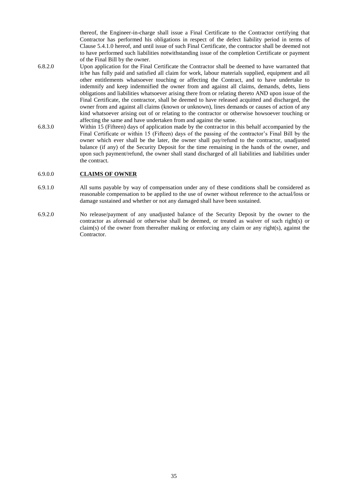thereof, the Engineer-in-charge shall issue a Final Certificate to the Contractor certifying that Contractor has performed his obligations in respect of the defect liability period in terms of Clause 5.4.1.0 hereof, and until issue of such Final Certificate, the contractor shall be deemed not to have performed such liabilities notwithstanding issue of the completion Certificate or payment of the Final Bill by the owner.

- 6.8.2.0 Upon application for the Final Certificate the Contractor shall be deemed to have warranted that it/he has fully paid and satisfied all claim for work, labour materials supplied, equipment and all other entitlements whatsoever touching or affecting the Contract, and to have undertake to indemnify and keep indemnified the owner from and against all claims, demands, debts, liens obligations and liabilities whatsoever arising there from or relating thereto AND upon issue of the Final Certificate, the contractor, shall be deemed to have released acquitted and discharged, the owner from and against all claims (known or unknown), lines demands or causes of action of any kind whatsoever arising out of or relating to the contractor or otherwise howsoever touching or affecting the same and have undertaken from and against the same.
- 6.8.3.0 Within 15 (Fifteen) days of application made by the contractor in this behalf accompanied by the Final Certificate or within 15 (Fifteen) days of the passing of the contractor's Final Bill by the owner which ever shall be the later, the owner shall pay/refund to the contractor, unadjusted balance (if any) of the Security Deposit for the time remaining in the hands of the owner, and upon such payment/refund, the owner shall stand discharged of all liabilities and liabilities under the contract.

#### 6.9.0.0 **CLAIMS OF OWNER**

- 6.9.1.0 All sums payable by way of compensation under any of these conditions shall be considered as reasonable compensation to be applied to the use of owner without reference to the actual/loss or damage sustained and whether or not any damaged shall have been sustained.
- 6.9.2.0 No release/payment of any unadjusted balance of the Security Deposit by the owner to the contractor as aforesaid or otherwise shall be deemed, or treated as waiver of such right(s) or claim(s) of the owner from thereafter making or enforcing any claim or any right(s), against the Contractor.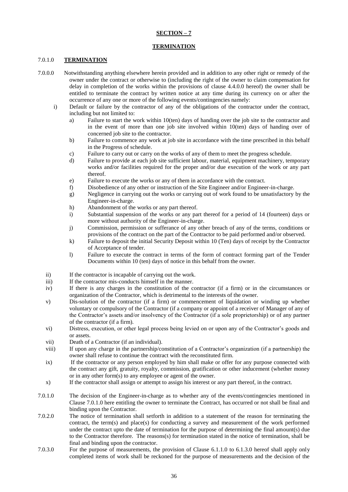# **SECTION – 7**

#### **TERMINATION**

#### 7.0.1.0 **TERMINATION**

- 7.0.0.0 Notwithstanding anything elsewhere herein provided and in addition to any other right or remedy of the owner under the contract or otherwise to (including the right of the owner to claim compensation for delay in completion of the works within the provisions of clause 4.4.0.0 hereof) the owner shall be entitled to terminate the contract by written notice at any time during its currency on or after the occurrence of any one or more of the following events/contingencies namely:
	- i) Default or failure by the contractor of any of the obligations of the contractor under the contract, including but not limited to:
		- a) Failure to start the work within 10(ten) days of handing over the job site to the contractor and in the event of more than one job site involved within 10(ten) days of handing over of concerned job site to the contractor.
		- b) Failure to commence any work at job site in accordance with the time prescribed in this behalf in the Progress of schedule.
		- c) Failure to carry out or carry on the works of any of them to meet the progress schedule.
		- d) Failure to provide at each job site sufficient labour, material, equipment machinery, temporary works and/or facilities required for the proper and/or due execution of the work or any part thereof.
		- e) Failure to execute the works or any of them in accordance with the contract.
		- f) Disobedience of any other or instruction of the Site Engineer and/or Engineer-in-charge.
		- g) Negligence in carrying out the works or carrying out of work found to be unsatisfactory by the Engineer-in-charge.
		- h) Abandonment of the works or any part thereof.
		- i) Substantial suspension of the works or any part thereof for a period of 14 (fourteen) days or more without authority of the Engineer-in-charge.
		- j) Commission, permission or sufferance of any other breach of any of the terms, conditions or provisions of the contract on the part of the Contractor to be paid performed and/or observed.
		- k) Failure to deposit the initial Security Deposit within 10 (Ten) days of receipt by the Contractor of Acceptance of tender.
		- l) Failure to execute the contract in terms of the form of contract forming part of the Tender Documents within 10 (ten) days of notice in this behalf from the owner.
	- ii) If the contractor is incapable of carrying out the work.
	- iii) If the contractor mis-conducts himself in the manner.
	- iv) If there is any charges in the constitution of the contractor (if a firm) or in the circumstances or organization of the Contractor, which is detrimental to the interests of the owner.
	- v) Dis-solution of the contractor (if a firm) or commencement of liquidation or winding up whether voluntary or compulsory of the Contractor (if a company or appoint of a receiver of Manager of any of the Contractor's assets and/or insolvency of the Contractor (if a sole proprietorship) or of any partner of the contractor (if a firm).
	- vi) Distress, execution, or other legal process being levied on or upon any of the Contractor's goods and or assets.
	- vii) Death of a Contractor (if an individual).
	- viii) If upon any charge in the partnership/constitution of a Contractor's organization (if a partnership) the owner shall refuse to continue the contract with the reconstituted firm.
	- ix) If the contractor or any person employed by him shall make or offer for any purpose connected with the contract any gift, gratuity, royalty, commission, gratification or other inducement (whether money or in any other form(s) to any employee or agent of the owner.
	- x) If the contractor shall assign or attempt to assign his interest or any part thereof, in the contract.
- 7.0.1.0 The decision of the Engineer-in-charge as to whether any of the events/contingencies mentioned in Clause 7.0.1.0 here entitling the owner to terminate the Contract, has occurred or not shall be final and binding upon the Contractor.
- 7.0.2.0 The notice of termination shall setforth in addition to a statement of the reason for terminating the contract, the term(s) and place(s) for conducting a survey and measurement of the work performed under the contract upto the date of termination for the purpose of determining the final amount(s) due to the Contractor therefore. The reasons(s) for termination stated in the notice of termination, shall be final and binding upon the contractor.
- 7.0.3.0 For the purpose of measurements, the provision of Clause 6.1.1.0 to 6.1.3.0 hereof shall apply only completed items of work shall be reckoned for the purpose of measurements and the decision of the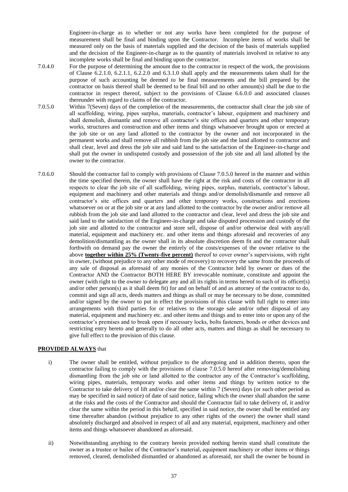Engineer-in-charge as to whether or not any works have been completed for the purpose of measurement shall be final and binding upon the Contractor. Incomplete items of works shall be measured only on the basis of materials supplied and the decision of the basis of materials supplied and the decision of the Engineer-in-charge as to the quantity of materials involved in relative to any incomplete works shall be final and binding upon the contractor.

- 7.0.4.0 For the purpose of determining the amount due to the contractor in respect of the work, the provisions of Clause 6.2.1.0, 6.2.1.1, 6.2.2.0 and 6.3.1.0 shall apply and the measurements taken shall for the purpose of such accounting be deemed to be final measurements and the bill prepared by the contractor on basis thereof shall be deemed to be final bill and no other amount(s) shall be due to the contractor in respect thereof, subject to the provisions of Clause 6.6.0.0 and associated clauses thereunder with regard to claims of the contractor.
- 7.0.5.0 Within 7(Seven) days of the completion of the measurements, the contractor shall clear the job site of all scaffolding, wiring, pipes surplus, materials, contractor's labour, equipment and machinery and shall demolish, dismantle and remove all contractor's site offices and quarters and other temporary works, structures and construction and other items and things whatsoever brought upon or erected at the job site or on any land allotted to the contractor by the owner and not incorporated in the permanent works and shall remove all rubbish from the job site and the land allotted to contractor and shall clear, level and dress the job site and said land to the satisfaction of the Engineer-in-charge and shall put the owner in undisputed custody and possession of the job site and all land allotted by the owner to the contractor.
- 7.0.6.0 Should the contractor fail to comply with provisions of Clause 7.0.5.0 hereof in the manner and within the time specified therein, the owner shall have the right at the risk and costs of the contractor in all respects to clear the job site of all scaffolding, wiring pipes, surplus, materials, contractor's labour, equipment and machinery and other materials and things and/or demolish/dismantle and remove all contractor's site offices and quarters and other temporary works, constructions and erections whatsoever on or at the job site or at any land allotted to the contractor by the owner and/or remove all rubbish from the job site and land allotted to the contractor and clear, level and dress the job site and said land to the satisfaction of the Engineer-in-charge and take disputed procession and custody of the job site and allotted to the contractor and store sell, dispose of and/or otherwise deal with any/all material, equipment and machinery etc. and other items and things aforesaid and recoveries of any demolition/dismantling as the owner shall in its absolute discretion deem fit and the contractor shall forthwith on demand pay the owner the entirely of the costs/expenses of the owner relative to the above **together within 25% (Twenty-five percent)** thereof to cover owner's supervisions, with right in owner, (without prejudice to any other mode of recovery) to recovery the same from the proceeds of any sale of disposal as aforesaid of any monies of the Contractor held by owner or dues of the Contractor AND the Contractor BOTH HERE BY irrevocable nominate, constitute and appoint the owner (with right to the owner to delegate any and all its rights in terms hereof to such of its officer(s) and/or other person(s) as it shall deem fit) for and on behalf of and as attorney of the contractor to do, commit and sign all acts, deeds matters and things as shall or may be necessary to be done, committed and/or signed by the owner to put in effect the provisions of this clause with full right to enter into arrangements with third parties for or relatives to the storage sale and/or other disposal of any material, equipment and machinery etc. and other items and things and to enter into or upon any of the contractor's premises and to break open if necessary locks, bolts fasteners, bonds or other devices and restricting entry hereto and generally to do all other acts, matters and things as shall be necessary to give full effect to the provision of this clause.

#### **PROVIDED ALWAYS** that

- i) The owner shall be entitled, without prejudice to the aforegoing and in addition thereto, upon the contractor failing to comply with the provisions of clause 7.0.5.0 hereof after removing/demolishing dismantling from the job site or land allotted to the contractor any of the Contractor's scaffolding, wiring pipes, materials, temporary works and other items and things by written notice to the Contractor to take delivery of lift and/or clear the same within 7 (Seven) days (or such other period as may be specified in said notice) of date of said notice, failing which the owner shall abandon the same at the risks and the costs of the Contractor and should the Contractor fail to take delivery of, it and/or clear the same within the period in this behalf, specified in said notice, the owner shall be entitled any time thereafter abandon (without prejudice to any other rights of the owner) the owner shall stand absolutely discharged and absolved in respect of all and any material, equipment, machinery and other items and things whatsoever abandoned as aforesaid.
- ii) Notwithstanding anything to the contrary herein provided nothing herein stand shall constitute the owner as a trustee or bailee of the Contractor's material, equipment machinery or other items or things removed, cleared, demolished dismantled or abandoned as aforesaid, nor shall the owner be bound in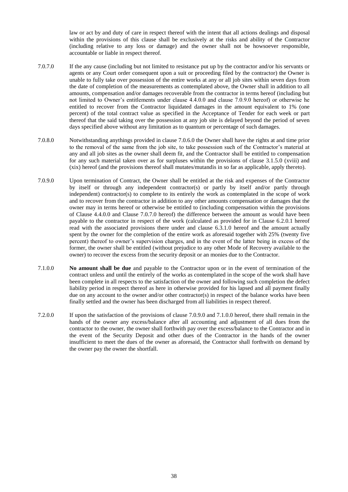law or act by and duty of care in respect thereof with the intent that all actions dealings and disposal within the provisions of this clause shall be exclusively at the risks and ability of the Contractor (including relative to any loss or damage) and the owner shall not be howsoever responsible, accountable or liable in respect thereof.

- 7.0.7.0 If the any cause (including but not limited to resistance put up by the contractor and/or his servants or agents or any Court order consequent upon a suit or proceeding filed by the contractor) the Owner is unable to fully take over possession of the entire works at any or all job sites within seven days from the date of completion of the measurements as contemplated above, the Owner shall in addition to all amounts, compensation and/or damages recoverable from the contractor in terms hereof (including but not limited to Owner's entitlements under clause 4.4.0.0 and clause 7.0.9.0 hereof) or otherwise he entitled to recover from the Contractor liquidated damages in the amount equivalent to 1% (one percent) of the total contract value as specified in the Acceptance of Tender for each week or part thereof that the said taking over the possession at any job site is delayed beyond the period of seven days specified above without any limitation as to quantum or percentage of such damages.
- 7.0.8.0 Notwithstanding anythings provided in clause 7.0.6.0 the Owner shall have the rights at and time prior to the removal of the same from the job site, to take possession such of the Contractor's material at any and all job sites as the owner shall deem fit, and the Contractor shall be entitled to compensation for any such material taken over as for surpluses within the provisions of clause 3.1.5.0 (xviii) and (xix) hereof (and the provisions thereof shall mutates/mutandis in so far as applicable, apply thereto).
- 7.0.9.0 Upon termination of Contract, the Owner shall be entitled at the risk and expenses of the Contractor by itself or through any independent contractor(s) or partly by itself and/or partly through independent) contractor(s) to complete to its entirely the work as contemplated in the scope of work and to recover from the contractor in addition to any other amounts compensation or damages that the owner may in terms hereof or otherwise be entitled to (including compensation within the provisions of Clause 4.4.0.0 and Clause 7.0.7.0 hereof) the difference between the amount as would have been payable to the contractor in respect of the work (calculated as provided for in Clause 6.2.0.1 hereof read with the associated provisions there under and clause 6.3.1.0 hereof and the amount actually spent by the owner for the completion of the entire work as aforesaid together with 25% (twenty five percent) thereof to owner's supervision charges, and in the event of the latter being in excess of the former, the owner shall be entitled (without prejudice to any other Mode of Recovery available to the owner) to recover the excess from the security deposit or an monies due to the Contractor.
- 7.1.0.0 **No amount shall be due** and payable to the Contractor upon or in the event of termination of the contract unless and until the entirely of the works as contemplated in the scope of the work shall have been complete in all respects to the satisfaction of the owner and following such completion the defect liability period in respect thereof as here in otherwise provided for his lapsed and all payment finally due on any account to the owner and/or other contractor(s) in respect of the balance works have been finally settled and the owner has been discharged from all liabilities in respect thereof.
- 7.2.0.0 If upon the satisfaction of the provisions of clause 7.0.9.0 and 7.1.0.0 hereof, there shall remain in the hands of the owner any excess/balance after all accounting and adjustment of all dues from the contractor to the owner, the owner shall forthwith pay over the excess/balance to the Contractor and in the event of the Security Deposit and other dues of the Contractor in the hands of the owner insufficient to meet the dues of the owner as aforesaid, the Contractor shall forthwith on demand by the owner pay the owner the shortfall.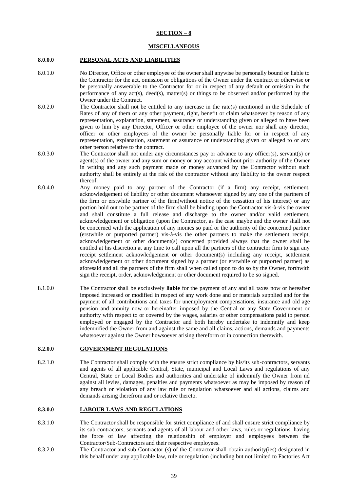# **SECTION – 8**

## **MISCELLANEOUS**

#### **8.0.0.0 PERSONAL ACTS AND LIABILITIES**

- 8.0.1.0 No Director, Office or other employee of the owner shall anywise be personally bound or liable to the Contractor for the act, omission or obligations of the Owner under the contract or otherwise or be personally answerable to the Contractor for or in respect of any default or omission in the performance of any act(s), deed(s), matter(s) or things to be observed and/or performed by the Owner under the Contract.
- 8.0.2.0 The Contractor shall not be entitled to any increase in the rate(s) mentioned in the Schedule of Rates of any of them or any other payment, right, benefit or claim whatsoever by reason of any representation, explanation, statement, assurance or understanding given or alleged to have been given to him by any Director, Officer or other employee of the owner nor shall any director, officer or other employees of the owner be personally liable for or in respect of any representation, explanation, statement or assurance or understanding given or alleged to or any other person relative to the contract.
- 8.0.3.0 The Contractor shall not under any circumstances pay or advance to any officer(s), servant(s) or agent(s) of the owner and any sum or money or any account without prior authority of the Owner in writing and any such payment made or money advanced by the Contractor without such authority shall be entirely at the risk of the contractor without any liability to the owner respect thereof.
- 8.0.4.0 Any money paid to any partner of the Contractor (if a firm) any receipt, settlement, acknowledgement of liability or other document whatsoever signed by any one of the partners of the firm or erstwhile partner of the firm(without notice of the cessation of his interest) or any portion hold out to be partner of the firm shall be binding upon the Contractor vis-à-vis the owner and shall constitute a full release and discharge to the owner and/or valid settlement, acknowledgement or obligation (upon the Contractor, as the case maybe and the owner shall not be concerned with the application of any monies so paid or the authority of the concerned partner (erstwhile or purported partner) vis-à-vis the other partners to make the settlement receipt, acknowledgement or other document(s) concerned provided always that the owner shall be entitled at his discretion at any time to call upon all the partners of the contractor firm to sign any receipt settlement acknowledgement or other document(s) including any receipt, settlement acknowledgement or other document signed by a partner (or erstwhile or purported partner) as aforesaid and all the partners of the firm shall when called upon to do so by the Owner, forthwith sign the receipt, order, acknowledgement or other document required to be so signed.
- 8.1.0.0 The Contractor shall be exclusively **liable** for the payment of any and all taxes now or hereafter imposed increased or modified in respect of any work done and or materials supplied and for the payment of all contributions and taxes for unemployment compensations, insurance and old age pension and annuity now or hereinafter imposed by the Central or any State Government or authority with respect to or covered by the wages, salaries or other compensations paid to person employed or engaged by the Contractor and both hereby undertake to indemnify and keep indemnified the Owner from and against the same and all claims, actions, demands and payments whatsoever against the Owner howsoever arising thereform or in connection therewith.

#### **8.2.0.0 GOVERNMENT REGULATIONS**

8.2.1.0 The Contractor shall comply with the ensure strict compliance by his/its sub-contractors, servants and agents of all applicable Central, State, municipal and Local Laws and regulations of any Central, State or Local Bodies and authorities and undertake of indemnify the Owner from nd against all levies, damages, penalties and payments whatsoever as may be imposed by reason of any breach or violation of any law rule or regulation whatsoever and all actions, claims and demands arising therefrom and or relative thereto.

#### **8.3.0.0 LABOUR LAWS AND REGULATIONS**

- 8.3.1.0 The Contractor shall be responsible for strict compliance of and shall ensure strict compliance by its sub-contractors, servants and agents of all labour and other laws, rules or regulations, having the force of law affecting the relationship of employer and employees between the Contractor/Sub-Contractors and their respective employees.
- 8.3.2.0 The Contractor and sub-Contractor (s) of the Contractor shall obtain authority(ies) designated in this behalf under any applicable law, rule or regulation (including but not limited to Factories Act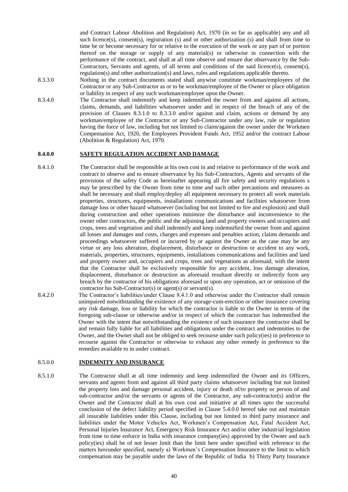and Contract Labour Abolition and Regulation) Act, 1970 (in so far as applicable) any and all such licence(s), consent(s), registration (s) and or other authorization (s) and shall from time to time be or become necessary for or relative to the execution of the work or any part of or portion thereof on the storage or supply of any material(s) or otherwise in connection with the performance of the contract, and shall at all time observe and ensure due observance by the Sub-Contractors, Servants and agents, of all terms and conditions of the said licence(s), consent(s), regulation(s) and other authorization(s) and laws, rules and regulations applicable thereto.

- 8.3.3.0 Nothing in the contract documents stated shall anywise constitute workman/employees of the Contractor or any Sub-Contractor as or to be workman/employee of the Owner or place obligation or liability in respect of any such workman/employee upon the Owner.
- 8.3.4.0 The Contractor shall indemnify and keep indemnified the owner from and against all actions, claims, demands, and liabilities whatsoever under and in respect of the breach of any of the provision of Clauses 8.3.1.0 to 8.3.3.0 and/or against and claim, actions or demand by any workman/employee of the Contractor or any Sub-Contractor under any law, rule or regulation having the force of law, including but not limited to claim/against the owner under the Workmen Compensation Act, 1920, the Employees Provident Funds Act, 1952 and/or the contract Labour (Abolition & Regulation) Act, 1970.

#### **8.4.0.0 SAFETY REGULATION ACCIDENT AND DAMAGE**

- 8.4.1.0 The Contractor shall be responsible at his own cost in and relative to performance of the work and contract to observe and to ensure observance by his Sub-Contractors, Agents and servants of the provisions of the safety Code as hereinafter appearing all fire safety and security regulations s may be prescribed by the Owner from time to time and such other precautions and measures as shall be necessary and shall employ/deploy all equipment necessary to protect all work materials properties, structures, equipments, installations communications and facilities whatsoever from damage loss or other hazard whatsoever (including but not limited to fire and explosion) and shall during construction and other operations minimize the disturbance and inconvenience to the owner other contractors, the public and the adjoining land and property owners and occupiers and crops, trees and vegetation and shall indemnify and keep indemnified the owner from and against all losses and damages and costs, charges and expenses and penalties action, claims demands and proceedings whatsoever suffered or incurred by or against the Owner as the case may be any virtue or any loss alteration, displacement, disturbance or destruction or accident to any work, materials, properties, structures, equipments, installations communications and facilities and land and property owner and, occupiers and crops, trees and vegetations as aforesaid, with the intent that the Contractor shall be exclusively responsible for any accident, loss damage alteration, displacement, disturbance or destruction as aforesaid resultant directly or indirectly form any breach by the contractor of his obligations aforesaid or upon any operation, act or omission of the contractor his Sub-Contractor(s) or agent(s) or servant(s).
- 8.4.2.0 The Contractor's liabilities/under Clause 8.4.1.0 and otherwise under the Contractor shall remain unimpaired notwithstanding the existence of any storage-cum-erection or other insurance covering any risk damage, loss or liability for which the contractor is liable to the Owner in terms of the foregoing sub-clause or otherwise and/or in respect of which the contractor has indemnified the Owner with the intent that notwithstanding the existence of such insurance the contractor shall be and remain fully liable for all liabilities and obligations under the contract and indemnities to the Owner, and the Owner shall not be obliged to seek recourse under such policy(ies) in preference to recourse against the Contractor or otherwise to exhaust any other remedy in preference to the remedies available to in under contract.

#### 8.5.0.0 **INDEMNITY AND INSURANCE**

8.5.1.0 The Contractor shall at all time indemnity and keep indemnified the Owner and its Officers, servants and agents from and against all third party claims whatsoever including but not limited the property loss and damage personal accident, injury or death of/to property or person of and sub-contractor and/or the servants or agents of the Contractor, any sub-contractor(s) and/or the Owner and the Contractor shall at his own cost and initiative at all times upto the successful conclusion of the defect liability period specified in Clause 5.4.0.0 hereof take out and maintain all insurable liabilities under this Clause, including but not limited to third party insurance and liabilities under the Motor Vehicles Act, Workmen's Compensation Act, Fatal Accident Act, Personal Injuries Insurance Act, Emergency Risk Insurance Act and/or other industrial legislation from time to time enforce in India with insurance company(ies) approved by the Owner and such policy(ies) shall be of not lesser limit than the limit here under specified with reference to the matters hereunder specified, namely a) Workmen's Compensation Insurance to the limit to which compensation may be payable under the laws of the Republic of India b) Thirty Party Insurance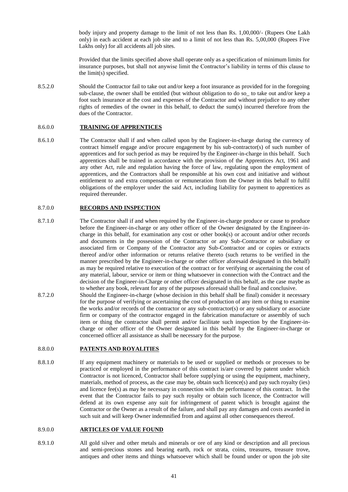body injury and property damage to the limit of not less than Rs. 1,00,000/- (Rupees One Lakh only) in each accident at each job site and to a limit of not less than Rs. 5,00,000 (Rupees Five Lakhs only) for all accidents all job sites.

Provided that the limits specified above shall operate only as a specification of minimum limits for insurance purposes, but shall not anywise limit the Contractor's liability in terms of this clause to the limit(s) specified.

8.5.2.0 Should the Contractor fail to take out and/or keep a foot insurance as provided for in the foregoing sub-clause, the owner shall be entitled (but without obligation to do so to take out and/or keep a foot such insurance at the cost and expenses of the Contractor and without prejudice to any other rights of remedies of the owner in this behalf, to deduct the sum(s) incurred therefore from the dues of the Contractor.

## 8.6.0.0 **TRAINING OF APPRENTICES**

8.6.1.0 The Contractor shall if and when called upon by the Engineer-in-charge during the currency of contract himself engage and/or procure engagement by his sub-contractor(s) of such number of apprentices and for such period as may be required by the Engineer-in-charge in this behalf. Such apprentices shall be trained in accordance with the provision of the Apprentices Act, 1961 and any other Act, rule and regulation having the force of law, regulating upon the employment of apprentices, and the Contractors shall be responsible at his own cost and initiative and without entitlement to and extra compensation or remuneration from the Owner in this behalf to fulfil obligations of the employer under the said Act, including liability for payment to apprentices as required thereunder.

#### 8.7.0.0 **RECORDS AND INSPECTION**

- 8.7.1.0 The Contractor shall if and when required by the Engineer-in-charge produce or cause to produce before the Engineer-in-charge or any other officer of the Owner designated by the Engineer-incharge in this behalf, for examination any cost or other book(s) or account and/or other records and documents in the possession of the Contractor or any Sub-Contractor or subsidiary or associated firm or Company of the Contractor any Sub-Contractor and or copies or extracts thereof and/or other information or returns relative thereto (such returns to be verified in the manner prescribed by the Engineer-in-charge or other officer aforesaid designated in this behalf) as may be required relative to execution of the contract or for verifying or ascertaining the cost of any material, labour, service or item or thing whatsoever in connection with the Contract and the decision of the Engineer-in-Charge or other officer designated in this behalf, as the case maybe as to whether any book, relevant for any of the purposes aforesaid shall be final and conclusive.
- 8.7.2.0 Should the Engineer-in-charge (whose decision in this behalf shall be final) consider it necessary for the purpose of verifying or ascertaining the cost of production of any item or thing to examine the works and/or records of the contractor or any sub-contractor(s) or any subsidiary or associate firm or company of the contractor engaged in the fabrication manufacture or assembly of such item or thing the contractor shall permit and/or facilitate such inspection by the Engineer-incharge or other officer of the Owner designated in this behalf by the Engineer-in-charge or concerned officer all assistance as shall be necessary for the purpose.

#### 8.8.0.0 **PATENTS AND ROYALITIES**

8.8.1.0 If any equipment machinery or materials to be used or supplied or methods or processes to be practiced or employed in the performance of this contract is/are covered by patent under which Contractor is not licenced, Contractor shall before supplying or using the equipment, machinery, materials, method of process, as the case may be, obtain such licence(s) and pay such royalty (ies) and licence fee(s) as may be necessary in connection with the performance of this contract. In the event that the Contractor fails to pay such royalty or obtain such licence, the Contractor will defend at its own expense any suit for infringement of patent which is brought against the Contractor or the Owner as a result of the failure, and shall pay any damages and costs awarded in such suit and will keep Owner indemnified from and against all other consequences thereof.

#### 8.9.0.0 **ARTICLES OF VALUE FOUND**

8.9.1.0 All gold silver and other metals and minerals or ore of any kind or description and all precious and semi-precious stones and bearing earth, rock or strata, coins, treasures, treasure trove, antiques and other items and things whatsoever which shall be found under or upon the job site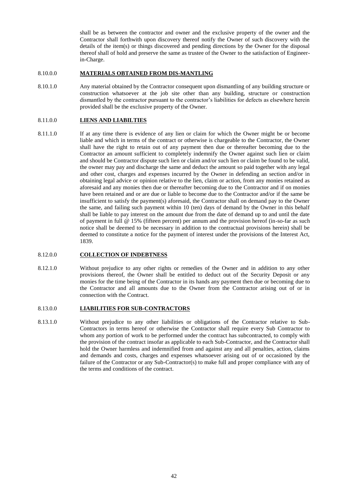shall be as between the contractor and owner and the exclusive property of the owner and the Contractor shall forthwith upon discovery thereof notify the Owner of such discovery with the details of the item(s) or things discovered and pending directions by the Owner for the disposal thereof shall of hold and preserve the same as trustee of the Owner to the satisfaction of Engineerin-Charge.

#### 8.10.0.0 **MATERIALS OBTAINED FROM DIS-MANTLING**

8.10.1.0 Any material obtained by the Contractor consequent upon dismantling of any building structure or construction whatsoever at the job site other than any building, structure or construction dismantled by the contractor pursuant to the contractor's liabilities for defects as elsewhere herein provided shall be the exclusive property of the Owner.

#### 8.11.0.0 **LIENS AND LIABILTIES**

8.11.1.0 If at any time there is evidence of any lien or claim for which the Owner might be or become liable and which in terms of the contract or otherwise is chargeable to the Contractor, the Owner shall have the right to retain out of any payment then due or thereafter becoming due to the Contractor an amount sufficient to completely indemnify the Owner against such lien or claim and should be Contractor dispute such lien or claim and/or such lien or claim be found to be valid, the owner may pay and discharge the same and deduct the amount so paid together with any legal and other cost, charges and expenses incurred by the Owner in defending an section and/or in obtaining legal advice or opinion relative to the lien, claim or action, from any monies retained as aforesaid and any monies then due or thereafter becoming due to the Contractor and if on monies have been retained and or are due or liable to become due to the Contractor and/or if the same be insufficient to satisfy the payment(s) aforesaid, the Contractor shall on demand pay to the Owner the same, and failing such payment within 10 (ten) days of demand by the Owner in this behalf shall be liable to pay interest on the amount due from the date of demand up to and until the date of payment in full @ 15% (fifteen percent) per annum and the provision hereof (in-so-far as such notice shall be deemed to be necessary in addition to the contractual provisions herein) shall be deemed to constitute a notice for the payment of interest under the provisions of the Interest Act, 1839.

#### 8.12.0.0 **COLLECTION OF INDEBTNESS**

8.12.1.0 Without prejudice to any other rights or remedies of the Owner and in addition to any other provisions thereof, the Owner shall be entitled to deduct out of the Security Deposit or any monies for the time being of the Contractor in its hands any payment then due or becoming due to the Contractor and all amounts due to the Owner from the Contractor arising out of or in connection with the Contract.

#### 8.13.0.0 **LIABILITIES FOR SUB-CONTRACTORS**

8.13.1.0 Without prejudice to any other liabilities or obligations of the Contractor relative to Sub-Contractors in terms hereof or otherwise the Contractor shall require every Sub Contractor to whom any portion of work to be performed under the contract has subcontracted, to comply with the provision of the contract insofar as applicable to each Sub-Contractor, and the Contractor shall hold the Owner harmless and indemnified from and against any and all penalties, action, claims and demands and costs, charges and expenses whatsoever arising out of or occasioned by the failure of the Contractor or any Sub-Contractor(s) to make full and proper compliance with any of the terms and conditions of the contract.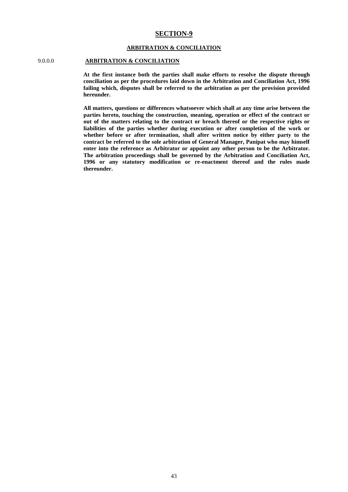## **SECTION-9**

#### **ARBITRATION & CONCILIATION**

## 9.0.0.0 **ARBITRATION & CONCILIATION**

**At the first instance both the parties shall make efforts to resolve the dispute through conciliation as per the procedures laid down in the Arbitration and Conciliation Act, 1996 failing which, disputes shall be referred to the arbitration as per the provision provided hereunder.**

**All matters, questions or differences whatsoever which shall at any time arise between the parties hereto, touching the construction, meaning, operation or effect of the contract or out of the matters relating to the contract or breach thereof or the respective rights or liabilities of the parties whether during execution or after completion of the work or whether before or after termination, shall after written notice by either party to the contract be referred to the sole arbitration of General Manager, Panipat who may himself enter into the reference as Arbitrator or appoint any other person to be the Arbitrator. The arbitration proceedings shall be governed by the Arbitration and Conciliation Act, 1996 or any statutory modification or re-enactment thereof and the rules made thereunder.**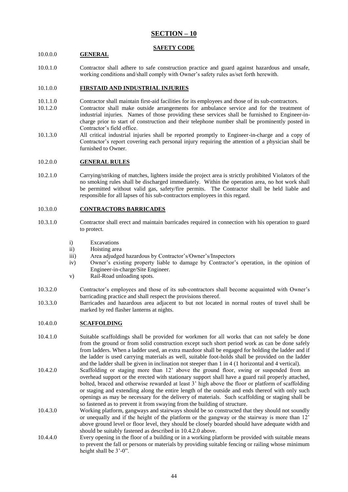# **SECTION – 10**

## **SAFETY CODE**

## 10.0.0.0 **GENERAL**

10.0.1.0 Contractor shall adhere to safe construction practice and guard against hazardous and unsafe, working conditions and/shall comply with Owner's safety rules as/set forth herewith.

## 10.1.0.0 **FIRSTAID AND INDUSTRIAL INJURIES**

- 10.1.1.0 Contractor shall maintain first-aid facilities for its employees and those of its sub-contractors.
- 10.1.2.0 Contractor shall make outside arrangements for ambulance service and for the treatment of industrial injuries. Names of those providing these services shall be furnished to Engineer-incharge prior to start of construction and their telephone number shall be prominently posted in Contractor's field office.
- 10.1.3.0 All critical industrial injuries shall be reported promptly to Engineer-in-charge and a copy of Contractor's report covering each personal injury requiring the attention of a physician shall be furnished to Owner.

#### 10.2.0.0 **GENERAL RULES**

10.2.1.0 Carrying/striking of matches, lighters inside the project area is strictly prohibited Violators of the no smoking rules shall be discharged immediately. Within the operation area, no hot work shall be permitted without valid gas, safety/fire permits. The Contractor shall be held liable and responsible for all lapses of his sub-contractors employees in this regard.

# 10.3.0.0 **CONTRACTORS BARRICADES**

- 10.3.1.0 Contractor shall erect and maintain barricades required in connection with his operation to guard to protect.
	- i) Excavations
	- ii) Hoisting area
	- iii) Area adjudged hazardous by Contractor's/Owner's/Inspectors
	- iv) Owner's existing property liable to damage by Contractor's operation, in the opinion of Engineer-in-charge/Site Engineer.
	- v) Rail-Road unloading spots.
- 10.3.2.0 Contractor's employees and those of its sub-contractors shall become acquainted with Owner's barricading practice and shall respect the provisions thereof.
- 10.3.3.0 Barricades and hazardous area adjacent to but not located in normal routes of travel shall be marked by red flasher lanterns at nights.

## 10.4.0.0 **SCAFFOLDING**

- 10.4.1.0 Suitable scaffoldings shall be provided for workmen for all works that can not safely be done from the ground or from solid construction except such short period work as can be done safely from ladders. When a ladder used, an extra mazdoor shall be engaged for holding the ladder and if the ladder is used carrying materials as well, suitable foot-holds shall be provided on the ladder and the ladder shall be given in inclination not steeper than 1 in 4 (1 horizontal and 4 vertical).
- 10.4.2.0 Scaffolding or staging more than 12' above the ground floor, swing or suspended from an overhead support or the erected with stationary support shall have a guard rail properly attached, bolted, braced and otherwise rewarded at least 3' high above the floor or platform of scaffolding or staging and extending along the entire length of the outside and ends thereof with only such openings as may be necessary for the delivery of materials. Such scaffolding or staging shall be so fastened as to prevent it from swaying from the building of structure.
- 10.4.3.0 Working platform, gangways and stairways should be so constructed that they should not soundly or unequally and if the height of the platform or the gangway or the stairway is more than 12' above ground level or floor level, they should be closely boarded should have adequate width and should be suitably fastened as described in 10.4.2.0 above.
- 10.4.4.0 Every opening in the floor of a building or in a working platform be provided with suitable means to prevent the fall or persons or materials by providing suitable fencing or railing whose minimum height shall be  $3'-0$ ".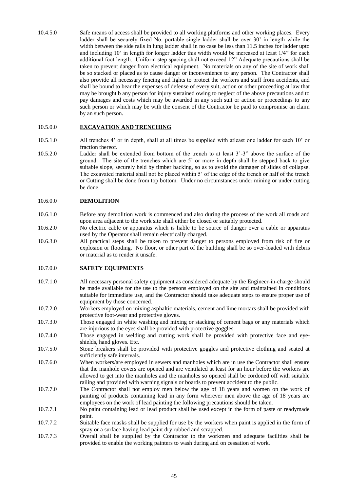10.4.5.0 Safe means of access shall be provided to all working platforms and other working places. Every ladder shall be securely fixed No. portable single ladder shall be over 30' in length while the width between the side rails in lung ladder shall in no case be less than 11.5 inches for ladder upto and including 10' in length for longer ladder this width would be increased at least 1/4" for each additional foot length. Uniform step spacing shall not exceed 12" Adequate precautions shall be taken to prevent danger from electrical equipment. No materials on any of the site of work shall be so stacked or placed as to cause danger or inconvenience to any person. The Contractor shall also provide all necessary fencing and lights to protect the workers and staff from accidents, and shall be bound to bear the expenses of defense of every suit, action or other proceeding at law that may be brought b any person for injury sustained owing to neglect of the above precautions and to pay damages and costs which may be awarded in any such suit or action or proceedings to any such person or which may be with the consent of the Contractor be paid to compromise an claim by an such person.

#### 10.5.0.0 **EXCAVATION AND TRENCHING**

- 10.5.1.0 All trenches 4' or in depth, shall at all times be supplied with atleast one ladder for each 10' or fraction thereof.
- 10.5.2.0 Ladder shall be extended from bottom of the trench to at least 3'-3" above the surface of the ground. The site of the trenches which are 5' or more in depth shall be stepped back to give suitable slope, securely held by timber backing, so as to avoid the damager of slides of collapse. The excavated material shall not be placed within 5' of the edge of the trench or half of the trench or Cutting shall be done from top bottom. Under no circumstances under mining or under cutting be done.

#### 10.6.0.0 **DEMOLITION**

- 10.6.1.0 Before any demolition work is commenced and also during the process of the work all roads and upon area adjacent to the work site shall either be closed or suitably protected.
- 10.6.2.0 No electric cable or apparatus which is liable to be source of danger over a cable or apparatus used by the Operator shall remain electrically charged.
- 10.6.3.0 All practical steps shall be taken to prevent danger to persons employed from risk of fire or explosion or flooding. No floor, or other part of the building shall be so over-loaded with debris or material as to render it unsafe.

#### 10.7.0.0 **SAFETY EQUIPMENTS**

- 10.7.1.0 All necessary personal safety equipment as considered adequate by the Engineer-in-charge should be made available for the use to the persons employed on the site and maintained in conditions suitable for immediate use, and the Contractor should take adequate steps to ensure proper use of equipment by those concerned.
- 10.7.2.0 Workers employed on mixing asphaltic materials, cement and lime mortars shall be provided with protective foot-wear and protective gloves.
- 10.7.3.0 Those engaged in white washing and mixing or stacking of cement bags or any materials which are injurious to the eyes shall be provided with protective goggles.
- 10.7.4.0 Those engaged in welding and cutting work shall be provided with protective face and eyeshields, hand gloves. Etc.
- 10.7.5.0 Stone breakers shall be provided with protective goggles and protective clothing and seated at sufficiently safe intervals.
- 10.7.6.0 When workers/are employed in sewers and manholes which are in use the Contractor shall ensure that the manhole covers are opened and are ventilated at least for an hour before the workers are allowed to get into the manholes and the manholes so opened shall be cordoned off with suitable railing and provided with warning signals or boards to prevent accident to the public.
- 10.7.7.0 The Contractor shall not employ men below the age of 18 years and women on the work of painting of products containing lead in any form wherever men above the age of 18 years are employees on the work of lead painting the following precautions should be taken.
- 10.7.7.1 No paint containing lead or lead product shall be used except in the form of paste or readymade paint.
- 10.7.7.2 Suitable face masks shall be supplied for use by the workers when paint is applied in the form of spray or a surface having lead paint dry rubbed and scrapped.
- 10.7.7.3 Overall shall be supplied by the Contractor to the workmen and adequate facilities shall be provided to enable the working painters to wash during and on cessation of work.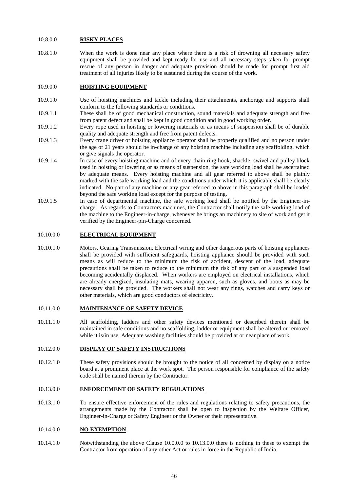#### 10.8.0.0 **RISKY PLACES**

10.8.1.0 When the work is done near any place where there is a risk of drowning all necessary safety equipment shall be provided and kept ready for use and all necessary steps taken for prompt rescue of any person in danger and adequate provision should be made for prompt first aid treatment of all injuries likely to be sustained during the course of the work.

#### 10.9.0.0 **HOISTING EQUIPMENT**

- 10.9.1.0 Use of hoisting machines and tackle including their attachments, anchorage and supports shall conform to the following standards or conditions.
- 10.9.1.1 These shall be of good mechanical construction, sound materials and adequate strength and free from patent defect and shall be kept in good condition and in good working order.
- 10.9.1.2 Every rope used in hoisting or lowering materials or as means of suspension shall be of durable quality and adequate strength and free from patent defects.
- 10.9.1.3 Every crane driver or hoisting appliance operator shall be properly qualified and no person under the age of 21 years should be in-charge of any hoisting machine including any scaffolding, which or give signals the operator.
- 10.9.1.4 In case of every hoisting machine and of every chain ring hook, shackle, swivel and pulley block used in hoisting or lowering or as means of suspension, the safe working load shall be ascertained by adequate means. Every hoisting machine and all gear referred to above shall be plainly marked with the safe working load and the conditions under which it is applicable shall be clearly indicated. No part of any machine or any gear referred to above in this paragraph shall be loaded beyond the safe working load except for the purpose of testing.
- 10.9.1.5 In case of departmental machine, the safe working load shall be notified by the Engineer-incharge. As regards to Contractors machines, the Contractor shall notify the safe working load of the machine to the Engineer-in-charge, whenever he brings an machinery to site of work and get it verified by the Engineer-pin-Charge concerned.

#### 10.10.0.0 **ELECTRICAL EQUIPMENT**

10.10.1.0 Motors, Gearing Transmission, Electrical wiring and other dangerous parts of hoisting appliances shall be provided with sufficient safeguards, hoisting appliance should be provided with such means as will reduce to the minimum the risk of accident, descent of the load, adequate precautions shall be taken to reduce to the minimum the risk of any part of a suspended load becoming accidentally displaced. When workers are employed on electrical installations, which are already energized, insulating mats, wearing apparon, such as gloves, and boots as may be necessary shall be provided. The workers shall not wear any rings, watches and carry keys or other materials, which are good conductors of electricity.

#### 10.11.0.0 **MAINTENANCE OF SAFETY DEVICE**

10.11.1.0 All scaffolding, ladders and other safety devices mentioned or described therein shall be maintained in safe conditions and no scaffolding, ladder or equipment shall be altered or removed while it is/in use, Adequate washing facilities should be provided at or near place of work.

#### 10.12.0.0 **DISPLAY OF SAFETY INSTRUCTIONS**

10.12.1.0 These safety provisions should be brought to the notice of all concerned by display on a notice board at a prominent place at the work spot. The person responsible for compliance of the safety code shall be named therein by the Contractor.

#### 10.13.0.0 **ENFORCEMENT OF SAFETY REGULATIONS**

10.13.1.0 To ensure effective enforcement of the rules and regulations relating to safety precautions, the arrangements made by the Contractor shall be open to inspection by the Welfare Officer, Engineer-in-Charge or Safety Engineer or the Owner or their representative.

#### 10.14.0.0 **NO EXEMPTION**

10.14.1.0 Notwithstanding the above Clause 10.0.0.0 to 10.13.0.0 there is nothing in these to exempt the Contractor from operation of any other Act or rules in force in the Republic of India.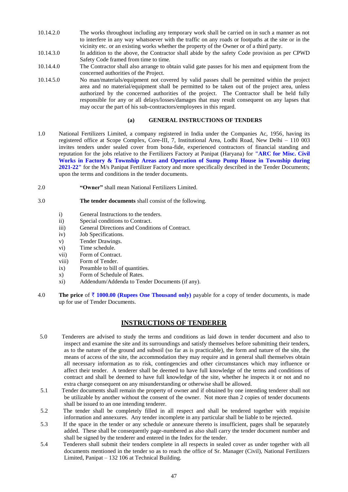- 10.14.2.0 The works throughout including any temporary work shall be carried on in such a manner as not to interfere in any way whatsoever with the traffic on any roads or footpaths at the site or in the vicinity etc. or an existing works whether the property of the Owner or of a third party.
- 10.14.3.0 In addition to the above, the Contractor shall abide by the safety Code provision as per CPWD Safety Code framed from time to time.
- 10.14.4.0 The Contractor shall also arrange to obtain valid gate passes for his men and equipment from the concerned authorities of the Project.
- 10.14.5.0 No man/materials/equipment not covered by valid passes shall be permitted within the project area and no material/equipment shall be permitted to be taken out of the project area, unless authorized by the concerned authorities of the project. The Contractor shall be held fully responsible for any or all delays/losses/damages that may result consequent on any lapses that may occur the part of his sub-contractors/employees in this regard.

# **(a) GENERAL INSTRUCTIONS OF TENDERS**

- 1.0 National Fertilizers Limited, a company registered in India under the Companies Ac, 1956, having its registered office at Scope Complex, Core-III, 7, Institutional Area, Lodhi Road, New Delhi – 110 003 invites tenders under sealed cover from bona-fide, experienced contractors of financial standing and reputation for the jobs relative to the Fertilizers Factory at Panipat (Haryana) for **"ARC for Misc. Civil Works in Factory & Township Areas and Operation of Sump Pump House in Township during 2021-22"** for the M/s Panipat Fertilizer Factory and more specifically described in the Tender Documents; upon the terms and conditions in the tender documents.
- 2.0 **"Owner"** shall mean National Fertilizers Limited.

## 3.0 **The tender documents** shall consist of the following.

- i) General Instructions to the tenders.
- ii) Special conditions to Contract.
- iii) General Directions and Conditions of Contract.
- iv) Job Specifications.
- v) Tender Drawings.
- vi) Time schedule.
- vii) Form of Contract.
- viii) Form of Tender.
- ix) Preamble to bill of quantities.
- x) Form of Schedule of Rates.
- xi) Addendum/Addenda to Tender Documents (if any).
- 4.0 **The price** of  $\bar{\tau}$  **1000.00** (Rupees One Thousand only) payable for a copy of tender documents, is made up for use of Tender Documents.

# **INSTRUCTIONS OF TENDERER**

- 5.0 Tenderers are advised to study the terms and conditions as laid down in tender document and also to inspect and examine the site and its surroundings and satisfy themselves before submitting their tenders, as to the nature of the ground and subsoil (so far as is practicable), the form and nature of the site, the means of access of the site, the accommodation they may require and in general shall themselves obtain all necessary information as to risk, contingencies and other circumstances which may influence or affect their tender. A tenderer shall be deemed to have full knowledge of the terms and conditions of contract and shall be deemed to have full knowledge of the site, whether he inspects it or not and no extra charge consequent on any misunderstanding or otherwise shall be allowed.
- 5.1 Tender documents shall remain the property of owner and if obtained by one intending tenderer shall not be utilizable by another without the consent of the owner. Not more than 2 copies of tender documents shall be issued to an one intending tenderer.
- 5.2 The tender shall be completely filled in all respect and shall be tendered together with requisite information and annexures. Any tender incomplete in any particular shall be liable to be rejected.
- 5.3 If the space in the tender or any schedule or annexure thereto is insufficient, pages shall be separately added. These shall be consequently page-numbered as also shall carry the tender document number and shall be signed by the tenderer and entered in the Index for the tender.
- 5.4 Tenderers shall submit their tenders complete in all respects in sealed cover as under together with all documents mentioned in the tender so as to reach the office of Sr. Manager (Civil), National Fertilizers Limited, Panipat – 132 106 at Technical Building.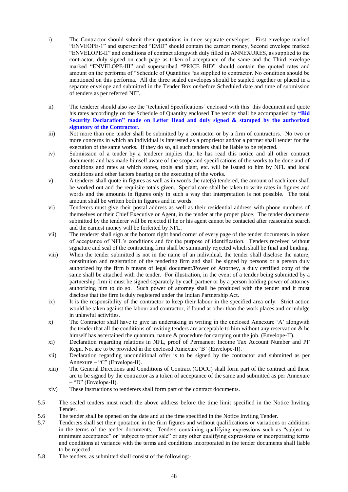- i) The Contractor should submit their quotations in three separate envelopes. First envelope marked "ENVEOPE-1" and superscribed "EMD" should contain the earnest money, Second envelope marked "ENVELOPE-II" and conditions of contract alongwith duly filled in ANNEXURES, as supplied to the contractor, duly signed on each page as token of acceptance of the same and the Third envelope marked "ENVELOPE-III" and superscribed "PRICE BID" should contain the quoted rates and amount on the performa of "Schedule of Quantities "as supplied to contractor. No condition should be mentioned on this performa. All the three sealed envelopes should be stapled together or placed in a separate envelope and submitted in the Tender Box on/before Scheduled date and time of submission of tenders as per referred NIT.
- ii) The tenderer should also see the 'technical Specifications' enclosed with this this document and quote his rates accordingly on the Schedule of Quantity enclosed The tender shall be accompanied by **"Bid Security Declaration" made on Letter Head and duly signed & stamped by the authorized signatory of the Contractor.**
- iii) Not more than one tender shall be submitted by a contractor or by a firm of contractors. No two or more concerns in which an individual is interested as a proprietor and/or a partner shall tender for the execution of the same works. If they do so, all such tenders shall be liable to be rejected.
- iv) Submission of a tender by a tenderer implies that he has read this notice and all other contract documents and has made himself aware of the scope and specifications of the works to be done and of conditions and rates at which stores, tools and plant, etc. will be issued to him by NFL and local conditions and other factors bearing on the executing of the works.
- v) A tenderer shall quote in figures as well as in words the rate(s) tendered, the amount of each item shall be worked out and the requisite totals given. Special care shall be taken to write rates in figures and words and the amounts in figures only in such a way that interpretation is not possible. The total amount shall be written both in figures and in words.
- vi) Tenderers must give their postal address as well as their residential address with phone numbers of themselves or their Chief Executive or Agent, in the tender at the proper place. The tender documents submitted by the tenderer will be rejected if he or his agent cannot be contacted after reasonable search and the earnest money will be forfeited by NFL.
- vii) The tenderer shall sign at the bottom right hand corner of every page of the tender documents in token of acceptance of NFL's conditions and for the purpose of identification. Tenders received without signature and seal of the contracting firm shall be summarily rejected which shall be final and binding.
- viii) When the tender submitted is not in the name of an individual, the tender shall disclose the nature, constitution and registration of the tendering firm and shall be signed by persons or a person duly authorized by the firm b means of legal document/Power of Attorney, a duly certified copy of the same shall be attached with the tender. For illustration, in the event of a tender being submitted by a partnership firm it must be signed separately by each partner or by a person holding power of attorney authorizing him to do so. Such power of attorney shall be produced with the tender and it must disclose that the firm is duly registered under the Indian Partnership Act.
- ix) It is the responsibility of the contractor to keep their labour in the specified area only. Strict action would be taken against the labour and contractor, if found at other than the work places and or indulge in unlawful activities.
- x) The Contractor shall have to give an undertaking in writing in the enclosed Annexure 'A' alongwith the tender that all the conditions of inviting tenders are acceptable to him without any reservation  $\&$  he himself has ascertained the quantum, nature & procedure for carrying out the job. (Envelope-II).
- xi) Declaration regarding relations in NFL, proof of Permanent Income Tax Account Number and PF Regn. No. are to be provided in the enclosed Annexure 'B' (Envelope-II).
- xii) Declaration regarding unconditional offer is to be signed by the contractor and submitted as per Annexure – "C" (Envelope-II).
- xiii) The General Directions and Conditions of Contract (GDCC) shall form part of the contract and these are to be signed by the contractor as a token of acceptance of the same and submitted as per Annexure – "D" (Envelope-II).
- xiv) These instructions to tenderers shall form part of the contract documents.
- 5.5 The sealed tenders must reach the above address before the time limit specified in the Notice Inviting Tender.
- 5.6 The tender shall be opened on the date and at the time specified in the Notice Inviting Tender.
- 5.7 Tenderers shall set their quotation in the firm figures and without qualifications or variations or additions in the terms of the tender documents. Tenders containing qualifying expressions such as "subject to minimum acceptance" or "subject to prior sale" or any other qualifying expressions or incorporating terms and conditions at variance with the terms and conditions incorporated in the tender documents shall liable to be rejected.
- 5.8 The tenders, as submitted shall consist of the following:-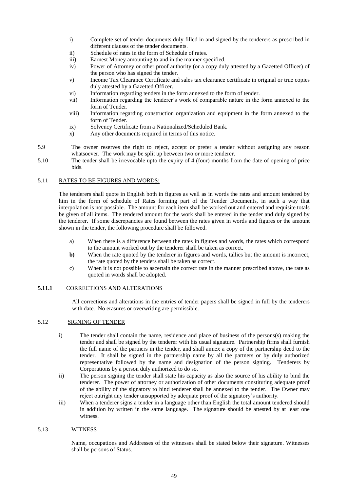- i) Complete set of tender documents duly filled in and signed by the tenderers as prescribed in different clauses of the tender documents.
- ii) Schedule of rates in the form of Schedule of rates.
- iii) Earnest Money amounting to and in the manner specified.
- iv) Power of Attorney or other proof authority (or a copy duly attested by a Gazetted Officer) of the person who has signed the tender.
- v) Income Tax Clearance Certificate and sales tax clearance certificate in original or true copies duly attested by a Gazetted Officer.
- vi) Information regarding tenders in the form annexed to the form of tender.
- vii) Information regarding the tenderer's work of comparable nature in the form annexed to the form of Tender.
- viii) Information regarding construction organization and equipment in the form annexed to the form of Tender.
- ix) Solvency Certificate from a Nationalized/Scheduled Bank.
- x) Any other documents required in terms of this notice.
- 5.9 The owner reserves the right to reject, accept or prefer a tender without assigning any reason whatsoever. The work may be split up between two or more tenderer.
- 5.10 The tender shall be irrevocable upto the expiry of 4 (four) months from the date of opening of price bids.

## 5.11 RATES TO BE FIGURES AND WORDS:

The tenderers shall quote in English both in figures as well as in words the rates and amount tendered by him in the form of schedule of Rates forming part of the Tender Documents, in such a way that interpolation is not possible. The amount for each item shall be worked out and entered and requisite totals be given of all items. The tendered amount for the work shall be entered in the tender and duly signed by the tenderer. If some discrepancies are found between the rates given in words and figures or the amount shown in the tender, the following procedure shall be followed.

- a) When there is a difference between the rates in figures and words, the rates which correspond to the amount worked out by the tenderer shall be taken as correct.
- **b**) When the rate quoted by the tenderer in figures and words, tallies but the amount is incorrect, the rate quoted by the tenders shall be taken as correct.
- c) When it is not possible to ascertain the correct rate in the manner prescribed above, the rate as quoted in words shall be adopted.

# **5.11.1** CORRECTIONS AND ALTERATIONS

All corrections and alterations in the entries of tender papers shall be signed in full by the tenderers with date. No erasures or overwriting are permissible.

#### 5.12 SIGNING OF TENDER

- i) The tender shall contain the name, residence and place of business of the persons(s) making the tender and shall be signed by the tenderer with his usual signature. Partnership firms shall furnish the full name of the partners in the tender, and shall annex a copy of the partnership deed to the tender. It shall be signed in the partnership name by all the partners or by duly authorized representative followed by the name and designation of the person signing. Tenderers by Corporations by a person duly authorized to do so.
- ii) The person signing the tender shall state his capacity as also the source of his ability to bind the tenderer. The power of attorney or authorization of other documents constituting adequate proof of the ability of the signatory to bind tenderer shall be annexed to the tender. The Owner may reject outright any tender unsupported by adequate proof of the signatory's authority.
- iii) When a tenderer signs a tender in a language other than English the total amount tendered should in addition by written in the same language. The signature should be attested by at least one witness.

# 5.13 WITNESS

Name, occupations and Addresses of the witnesses shall be stated below their signature. Witnesses shall be persons of Status.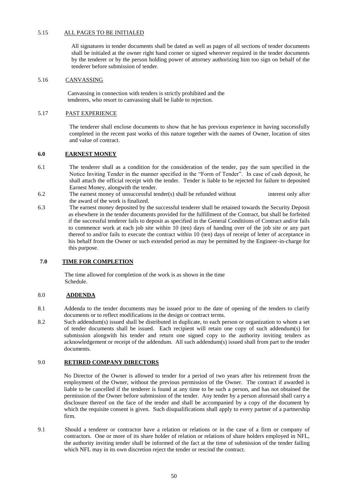#### 5.15 ALL PAGES TO BE INITIALED

All signatures in tender documents shall be dated as well as pages of all sections of tender documents shall be initialed at the owner right hand corner or signed wherever required in the tender documents by the tenderer or by the person holding power of attorney authorizing him too sign on behalf of the tenderer before submission of tender.

#### 5.16 CANVASSING

 Canvassing in connection with tenders is strictly prohibited and the tenderers, who resort to canvassing shall be liable to rejection.

#### 5.17 PAST EXPERIENCE

The tenderer shall enclose documents to show that he has previous experience in having successfully completed in the recent past works of this nature together with the names of Owner, location of sites and value of contract.

#### **6.0 EARNEST MONEY**

- 6.1 The tenderer shall as a condition for the consideration of the tender, pay the sum specified in the Notice Inviting Tender in the manner specified in the "Form of Tender". In case of cash deposit, he shall attach the official receipt with the tender. Tender is liable to be rejected for failure to deposited Earnest Money, alongwith the tender.
- 6.2 The earnest money of unsuccessful tender(s) shall be refunded without interest only after the award of the work is finalized.
- 6.3 The earnest money deposited by the successful tenderer shall be retained towards the Security Deposit as elsewhere in the tender documents provided for the fulfillment of the Contract, but shall be forfeited if the successful tenderer fails to deposit as specified in the General Conditions of Contract and/or fails to commence work at each job site within 10 (ten) days of handing over of the job site or any part thereof to and/or fails to execute the contract within 10 (ten) days of receipt of letter of acceptance in his behalf from the Owner or such extended period as may be permitted by the Engineer-in-charge for this purpose.

#### **7.0 TIME FOR COMPLETION**

 The time allowed for completion of the work is as shown in the time Schedule.

#### 8.0 **ADDENDA**

- 8.1 Addenda to the tender documents may be issued prior to the date of opening of the tenders to clarify documents or to reflect modifications in the design or contract terms.
- 8.2 Such addendum(s) issued shall be distributed in duplicate, to each person or organization to whom a set of tender documents shall be issued. Each recipient will retain one copy of such addendum(s) for submission alongwith his tender and return one signed copy to the authority inviting tenders as acknowledgement or receipt of the addendum. All such addendum(s) issued shall from part to the tender documents.

#### 9.0 **RETIRED COMPANY DIRECTORS**

No Director of the Owner is allowed to tender for a period of two years after his retirement from the employment of the Owner, without the previous permission of the Owner. The contract if awarded is liable to be cancelled if the tenderer is found at any time to be such a person, and has not obtained the permission of the Owner before submission of the tender. Any tender by a person aforesaid shall carry a disclosure thereof on the face of the tender and shall be accompanied by a copy of the document by which the requisite consent is given. Such disqualifications shall apply to every partner of a partnership firm.

9.1 Should a tenderer or contractor have a relation or relations or in the case of a firm or company of contractors. One or more of its share holder of relation or relations of share holders employed in NFL, the authority inviting tender shall be informed of the fact at the time of submission of the tender failing which NFL may in its own discretion reject the tender or rescind the contract.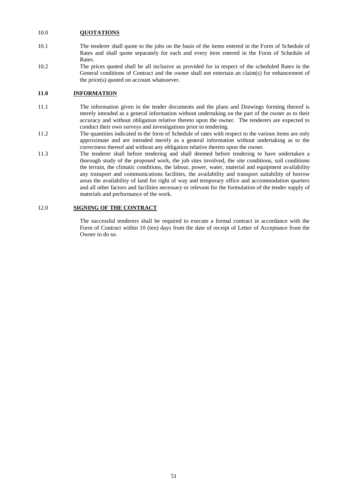### 10.0 **QUOTATIONS**

- 10.1 The tenderer shall quote to the jobs on the basis of the items entered in the Form of Schedule of Rates and shall quote separately for each and every item entered in the Form of Schedule of Rates.
- 10.2 The prices quoted shall be all inclusive as provided for in respect of the scheduled Rates in the General conditions of Contract and the owner shall not entertain an claim(s) for enhancement of the price(s) quoted on account whatsoever.

# **11.0 INFORMATION**

- 11.1 The information given in the tender documents and the plans and Drawings forming thereof is merely intended as a general information without undertaking on the part of the owner as to their accuracy and without obligation relative thereto upon the owner. The tenderers are expected to conduct their own surveys and investigations prior to tendering.
- 11.2 The quantities indicated in the form of Schedule of rates with respect to the various items are only approximate and are intended merely as a general information without undertaking as to the correctness thereof and without any obligation relative thereto upon the owner.
- 11.3 The tenderer shall before tendering and shall deemed before tendering to have undertaken a thorough study of the proposed work, the job sites involved, the site conditions, soil conditions the terrain, the climatic conditions, the labour, power, water, material and equipment availability any transport and communications facilities, the availability and transport suitability of borrow areas the availability of land for right of way and temporary office and accommodation quarters and all other factors and facilities necessary or relevant for the formulation of the tender supply of materials and performance of the work.

# 12.0 **SIGNING OF THE CONTRACT**

The successful tenderers shall be required to execute a formal contract in accordance with the Form of Contract within 10 (ten) days from the date of receipt of Letter of Acceptance from the Owner to do so.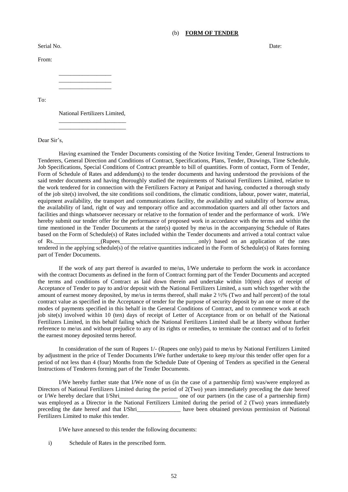#### (b) **FORM OF TENDER**

Serial No. Date: Note: No. 2012 12:30 and 2012 12:30 and 2012 12:30 and 2012 12:30 and 2012 12:30 and 2012 12:30 and 2013 12:30 and 2013 12:30 and 2013 12:30 and 2013 12:30 and 2013 12:30 and 2013 12:30 and 2013 12:30 and

From:

\_\_\_\_\_\_\_\_\_\_\_\_\_\_\_\_\_\_ \_\_\_\_\_\_\_\_\_\_\_\_\_\_\_\_\_\_ \_\_\_\_\_\_\_\_\_\_\_\_\_\_\_\_\_\_

To:

National Fertilizers Limited, \_\_\_\_\_\_\_\_\_\_\_\_\_\_\_\_\_\_\_\_\_\_\_

\_\_\_\_\_\_\_\_\_\_\_\_\_\_\_\_\_\_\_\_\_\_\_

Dear Sir's,

Having examined the Tender Documents consisting of the Notice Inviting Tender, General Instructions to Tenderers, General Direction and Conditions of Contract, Specifications, Plans, Tender, Drawings, Time Schedule, Job Specifications, Special Conditions of Contract preamble to bill of quantities. Form of contact, Form of Tender, Form of Schedule of Rates and addendum(s) to the tender documents and having understood the provisions of the said tender documents and having thoroughly studied the requirements of National Fertilizers Limited, relative to the work tendered for in connection with the Fertilizers Factory at Panipat and having, conducted a thorough study of the job site(s) involved, the site conditions soil conditions, the climatic conditions, labour, power water, material, equipment availability, the transport and communications facility, the availability and suitability of borrow areas, the availability of land, right of way and temporary office and accommodation quarters and all other factors and facilities and things whatsoever necessary or relative to the formation of tender and the performance of work. I/We hereby submit our tender offer for the performance of proposed work in accordance with the terms and within the time mentioned in the Tender Documents at the rate(s) quoted by me/us in the accompanying Schedule of Rates based on the Form of Schedule(s) of Rates included within the Tender documents and arrived a total contract value of Rs. (Rupees and application of the rates only) based on an application of the rates tendered in the applying schedule(s) of the relative quantities indicated in the Form of Schedule(s) of Rates forming part of Tender Documents.

If the work of any part thereof is awarded to me/us, I/We undertake to perform the work in accordance with the contract Documents as defined in the form of Contract forming part of the Tender Documents and accepted the terms and conditions of Contract as laid down therein and undertake within 10(ten) days of receipt of Acceptance of Tender to pay to and/or deposit with the National Fertilizers Limited, a sum which together with the amount of earnest money deposited, by me/us in terms thereof, shall make 2 ½% (Two and half percent) of the total contract value as specified in the Acceptance of tender for the purpose of security deposit by an one or more of the modes of payments specified in this behalf in the General Conditions of Contract, and to commence work at each job site(s) involved within 10 (ten) days of receipt of Letter of Acceptance from or on behalf of the National Fertilizers Limited, in this behalf failing which the National Fertilizers Limited shall be at liberty without further reference to me/us and without prejudice to any of its rights or remedies, to terminate the contract and of to forfeit the earnest money deposited terms hereof.

In consideration of the sum of Rupees 1/- (Rupees one only) paid to me/us by National Fertilizers Limited by adjustment in the price of Tender Documents I/We further undertake to keep my/our this tender offer open for a period of not less than 4 (four) Months from the Schedule Date of Opening of Tenders as specified in the General Instructions of Tenderers forming part of the Tender Documents.

I/We hereby further state that I/We none of us (in the case of a partnership firm) was/were employed as Directors of National Fertilizers Limited during the period of 2(Two) years immediately preceding the date hereof or I/We hereby declare that I/Shri\_\_\_\_\_\_\_\_\_\_\_\_\_\_\_\_\_\_\_\_ one of our partners (in the case of a partnership firm) was employed as a Director in the National Fertilizers Limited during the period of 2 (Two) years immediately preceding the date hereof and that I/Shri\_\_\_\_\_\_\_\_\_\_\_\_\_\_\_ have been obtained previous permission of National Fertilizers Limited to make this tender.

I/We have annexed to this tender the following documents:

i) Schedule of Rates in the prescribed form.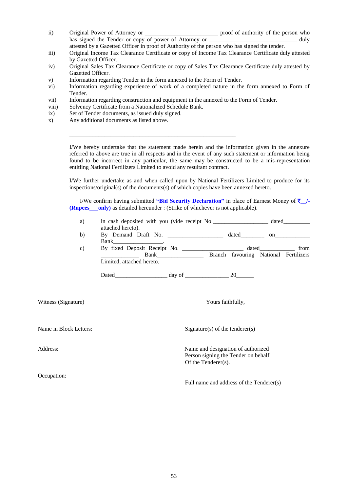- ii) Original Power of Attorney or \_\_\_\_\_\_\_\_\_\_\_\_\_\_\_\_\_\_\_\_\_\_\_\_\_ proof of authority of the person who has signed the Tender or copy of power of Attorney or \_\_\_\_\_\_\_\_\_\_\_\_\_\_\_\_\_\_\_\_\_\_\_\_\_\_\_ duly attested by a Gazetted Officer in proof of Authority of the person who has signed the tender.
- iii) Original Income Tax Clearance Certificate or copy of Income Tax Clearance Certificate duly attested by Gazetted Officer.
- iv) Original Sales Tax Clearance Certificate or copy of Sales Tax Clearance Certificate duly attested by Gazetted Officer.
- v) Information regarding Tender in the form annexed to the Form of Tender.
- vi) Information regarding experience of work of a completed nature in the form annexed to Form of Tender.
- vii) Information regarding construction and equipment in the annexed to the Form of Tender.

\_\_\_\_\_\_\_\_\_\_\_\_\_\_\_\_\_\_\_\_\_\_\_\_\_\_\_\_\_\_\_\_\_\_\_\_\_\_\_\_\_\_\_\_\_\_\_\_\_\_\_\_\_\_\_\_\_

- viii) Solvency Certificate from a Nationalized Schedule Bank.
- ix) Set of Tender documents, as issued duly signed.
- x) Any additional documents as listed above.

I/We hereby undertake that the statement made herein and the information given in the annexure referred to above are true in all respects and in the event of any such statement or information being found to be incorrect in any particular, the same may be constructed to be a mis-representation entitling National Fertilizers Limited to avoid any resultant contract.

I/We further undertake as and when called upon by National Fertilizers Limited to produce for its inspections/original(s) of the documents(s) of which copies have been annexed hereto.

I/We confirm having submitted **"Bid Security Declaration"** in place of Earnest Money of `**\_\_/- (Rupees** only) as detailed hereunder : (Strike of whichever is not applicable).

- a) in cash deposited with you (vide receipt No.  $\qquad \qquad$  dated attached hereto).
- b) By Demand Draft No. \_\_\_\_\_\_\_\_\_\_\_\_\_\_\_ dated on Bank\_\_\_\_\_\_\_\_\_\_\_\_\_\_\_\_\_.
- c) By fixed Deposit Receipt No. \_\_\_\_\_\_\_\_\_\_\_\_\_\_\_\_\_\_\_\_\_ dated\_\_\_\_\_\_\_\_\_\_\_\_\_ from \_\_\_\_\_\_\_\_\_\_\_\_\_ Bank\_\_\_\_\_\_\_\_\_\_\_\_\_\_\_\_ Branch favouring National Fertilizers Limited, attached hereto.

Dated\_\_\_\_\_\_\_\_\_\_\_\_\_\_\_\_\_\_ day of \_\_\_\_\_\_\_\_\_\_\_\_\_\_\_ 20\_\_\_\_\_\_

Witness (Signature) **Yours** faithfully,

Occupation:

Name in Block Letters: Signature(s) of the tenderer(s)

Address: Name and designation of authorized Person signing the Tender on behalf Of the Tenderer(s).

Full name and address of the Tenderer(s)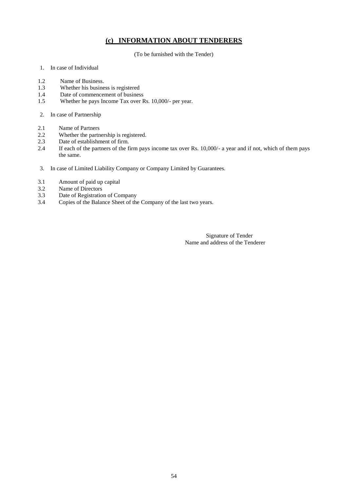# **(c) INFORMATION ABOUT TENDERERS**

(To be furnished with the Tender)

- 1. In case of Individual
- 1.2 Name of Business.<br>1.3 Whether his busine
- 1.3 Whether his business is registered<br>1.4 Date of commencement of busines
- Date of commencement of business
- 1.5 Whether he pays Income Tax over Rs. 10,000/- per year.
- 2. In case of Partnership
- 2.1 Name of Partners
- 2.2 Whether the partnership is registered.
- 2.3 Date of establishment of firm.
- 2.4 If each of the partners of the firm pays income tax over Rs. 10,000/- a year and if not, which of them pays the same.
- 3. In case of Limited Liability Company or Company Limited by Guarantees.
- 3.1 Amount of paid up capital
- 3.2 Name of Directors<br>3.3 Date of Registratio
- 3.3 Date of Registration of Company<br>3.4 Copies of the Balance Sheet of the
- Copies of the Balance Sheet of the Company of the last two years.

Signature of Tender Name and address of the Tenderer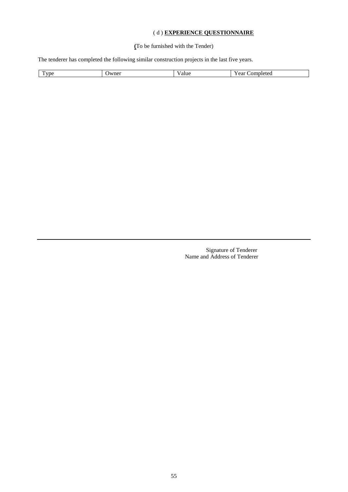# ( d ) **EXPERIENCE QUESTIONNAIRE**

**(**To be furnished with the Tender)

The tenderer has completed the following similar construction projects in the last five years.

|  | <u>тт</u><br>'vpe | Jwner | 'alue | $\overline{\phantom{a}}$<br>ear | ∠ompleted |
|--|-------------------|-------|-------|---------------------------------|-----------|
|--|-------------------|-------|-------|---------------------------------|-----------|

Signature of Tenderer Name and Address of Tenderer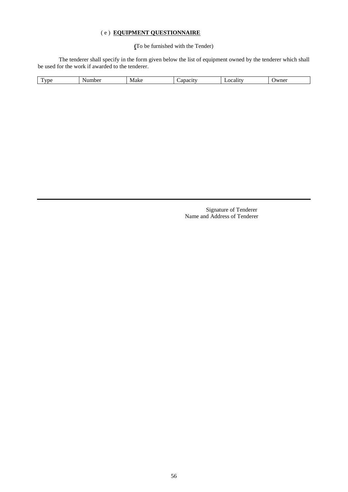# ( e ) **EQUIPMENT QUESTIONNAIRE**

# **(**To be furnished with the Tender)

The tenderer shall specify in the form given below the list of equipment owned by the tenderer which shall be used for the work if awarded to the tenderer.

| пr.<br>≠∪ ∪ | ◥ | Mal<br>$\sim$ I-<br>w | ΓV<br>$\overline{a}$<br>. | . | м<br>ne<br>$\sim$ |
|-------------|---|-----------------------|---------------------------|---|-------------------|
|             |   |                       |                           |   |                   |

Signature of Tenderer Name and Address of Tenderer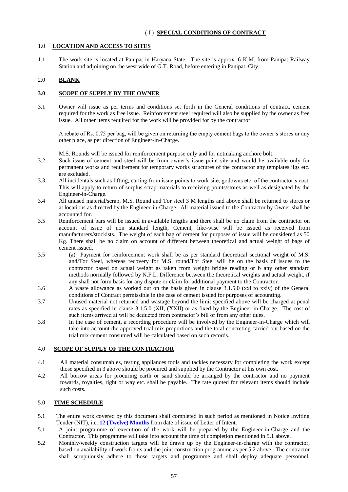# 1.0 **LOCATION AND ACCESS TO SITES**

1.1 The work site is located at Panipat in Haryana State. The site is approx. 6 K.M. from Panipat Railway Station and adjoining on the west wide of G.T. Road, before entering in Panipat. City.

# 2.0 **BLANK**

## **3.0 SCOPE OF SUPPLY BY THE OWNER**

3.1 Owner will issue as per terms and conditions set forth in the General conditions of contract, cement required for the work as free issue. Reinforcement steel required will also be supplied by the owner as free issue. All other items required for the work will be provided for by the contractor.

A rebate of Rs. 0.75 per bag, will be given on returning the empty cement bags to the owner's stores or any other place, as per direction of Engineer-in-Charge.

- M.S. Rounds will be issued for reinforcement purpose only and for notmaking anchore bolt.
- 3.2 Such issue of cement and steel will be from owner's issue point site and would be available only for permanent works and requirement for temporary works structures of the contractor any templates jigs etc. are excluded.
- 3.3 All incidentals such as lifting, carting from issue points to work site, godowns etc. of the contractor's cost. This will apply to return of surplus scrap materials to receiving points/stores as well as designated by the Engineer-in-Charge.
- 3.4 All unused material/scrap, M.S. Round and Tor steel 3 M lengths and above shall be returned to stores or at locations as directed by the Engineer-in-Charge. All material issued to the Contractor by Owner shall be accounted for.
- 3.5 Reinforcement bars will be issued in available lengths and there shall be no claim from the contractor on account of issue of non standard length, Cement, like-wise will be issued as received from manufacturers/stockists. The weight of each bag of cement for purposes of issue will be considered as 50 Kg. There shall be no claim on account of different between theoretical and actual weight of bags of cement issued.
- 3.5 (a) Payment for reinforcement work shall be as per standard theoretical sectional weight of M.S. and/Tor Steel, whereas recovery for M.S. round/Tor Steel will be on the basis of issues to the contractor based on actual weight as taken from weight bridge reading or b any other standard methods normally followed by N.F.L. Difference between the theoretical weights and actual weight, if any shall not form basis for any dispute or claim for additional payment to the Contractor.
- 3.6 A waste allowance as worked out on the basis given in clause 3.1.5.0 (xxi to xxiv) of the General conditions of Contract permissible in the case of cement issued for purposes of accounting.
- 3.7 Unused material not returned and wastage beyond the limit specified above will be charged at penal rates as specified in clause 3.1.5.0 (XII, (XXII) or as fixed by the Engineer-in-Charge. The cost of such items arrived at will be deducted from contractor's bill or from any other dues.
- 3.8 In the case of cement, a recording procedure will be involved by the Engineer-in-Charge which will take into account the approved trial mix proportions and the total concreting carried out based on the trial mix cement consumed will be calculated based on such records.

#### 4.0 **SCOPE OF SUPPLY OF THE CONTRACTOR**

- 4.1 All material consumables, testing appliances tools and tackles necessary for completing the work except those specified in 3 above should be procured and supplied by the Contractor at his own cost.
- 4.2 All borrow areas for procuring earth or sand should be arranged by the contractor and no payment towards, royalties, right or way etc. shall be payable. The rate quoted for relevant items should include such costs.

# 5.0 **TIME SCHEDULE**

- 5.1 The entire work covered by this document shall completed in such period as mentioned in Notice Inviting Tender (NIT), i.e. **12 (Twelve) Months** from date of issue of Letter of Intent.
- 5.1 A joint programme of execution of the work will be prepared by the Engineer-in-Charge and the Contractor. This programme will take into account the time of completion mentioned in 5.1 above.
- 5.2 Monthly/weekly construction targets will be drawn up by the Engineer-in-charge with the contractor, based on availability of work fronts and the joint construction programme as per 5.2 above. The contractor shall scrupulously adhere to those targets and programme and shall deploy adequate personnel,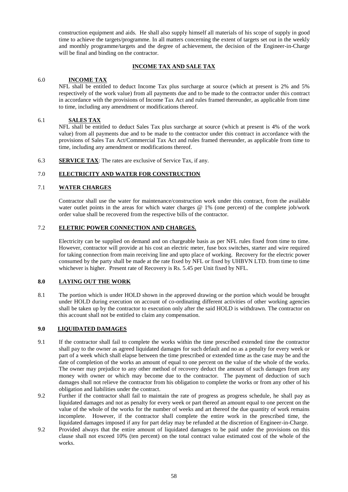construction equipment and aids. He shall also supply himself all materials of his scope of supply in good time to achieve the targets/programme. In all matters concerning the extent of targets set out in the weekly and monthly programme/targets and the degree of achievement, the decision of the Engineer-in-Charge will be final and binding on the contractor.

# **INCOME TAX AND SALE TAX**

## 6.0 **INCOME TAX**

NFL shall be entitled to deduct Income Tax plus surcharge at source (which at present is 2% and 5% respectively of the work value) from all payments due and to be made to the contractor under this contract in accordance with the provisions of Income Tax Act and rules framed thereunder, as applicable from time to time, including any amendment or modifications thereof.

## 6.1 **SALES TAX**

NFL shall be entitled to deduct Sales Tax plus surcharge at source (which at present is 4% of the work value) from all payments due and to be made to the contractor under this contract in accordance with the provisions of Sales Tax Act/Commercial Tax Act and rules framed thereunder, as applicable from time to time, including any amendment or modifications thereof.

6.3 **SERVICE TAX**: The rates are exclusive of Service Tax, if any.

## 7.0 **ELECTRICITY AND WATER FOR CONSTRUCTION**

# 7.1 **WATER CHARGES**

Contractor shall use the water for maintenance/construction work under this contract, from the available water outlet points in the areas for which water charges @ 1% (one percent) of the complete job/work order value shall be recovered from the respective bills of the contractor.

## 7.2 **ELETRIC POWER CONNECTION AND CHARGES.**

Electricity can be supplied on demand and on chargeable basis as per NFL rules fixed from time to time. However, contractor will provide at his cost an electric meter, fuse box switches, starter and wire required for taking connection from main receiving line and upto place of working. Recovery for the electric power consumed by the party shall be made at the rate fixed by NFL or fixed by UHBVN LTD. from time to time whichever is higher. Present rate of Recovery is Rs. 5.45 per Unit fixed by NFL.

# **8.0 LAYING OUT THE WORK**

8.1 The portion which is under HOLD shown in the approved drawing or the portion which would be brought under HOLD during execution on account of co-ordinating different activities of other working agencies shall be taken up by the contractor to execution only after the said HOLD is withdrawn. The contractor on this account shall not be entitled to claim any compensation.

#### **9.0 LIQUIDATED DAMAGES**

- 9.1 If the contractor shall fail to complete the works within the time prescribed extended time the contractor shall pay to the owner as agreed liquidated damages for such default and no as a penalty for every week or part of a week which shall elapse between the time prescribed or extended time as the case may be and the date of completion of the works an amount of equal to one percent on the value of the whole of the works. The owner may prejudice to any other method of recovery deduct the amount of such damages from any money with owner or which may become due to the contractor. The payment of deduction of such damages shall not relieve the contractor from his obligation to complete the works or from any other of his obligation and liabilities under the contract.
- 9.2 Further if the contractor shall fail to maintain the rate of progress as progress schedule, he shall pay as liquidated damages and not as penalty for every week or part thereof an amount equal to one percent on the value of the whole of the works for the number of weeks and art thereof the due quantity of work remains incomplete. However, if the contractor shall complete the entire work in the prescribed time, the liquidated damages imposed if any for part delay may be refunded at the discretion of Engineer-in-Charge.
- 9.2 Provided always that the entire amount of liquidated damages to be paid under the provisions on this clause shall not exceed 10% (ten percent) on the total contract value estimated cost of the whole of the works.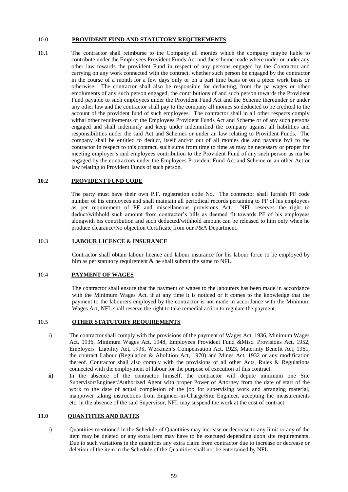#### 10.0 **PROVIDENT FUND AND STATUTORY REQUIREMENTS**

10.1 The contractor shall reimburse to the Company all monies which the company maybe liable to contribute under the Employees Provident Funds Act and the scheme made where under or under any other law towards the provident Fund in respect of any persons engaged by the Contractor and carrying on any work connected with the contract, whether such person be engaged by the contractor in the course of a month for a few days only or on a part time basis or on a piece work basis or otherwise. The contractor shall also be responsible for deducting, from the pa wages or other emoluments of any such person engaged, the contributions of and such person towards the Provident Fund payable to such employees under the Provident Fund Act and the Scheme thereunder or under any other law and the contractor shall pay to the company all monies so deducted to be credited to the account of the provident fund of such employees. The contractor shall in all other respects comply withal other requirements of the Employees Provident Funds Act and Scheme or of any such persons engaged and shall indemnify and keep under indemnified the company against all liabilities and responsibilities under the said Act and Schemes or under an law relating to Provident Funds. The company shall be entitled to deduct, itself and/or out of all monies due and payable by1 to the contractor in respect to this contract, such sums from time to time as may be necessary or proper for meeting employer's and employees contribution to the Provident Fund of any such person as ma be engaged by the contractors under the Employees Provident Fund Act and Scheme or an other Act or law relating to Provident Funds of such person.

#### **10.2 PROVIDENT FUND CODE**

The party must have their own P.F. registration code No. The contractor shall furnish PF code number of his employees and shall maintain all periodical records pertaining to PF of his employees as per requirement of PF and miscellaneous provisions Act. NFL reserves the right to deduct/withhold such amount from contractor's bills as deemed fit towards PF of his employees alongwith his contribution and such deducted/withhold amount can be released to him only when he produce clearance/No objection Certificate from our P&A Department.

#### 10.3 **LABOUR LICENCE & INSURANCE**

Contractor shall obtain labour licence and labour insurance for his labour force to be employed by him as per statutory requirement & he shall submit the same to NFL.

#### 10.4 **PAYMENT OF WAGES**

The contractor shall ensure that the payment of wages to the labourers has been made in accordance with the Minimum Wages Act, if at any time it is noticed or it comes to the knowledge that the payment to the labourers employed by the contractor is not made in accordance with the Minimum Wages Act, NFL shall reserve the right to take remedial action to regulate the payment.

#### 10.5 **OTHER STATUTORY REQUIREMENTS**

- i) The contractor shall comply with the provisions of the payment of Wages Act, 1936, Minimum Wages Act, 1936, Minimum Wages Act, 1948, Employees Provident Fund &Misc. Provisions Act, 1952, Employers' Liability Act, 1938, Workmen's Compensation Act, 1923, Maternity Benefit Act, 1961, the contract Labour (Regulation & Abolition Act, 1970) and Mines Act, 1932 or any modification thereof. Contractor shall also comply with the provisions of all other Acts, Rules  $\&$  Regulations connected with the employment of labour for the purpose of execution of this contract.
- **ii**) In the absence of the contractor himself, the contractor will depute minimum one Site Supervisor/Engineer/Authorized Agent with proper Power of Attorney from the date of start of the work to the date of actual completion of the job for supervising work and arranging material, manpower taking instructions from Engineer-in-Charge/Site Engineer, accepting the measurements etc. in the absence of the said Supervisor, NFL may suspend the work at the cost of contract.

#### **11.0 QUANTITIES AND RATES**

i) Quantities mentioned in the Schedule of Quantities may increase or decrease to any limit or any of the item may be deleted or any extra item may have to be executed depending upon site requirements. Due to such variations in the quantities any extra claim from contractor due to increase or decrease or deletion of the item in the Schedule of the Quantities shall not be entertained by NFL.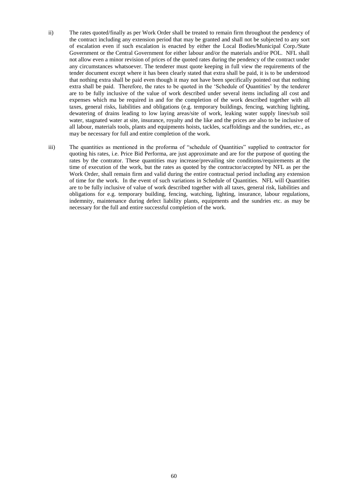- ii) The rates quoted/finally as per Work Order shall be treated to remain firm throughout the pendency of the contract including any extension period that may be granted and shall not be subjected to any sort of escalation even if such escalation is enacted by either the Local Bodies/Municipal Corp./State Government or the Central Government for either labour and/or the materials and/or POL. NFL shall not allow even a minor revision of prices of the quoted rates during the pendency of the contract under any circumstances whatsoever. The tenderer must quote keeping in full view the requirements of the tender document except where it has been clearly stated that extra shall be paid, it is to be understood that nothing extra shall be paid even though it may not have been specifically pointed out that nothing extra shall be paid. Therefore, the rates to be quoted in the 'Schedule of Quantities' by the tenderer are to be fully inclusive of the value of work described under several items including all cost and expenses which ma be required in and for the completion of the work described together with all taxes, general risks, liabilities and obligations (e.g. temporary buildings, fencing, watching lighting, dewatering of drains leading to low laying areas/site of work, leaking water supply lines/sub soil water, stagnated water at site, insurance, royalty and the like and the prices are also to be inclusive of all labour, materials tools, plants and equipments hoists, tackles, scaffoldings and the sundries, etc., as may be necessary for full and entire completion of the work.
- iii) The quantities as mentioned in the proforma of "schedule of Quantities" supplied to contractor for quoting his rates, i.e. Price Bid Performa, are just approximate and are for the purpose of quoting the rates by the contrator. These quantities may increase/prevailing site conditions/requirements at the time of execution of the work, but the rates as quoted by the contractor/accepted by NFL as per the Work Order, shall remain firm and valid during the entire contractual period including any extension of time for the work. In the event of such variations in Schedule of Quantities. NFL will Quantities are to be fully inclusive of value of work described together with all taxes, general risk, liabilities and obligations for e.g. temporary building, fencing, watching, lighting, insurance, labour regulations, indemnity, maintenance during defect liability plants, equipments and the sundries etc. as may be necessary for the full and entire successful completion of the work.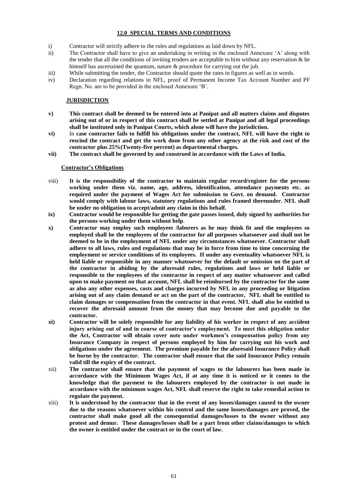# **12.0 SPECIAL TERMS AND CONDITIONS**

- i) Contractor will strictly adhere to the rules and regulations as laid down by NFL.
- ii) The Contractor shall have to give an undertaking in writing in the enclosed Annexure 'A' along with the tender that all the conditions of inviting tenders are acceptable to him without any reservation  $\&$  he himself has ascertained the quantum, nature  $\&$  procedure for carrying out the job.
- iii) While submitting the tender, the Contractor should quote the rates in figures as well as in words.
- iv) Declaration regarding relations in NFL, proof of Permanent Income Tax Account Number and PF Regn. No. are to be provided in the enclosed Annexure 'B'.

## **JURISDICTION**

- **v) This contract shall be deemed to be entered into at Panipat and all matters claims and disputes arising out of or in respect of this contract shall be settled at Panipat and all legal proceedings shall be instituted only in Panipat Courts, which alone will have the jurisdiction.**
- **vi)** In **case contractor fails to fulfill his obligations under the contract, NFL will have the right to rescind the contract and get the work done from any other agency at the risk and cost of the contractor plus 25%(Twenty-five percent) as departmental charges.**
- **vii) The contract shall be governed by and construed in accordance with the Laws of India.**

#### **Contractor's Obligations**

- viii) **It is the responsibility of the contractor to maintain regular record/register for the persons working under them viz. name, age, address, identification, attendance payments etc. as required under the payment of Wages Act for submission to Govt. on demand. Contractor would comply with labour laws, statutory regulations and rules framed thereunder. NFL shall be under no obligation to accept/admit any claim in this behalf.**
- **ix) Contractor would be responsible for getting the gate passes issued, duly signed by authorities for the persons working under them without help**.
- **x) Contractor may employ such employees /laborers as he may think fit and the employees so employed shall be the employees of the contractor for all purposes whatsoever and shall not be deemed to be in the employment of NFL under any circumstances whatsoever. Contractor shall adhere to all laws, rules and regulations that may be in force from time to time concerning the employment or service conditions of its employees. If under any eventuality whatsoever NFL is held liable or responsible in any manner whatsoever for the default or omission on the part of the contractor in abiding by the aforesaid rules, regulations and laws or held liable or responsible to the employees of the contractor in respect of any matter whatsoever and called upon to make payment on that account, NFL shall be reimbursed by the contractor for the same as also any other expenses, costs and charges incurred by NFL in any proceeding or litigation arising out of any claim demand or act on the part of the contractor, NFL shall be entitled to claim damages or compensation from the contractor in that event. NFL shall also be entitled to recover the aforesaid amount from the money that may become due and payable to the contractor.**
- **xi) Contractor will be solely responsible for any liability of his worker in respect of any accident injury arising out of and in course of contractor's employment. To meet this obligation under the Act, Contractor will obtain cover note under workmen's compensation policy from any Insurance Company in respect of persons employed by him for carrying out his work and obligations under the agreement. The premium payable for the aforesaid Insurance Policy shall be borne by the contractor. The contractor shall ensure that the said Insurance Policy remain valid till the expiry of the contract.**
- xii) **The contractor shall ensure that the payment of wages to the labourers has been made in accordance with the Minimum Wages Act, if at any time it is noticed or it comes to the knowledge that the payment to the labourers employed by the contractor is not made in accordance with the minimum wages Act, NFL shall reserve the right to take remedial action to regulate the payment.**
- xiii) **It is understood by the contractor that in the event of any losses/damages caused to the owner due to the reasons whatsoever within his control and the same losses/damages are proved, the contractor shall make good all the consequential damages/losses to the owner without any protest and demur. These damages/losses shall be a part from other claims/damages to which the owner is entitled under the contract or in the court of law.**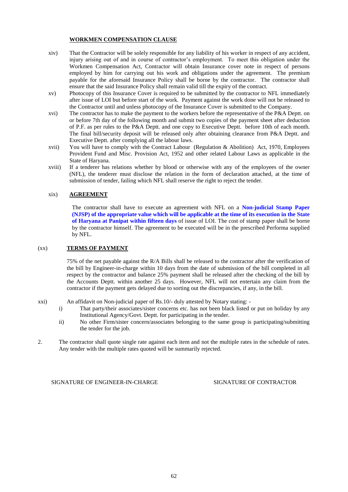#### **WORKMEN COMPENSATION CLAUSE**

- xiv) That the Contractor will be solely responsible for any liability of his worker in respect of any accident, injury arising out of and in course of contractor's employment. To meet this obligation under the Workmen Compensation Act, Contractor will obtain Insurance cover note in respect of persons employed by him for carrying out his work and obligations under the agreement. The premium payable for the aforesaid Insurance Policy shall be borne by the contractor. The contractor shall ensure that the said Insurance Policy shall remain valid till the expiry of the contract.
- xv) Photocopy of this Insurance Cover is required to be submitted by the contractor to NFL immediately after issue of LOI but before start of the work. Payment against the work done will not be released to the Contractor until and unless photocopy of the Insurance Cover is submitted to the Company.
- xvi) The contractor has to make the payment to the workers before the representative of the P&A Deptt. on or before 7th day of the following month and submit two copies of the payment sheet after deduction of P.F. as per rules to the P&A Deptt. and one copy to Executive Deptt. before 10th of each month. The final bill/security deposit will be released only after obtaining clearance from P&A Deptt. and Executive Deptt. after complying all the labour laws.
- xvii) You will have to comply with the Contract Labour (Regulation & Abolition) Act, 1970, Employees Provident Fund and Misc. Provision Act, 1952 and other related Labour Laws as applicable in the State of Haryana.
- xviii) If a tenderer has relations whether by blood or otherwise with any of the employees of the owner (NFL), the tenderer must disclose the relation in the form of declaration attached, at the time of submission of tender, failing which NFL shall reserve the right to reject the tender.

#### xix) **AGREEMENT**

The contractor shall have to execute an agreement with NFL on a **Non-judicial Stamp Paper (NJSP) of the appropriate value which will be applicable at the time of its execution in the State of Haryana at Panipat within fifteen days** of issue of LOI. The cost of stamp paper shall be borne by the contractor himself. The agreement to be executed will be in the prescribed Performa supplied by NFL.

#### (xx) **TERMS OF PAYMENT**

75% of the net payable against the R/A Bills shall be released to the contractor after the verification of the bill by Engineer-in-charge within 10 days from the date of submission of the bill completed in all respect by the contractor and balance 25% payment shall be released after the checking of the bill by the Accounts Deptt. within another 25 days. However, NFL will not entertain any claim from the contractor if the payment gets delayed due to sorting out the discrepancies, if any, in the bill.

xxi) An affidavit on Non-judicial paper of Rs.10/- duly attested by Notary stating: -

- i) That party/their associates/sister concerns etc. has not been black listed or put on holiday by any Institutional Agency/Govt. Deptt. for participating in the tender.
- ii) No other Firm/sister concern/associates belonging to the same group is participating/submitting the tender for the job.
- 2. The contractor shall quote single rate against each item and not the multiple rates in the schedule of rates. Any tender with the multiple rates quoted will be summarily rejected.

SIGNATURE OF ENGINEER-IN-CHARGE SIGNATURE OF CONTRACTOR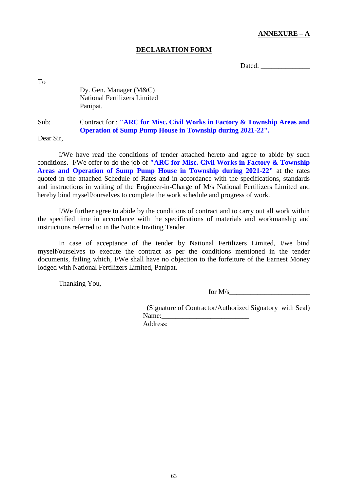# **ANNEXURE – A**

# **DECLARATION FORM**

Dated:

To

Dy. Gen. Manager (M&C) National Fertilizers Limited Panipat.

Sub: Contract for : **"ARC for Misc. Civil Works in Factory & Township Areas and Operation of Sump Pump House in Township during 2021-22".**

Dear Sir,

I/We have read the conditions of tender attached hereto and agree to abide by such conditions. I/We offer to do the job of **"ARC for Misc. Civil Works in Factory & Township Areas and Operation of Sump Pump House in Township during 2021-22"** at the rates quoted in the attached Schedule of Rates and in accordance with the specifications, standards and instructions in writing of the Engineer-in-Charge of M/s National Fertilizers Limited and hereby bind myself/ourselves to complete the work schedule and progress of work.

I/We further agree to abide by the conditions of contract and to carry out all work within the specified time in accordance with the specifications of materials and workmanship and instructions referred to in the Notice Inviting Tender.

In case of acceptance of the tender by National Fertilizers Limited, I/we bind myself/ourselves to execute the contract as per the conditions mentioned in the tender documents, failing which, I/We shall have no objection to the forfeiture of the Earnest Money lodged with National Fertilizers Limited, Panipat.

Thanking You,

for  $M/s$ 

(Signature of Contractor/Authorized Signatory with Seal) Name:

Address: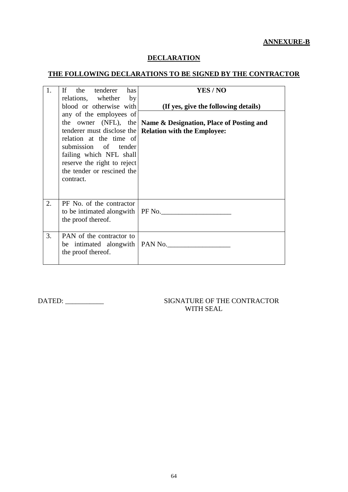# **ANNEXURE-B**

# **DECLARATION**

# **THE FOLLOWING DECLARATIONS TO BE SIGNED BY THE CONTRACTOR**

| 1. | <b>If</b><br>the tenderer has<br>relations, whether by<br>blood or otherwise with<br>any of the employees of                                                                       | YES / NO<br>(If yes, give the following details)                                                      |
|----|------------------------------------------------------------------------------------------------------------------------------------------------------------------------------------|-------------------------------------------------------------------------------------------------------|
|    | tenderer must disclose the<br>relation at the time of<br>submission of tender<br>failing which NFL shall<br>reserve the right to reject<br>the tender or rescined the<br>contract. | the owner (NFL), the   Name & Designation, Place of Posting and<br><b>Relation with the Employee:</b> |
| 2. | PF No. of the contractor<br>to be intimated alongwith   PF No.<br>the proof thereof.                                                                                               |                                                                                                       |
| 3. | PAN of the contractor to<br>be intimated alongwith $\vert$ PAN No.<br>the proof thereof.                                                                                           |                                                                                                       |

# DATED: \_\_\_\_\_\_\_\_\_\_\_ SIGNATURE OF THE CONTRACTOR WITH SEAL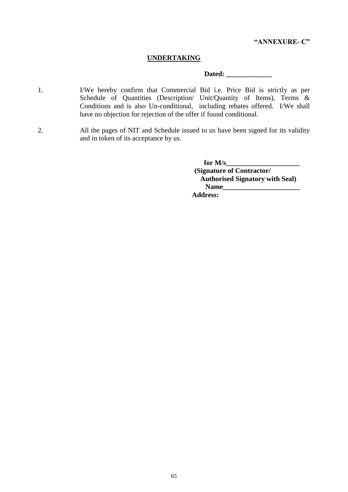# **UNDERTAKING**

# **Dated: \_\_\_\_\_\_\_\_\_\_\_\_\_**

- 1. I/We hereby confirm that Commercial Bid i.e. Price Bid is strictly as per Schedule of Quantities (Description/ Unit/Quantity of Items), Terms & Conditions and is also Un-conditional, including rebates offered. I/We shall have no objection for rejection of the offer if found conditional.
- 2. All the pages of NIT and Schedule issued to us have been signed for its validity and in token of its acceptance by us.

for **M/s\_\_\_\_ (Signature of Contractor/ Authorised Signatory with Seal) Name\_\_\_\_\_\_\_\_\_\_\_\_\_\_\_\_\_\_\_\_\_\_ Address:**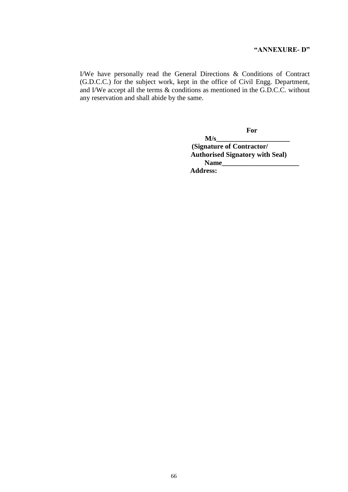# **"ANNEXURE- D"**

I/We have personally read the General Directions & Conditions of Contract (G.D.C.C.) for the subject work, kept in the office of Civil Engg. Department, and I/We accept all the terms & conditions as mentioned in the G.D.C.C. without any reservation and shall abide by the same.

 **For**

 $M/s$  **(Signature of Contractor/ Authorised Signatory with Seal) Name\_\_\_\_\_\_\_\_\_\_\_\_\_\_\_\_\_\_\_\_\_\_ Address:**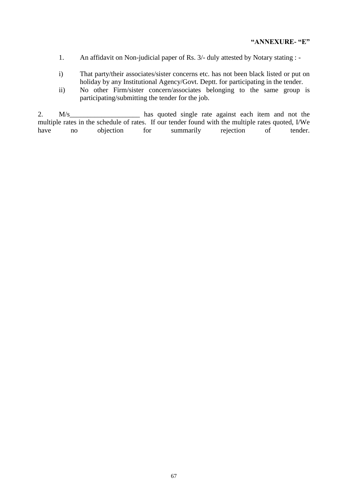# **"ANNEXURE- "E"**

- 1. An affidavit on Non-judicial paper of Rs. 3/- duly attested by Notary stating : -
- i) That party/their associates/sister concerns etc. has not been black listed or put on holiday by any Institutional Agency/Govt. Deptt. for participating in the tender.
- ii) No other Firm/sister concern/associates belonging to the same group is participating/submitting the tender for the job.

2. M/s multiple rates in the schedule of rates. If our tender found with the multiple rates quoted, I/We have no objection for summarily rejection of tender.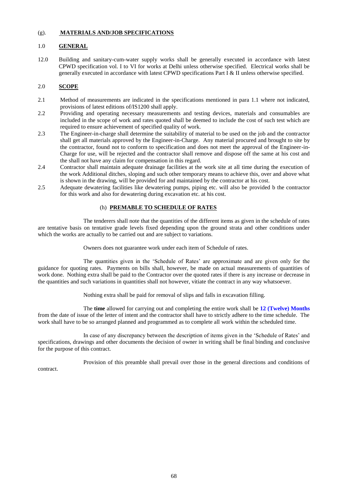#### (g). **MATERIALS AND/JOB SPECIFICATIONS**

#### 1.0 **GENERAL**

12.0 Building and sanitary-cum-water supply works shall be generally executed in accordance with latest CPWD specification vol. I to VI for works at Delhi unless otherwise specified. Electrical works shall be generally executed in accordance with latest CPWD specifications Part  $\tilde{I}$  & II unless otherwise specified.

#### 2.0 **SCOPE**

- 2.1 Method of measurements are indicated in the specifications mentioned in para 1.1 where not indicated, provisions of latest editions of/IS1200 shall apply.
- 2.2 Providing and operating necessary measurements and testing devices, materials and consumables are included in the scope of work and rates quoted shall be deemed to include the cost of such test which are required to ensure achievement of specified quality of work.
- 2.3 The Engineer-in-charge shall determine the suitability of material to be used on the job and the contractor shall get all materials approved by the Engineer-in-Charge. Any material procured and brought to site by the contractor, found not to conform to specification and does not meet the approval of the Engineer-in-Charge for use, will be rejected and the contractor shall remove and dispose off the same at his cost and the shall not have any claim for compensation in this regard.
- 2.4 Contractor shall maintain adequate drainage facilities at the work site at all time during the execution of the work Additional ditches, sloping and such other temporary means to achieve this, over and above what is shown in the drawing, will be provided for and maintained by the contractor at his cost.
- 2.5 Adequate dewatering facilities like dewatering pumps, piping etc. will also be provided b the contractor for this work and also for dewatering during excavation etc. at his cost.

# (h) **PREMABLE TO SCHEDULE OF RATES**

The tenderers shall note that the quantities of the different items as given in the schedule of rates are tentative basis on tentative grade levels fixed depending upon the ground strata and other conditions under which the works are actually to be carried out and are subject to variations.

Owners does not guarantee work under each item of Schedule of rates.

The quantities given in the 'Schedule of Rates' are approximate and are given only for the guidance for quoting rates. Payments on bills shall, however, be made on actual measurements of quantities of work done. Nothing extra shall be paid to the Contractor over the quoted rates if there is any increase or decrease in the quantities and such variations in quantities shall not however, vitiate the contract in any way whatsoever.

Nothing extra shall be paid for removal of slips and falls in excavation filling.

The **time** allowed for carrying out and completing the entire work shall be **12 (Twelve) Months** from the date of issue of the letter of intent and the contractor shall have to strictly adhere to the time schedule. The work shall have to be so arranged planned and programmed as to complete all work within the scheduled time.

In case of any discrepancy between the description of items given in the 'Schedule of Rates' and specifications, drawings and other documents the decision of owner in writing shall be final binding and conclusive for the purpose of this contract.

Provision of this preamble shall prevail over those in the general directions and conditions of contract.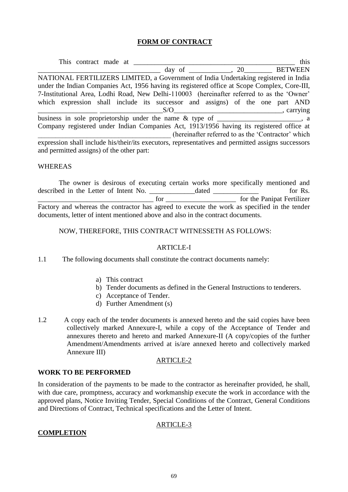# **FORM OF CONTRACT**

This contract made at \_\_\_\_\_\_\_\_\_\_\_\_\_\_\_\_\_\_\_\_\_\_\_\_\_\_\_\_\_\_\_\_\_\_\_\_\_\_\_\_\_\_\_\_\_\_ this day of  $.20$  BETWEEN NATIONAL FERTILIZERS LIMITED, a Government of India Undertaking registered in India under the Indian Companies Act, 1956 having its registered office at Scope Complex, Core-III, 7-Institutional Area, Lodhi Road, New Delhi-110003 (hereinafter referred to as the 'Owner' which expression shall include its successor and assigns) of the one part AND  $S/O$  carrying business in sole proprietorship under the name & type of \_\_\_\_\_\_\_\_\_\_\_\_\_\_\_, a Company registered under Indian Companies Act, 1913/1956 having its registered office at \_\_\_\_\_\_\_\_\_\_\_\_\_\_\_\_\_\_\_\_\_\_\_\_\_\_\_\_\_\_\_\_\_\_\_\_\_\_ (hereinafter referred to as the 'Contractor' which expression shall include his/their/its executors, representatives and permitted assigns successors and permitted assigns) of the other part:

# WHEREAS

The owner is desirous of executing certain works more specifically mentioned and described in the Letter of Intent No. \_\_\_\_\_\_\_\_\_\_\_\_\_\_\_\_\_\_\_\_\_\_\_\_ dated \_\_\_\_\_\_\_\_\_\_\_\_\_\_\_\_\_ for Rs. \_\_\_\_\_\_\_\_\_\_\_\_\_\_\_\_\_\_\_\_\_\_\_\_\_\_\_\_\_\_\_\_\_ for \_\_\_\_\_\_\_\_\_\_\_\_\_\_\_\_\_\_\_\_ for the Panipat Fertilizer Factory and whereas the contractor has agreed to execute the work as specified in the tender documents, letter of intent mentioned above and also in the contract documents.

# NOW, THEREFORE, THIS CONTRACT WITNESSETH AS FOLLOWS:

# ARTICLE-I

- 1.1 The following documents shall constitute the contract documents namely:
	- a) This contract
	- b) Tender documents as defined in the General Instructions to tenderers.
	- c) Acceptance of Tender.
	- d) Further Amendment (s)
- 1.2 A copy each of the tender documents is annexed hereto and the said copies have been collectively marked Annexure-I, while a copy of the Acceptance of Tender and annexures thereto and hereto and marked Annexure-II (A copy/copies of the further Amendment/Amendments arrived at is/are annexed hereto and collectively marked Annexure III)

# ARTICLE-2

# **WORK TO BE PERFORMED**

In consideration of the payments to be made to the contractor as hereinafter provided, he shall, with due care, promptness, accuracy and workmanship execute the work in accordance with the approved plans, Notice Inviting Tender, Special Conditions of the Contract, General Conditions and Directions of Contract, Technical specifications and the Letter of Intent.

# ARTICLE-3

# **COMPLETION**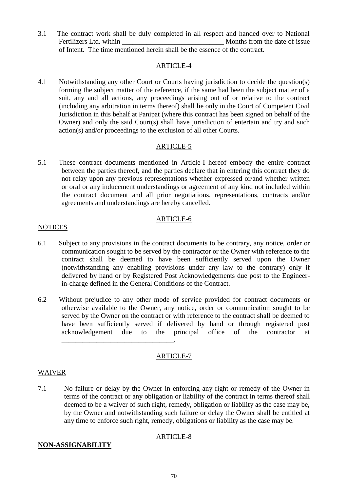3.1 The contract work shall be duly completed in all respect and handed over to National Fertilizers Ltd. within **None** Months from the date of issue of Intent. The time mentioned herein shall be the essence of the contract.

# ARTICLE-4

4.1 Notwithstanding any other Court or Courts having jurisdiction to decide the question(s) forming the subject matter of the reference, if the same had been the subject matter of a suit, any and all actions, any proceedings arising out of or relative to the contract (including any arbitration in terms thereof) shall lie only in the Court of Competent Civil Jurisdiction in this behalf at Panipat (where this contract has been signed on behalf of the Owner) and only the said Court(s) shall have jurisdiction of entertain and try and such action(s) and/or proceedings to the exclusion of all other Courts.

# ARTICLE-5

5.1 These contract documents mentioned in Article-I hereof embody the entire contract between the parties thereof, and the parties declare that in entering this contract they do not relay upon any previous representations whether expressed or/and whether written or oral or any inducement understandings or agreement of any kind not included within the contract document and all prior negotiations, representations, contracts and/or agreements and understandings are hereby cancelled.

# ARTICLE-6

# **NOTICES**

- 6.1 Subject to any provisions in the contract documents to be contrary, any notice, order or communication sought to be served by the contractor or the Owner with reference to the contract shall be deemed to have been sufficiently served upon the Owner (notwithstanding any enabling provisions under any law to the contrary) only if delivered by hand or by Registered Post Acknowledgements due post to the Engineerin-charge defined in the General Conditions of the Contract.
- 6.2 Without prejudice to any other mode of service provided for contract documents or otherwise available to the Owner, any notice, order or communication sought to be served by the Owner on the contract or with reference to the contract shall be deemed to have been sufficiently served if delivered by hand or through registered post acknowledgement due to the principal office of the contractor at \_\_\_\_\_\_\_\_\_\_\_\_\_\_\_\_\_\_\_\_\_\_\_\_\_\_\_\_\_\_\_\_.

# ARTICLE-7

# WAIVER

7.1 No failure or delay by the Owner in enforcing any right or remedy of the Owner in terms of the contract or any obligation or liability of the contract in terms thereof shall deemed to be a waiver of such right, remedy, obligation or liability as the case may be, by the Owner and notwithstanding such failure or delay the Owner shall be entitled at any time to enforce such right, remedy, obligations or liability as the case may be.

# ARTICLE-8

# **NON-ASSIGNABILITY**